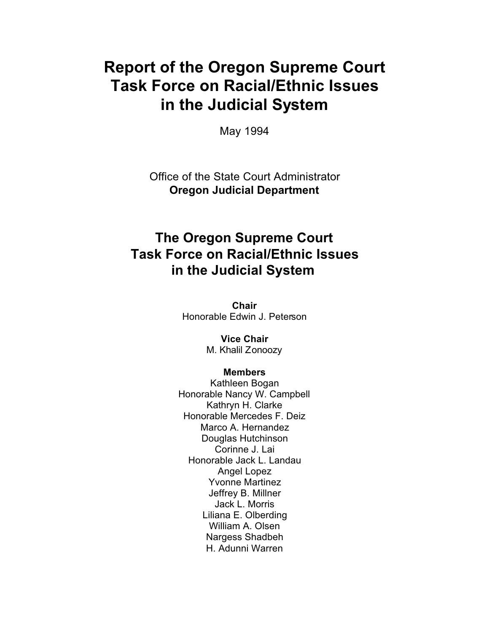# **Report of the Oregon Supreme Court Task Force on Racial/Ethnic Issues in the Judicial System**

May 1994

Office of the State Court Administrator **Oregon Judicial Department**

### **The Oregon Supreme Court Task Force on Racial/Ethnic Issues in the Judicial System**

**Chair** Honorable Edwin J. Peterson

> **Vice Chair** M. Khalil Zonoozy

#### **Members**

Kathleen Bogan Honorable Nancy W. Campbell Kathryn H. Clarke Honorable Mercedes F. Deiz Marco A. Hernandez Douglas Hutchinson Corinne J. Lai Honorable Jack L. Landau Angel Lopez Yvonne Martinez Jeffrey B. Millner Jack L. Morris Liliana E. Olberding William A. Olsen Nargess Shadbeh H. Adunni Warren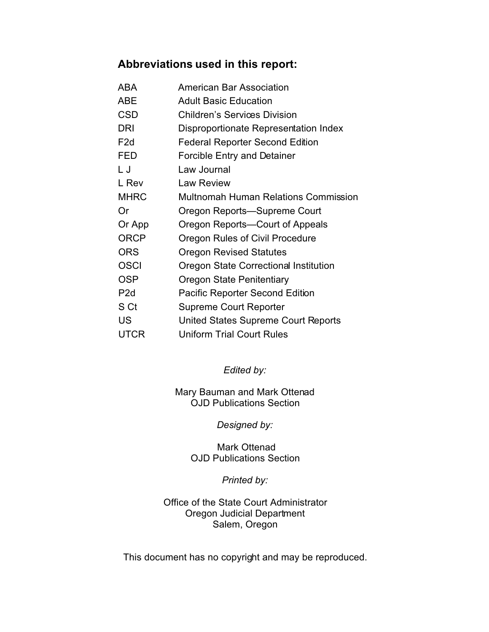#### **Abbreviations used in this report:**

| ABA              | <b>American Bar Association</b>        |
|------------------|----------------------------------------|
| ABE              | <b>Adult Basic Education</b>           |
| CSD              | <b>Children's Services Division</b>    |
| <b>DRI</b>       | Disproportionate Representation Index  |
| F <sub>2</sub> d | <b>Federal Reporter Second Edition</b> |
| FED              | <b>Forcible Entry and Detainer</b>     |
| L J              | Law Journal                            |
| L Rev            | <b>Law Review</b>                      |
| <b>MHRC</b>      | Multnomah Human Relations Commission   |
| Or               | Oregon Reports—Supreme Court           |
| Or App           | Oregon Reports—Court of Appeals        |
| <b>ORCP</b>      | Oregon Rules of Civil Procedure        |
| <b>ORS</b>       | <b>Oregon Revised Statutes</b>         |
| <b>OSCI</b>      | Oregon State Correctional Institution  |
| <b>OSP</b>       | Oregon State Penitentiary              |
| P <sub>2</sub> d | <b>Pacific Reporter Second Edition</b> |
| S Ct             | <b>Supreme Court Reporter</b>          |
| US               | United States Supreme Court Reports    |
| UTCR             | <b>Uniform Trial Court Rules</b>       |

*Edited by:*

Mary Bauman and Mark Ottenad OJD Publications Section

*Designed by:*

 Mark Ottenad OJD Publications Section

*Printed by:*

Office of the State Court Administrator Oregon Judicial Department Salem, Oregon

This document has no copyright and may be reproduced.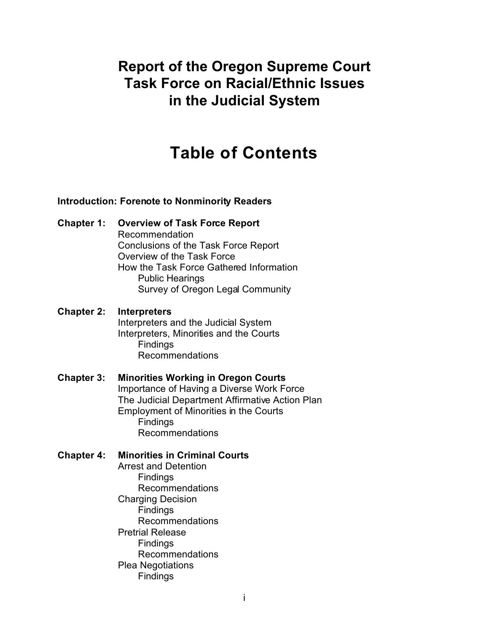### **Report of the Oregon Supreme Court Task Force on Racial/Ethnic Issues in the Judicial System**

# **Table of Contents**

#### **Introduction: Forenote to Nonminority Readers**

**Chapter 1: Overview of Task Force Report** Recommendation Conclusions of the Task Force Report Overview of the Task Force How the Task Force Gathered Information Public Hearings Survey of Oregon Legal Community

**Chapter 2: Interpreters** Interpreters and the Judicial System Interpreters, Minorities and the Courts **Findings** Recommendations

#### **Chapter 3: Minorities Working in Oregon Courts** Importance of Having a Diverse Work Force The Judicial Department Affirmative Action Plan Employment of Minorities in the Courts Findings Recommendations

#### **Chapter 4: Minorities in Criminal Courts**

Arrest and Detention **Findings** Recommendations Charging Decision **Findings** Recommendations Pretrial Release **Findings** Recommendations Plea Negotiations Findings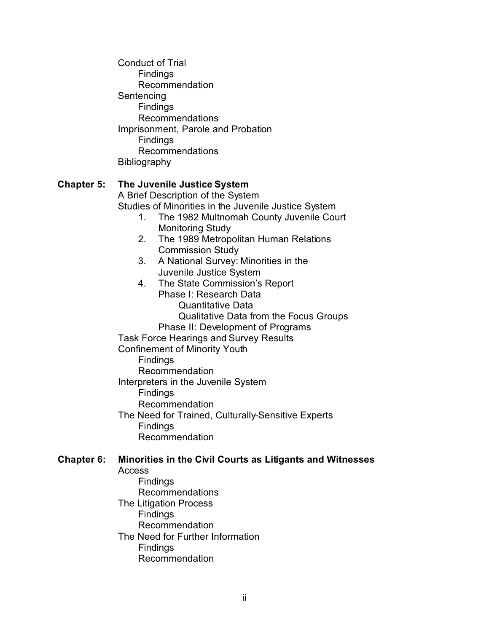Conduct of Trial **Findings** Recommendation **Sentencing** Findings Recommendations Imprisonment, Parole and Probation **Findings** Recommendations Bibliography

#### **Chapter 5: The Juvenile Justice System**

A Brief Description of the System Studies of Minorities in the Juvenile Justice System

- 1. The 1982 Multnomah County Juvenile Court Monitoring Study
- 2. The 1989 Metropolitan Human Relations Commission Study
- 3. A National Survey: Minorities in the Juvenile Justice System
- 4. The State Commission's Report Phase I: Research Data Quantitative Data Qualitative Data from the Focus Groups Phase II: Development of Programs Task Force Hearings and Survey Results Confinement of Minority Youth Findings Recommendation Interpreters in the Juvenile System Findings Recommendation The Need for Trained, Culturally-Sensitive Experts

#### **Chapter 6: Minorities in the Civil Courts as Litigants and Witnesses**

Access

**Findings** Recommendations

Recommendation

Findings

The Litigation Process **Findings** Recommendation The Need for Further Information **Findings** Recommendation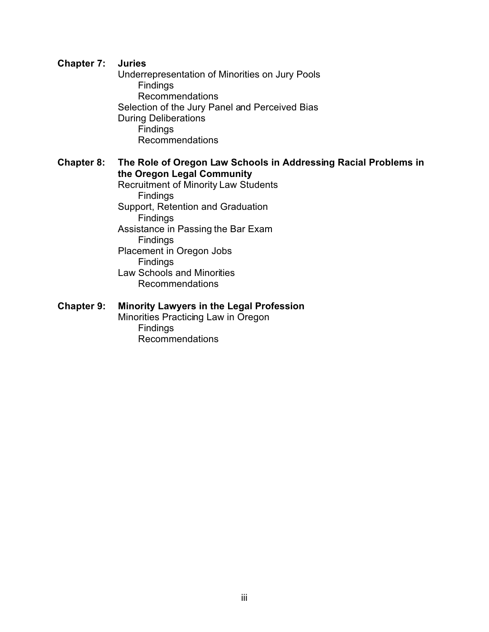#### **Chapter 7: Juries**

Underrepresentation of Minorities on Jury Pools Findings Recommendations Selection of the Jury Panel and Perceived Bias During Deliberations Findings Recommendations

#### **Chapter 8: The Role of Oregon Law Schools in Addressing Racial Problems in the Oregon Legal Community**

Recruitment of Minority Law Students **Findings** Support, Retention and Graduation **Findings** Assistance in Passing the Bar Exam Findings Placement in Oregon Jobs Findings Law Schools and Minorities Recommendations

#### **Chapter 9: Minority Lawyers in the Legal Profession**

Minorities Practicing Law in Oregon Findings Recommendations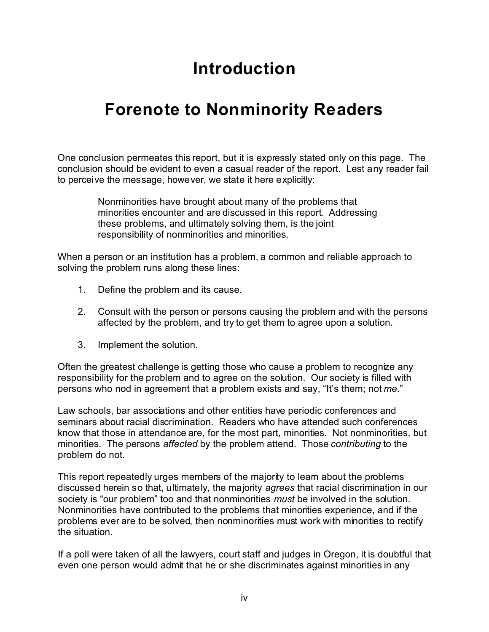# **Introduction**

# **Forenote to Nonminority Readers**

One conclusion permeates this report, but it is expressly stated only on this page. The conclusion should be evident to even a casual reader of the report. Lest any reader fail to perceive the message, however, we state it here explicitly:

> Nonminorities have brought about many of the problems that minorities encounter and are discussed in this report. Addressing these problems, and ultimately solving them, is the joint responsibility of nonminorities and minorities.

When a person or an institution has a problem, a common and reliable approach to solving the problem runs along these lines:

- 1. Define the problem and its cause.
- 2. Consult with the person or persons causing the problem and with the persons affected by the problem, and try to get them to agree upon a solution.
- 3. Implement the solution.

Often the greatest challenge is getting those who cause a problem to recognize any responsibility for the problem and to agree on the solution. Our society is filled with persons who nod in agreement that a problem exists and say, "It's them; not *me*."

Law schools, bar associations and other entities have periodic conferences and seminars about racial discrimination. Readers who have attended such conferences know that those in attendance are, for the most part, minorities. Not nonminorities, but minorities. The persons *affected* by the problem attend. Those *contributing* to the problem do not.

This report repeatedly urges members of the majority to leam about the problems discussed herein so that, ultimately, the majority *agrees* that racial discrimination in our society is "our problem" too and that nonminorities *must* be involved in the solution. Nonminorities have contributed to the problems that minorities experience, and if the problems ever are to be solved, then nonminorities must work with minorities to rectify the situation.

If a poll were taken of all the lawyers, court staff and judges in Oregon, it is doubtful that even one person would admit that he or she discriminates against minorities in any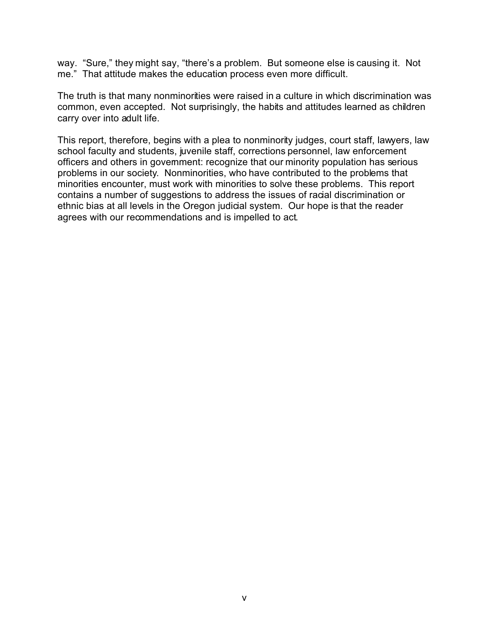way. "Sure," they might say, "there's a problem. But someone else is causing it. Not me." That attitude makes the education process even more difficult.

The truth is that many nonminorities were raised in a culture in which discrimination was common, even accepted. Not surprisingly, the habits and attitudes learned as children carry over into adult life.

This report, therefore, begins with a plea to nonminority judges, court staff, lawyers, law school faculty and students, juvenile staff, corrections personnel, law enforcement officers and others in government: recognize that our minority population has serious problems in our society. Nonminorities, who have contributed to the problems that minorities encounter, must work with minorities to solve these problems. This report contains a number of suggestions to address the issues of racial discrimination or ethnic bias at all levels in the Oregon judicial system. Our hope is that the reader agrees with our recommendations and is impelled to act.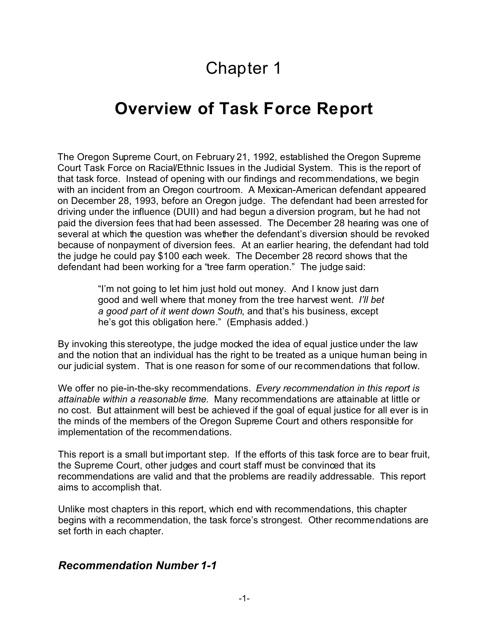# Chapter 1

# **Overview of Task Force Report**

The Oregon Supreme Court, on February 21, 1992, established the Oregon Supreme Court Task Force on Racial/Ethnic Issues in the Judicial System. This is the report of that task force. Instead of opening with our findings and recommendations, we begin with an incident from an Oregon courtroom. A Mexican-American defendant appeared on December 28, 1993, before an Oregon judge. The defendant had been arrested for driving under the influence (DUII) and had begun a diversion program, but he had not paid the diversion fees that had been assessed. The December 28 hearing was one of several at which the question was whether the defendant's diversion should be revoked because of nonpayment of diversion fees. At an earlier hearing, the defendant had told the judge he could pay \$100 each week. The December 28 record shows that the defendant had been working for a "tree farm operation." The judge said:

> "I'm not going to let him just hold out money. And I know just darn good and well where that money from the tree harvest went. *I'll bet a good part of it went down South*, and that's his business, except he's got this obligation here." (Emphasis added.)

By invoking this stereotype, the judge mocked the idea of equal justice under the law and the notion that an individual has the right to be treated as a unique human being in our judicial system. That is one reason for some of our recommendations that follow.

We offer no pie-in-the-sky recommendations. *Every recommendation in this report is attainable within a reasonable time.* Many recommendations are attainable at little or no cost. But attainment will best be achieved if the goal of equal justice for all ever is in the minds of the members of the Oregon Supreme Court and others responsible for implementation of the recommendations.

This report is a small but important step. If the efforts of this task force are to bear fruit, the Supreme Court, other judges and court staff must be convinced that its recommendations are valid and that the problems are readily addressable. This report aims to accomplish that.

Unlike most chapters in this report, which end with recommendations, this chapter begins with a recommendation, the task force's strongest. Other recommendations are set forth in each chapter.

#### *Recommendation Number 1-1*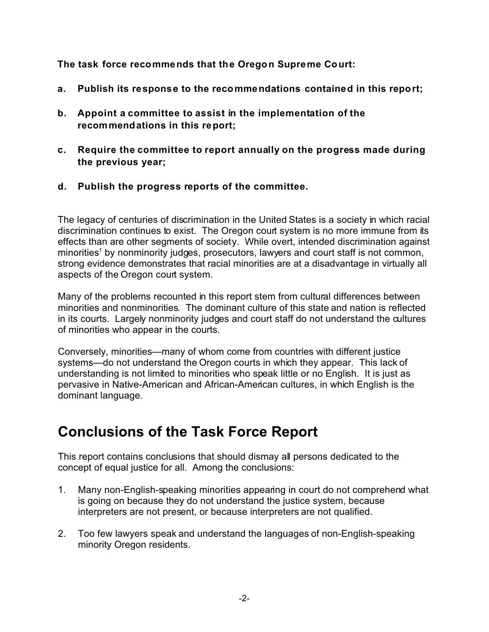**The task force recommends that the Oregon Supreme Court:**

- **a. Publish its response to the recommendations contained in this report;**
- **b. Appoint a committee to assist in the implementation of the recommendations in this report;**
- **c. Require the committee to report annually on the progress made during the previous year;**
- **d. Publish the progress reports of the committee.**

The legacy of centuries of discrimination in the United States is a society in which racial discrimination continues to exist. The Oregon court system is no more immune from its effects than are other segments of society. While overt, intended discrimination against minorities<sup>1</sup> by nonminority judges, prosecutors, lawyers and court staff is not common, strong evidence demonstrates that racial minorities are at a disadvantage in virtually all aspects of the Oregon court system.

Many of the problems recounted in this report stem from cultural differences between minorities and nonminorities. The dominant culture of this state and nation is reflected in its courts. Largely nonminority judges and court staff do not understand the cultures of minorities who appear in the courts.

Conversely, minorities—many of whom come from countries with different justice systems—do not understand the Oregon courts in which they appear. This lack of understanding is not limited to minorities who speak little or no English. It is just as pervasive in Native-American and African-American cultures, in which English is the dominant language.

# **Conclusions of the Task Force Report**

This report contains conclusions that should dismay all persons dedicated to the concept of equal justice for all. Among the conclusions:

- 1. Many non-English-speaking minorities appearing in court do not comprehend what is going on because they do not understand the justice system, because interpreters are not present, or because interpreters are not qualified.
- 2. Too few lawyers speak and understand the languages of non-English-speaking minority Oregon residents.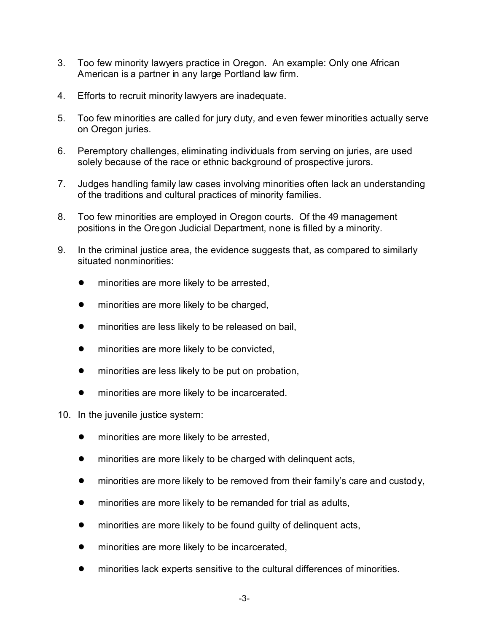- 3. Too few minority lawyers practice in Oregon. An example: Only one African American is a partner in any large Portland law firm.
- 4. Efforts to recruit minority lawyers are inadequate.
- 5. Too few minorities are called for jury duty, and even fewer minorities actually serve on Oregon juries.
- 6. Peremptory challenges, eliminating individuals from serving on juries, are used solely because of the race or ethnic background of prospective jurors.
- 7. Judges handling family law cases involving minorities often lack an understanding of the traditions and cultural practices of minority families.
- 8. Too few minorities are employed in Oregon courts. Of the 49 management positions in the Oregon Judicial Department, none is filled by a minority.
- 9. In the criminal justice area, the evidence suggests that, as compared to similarly situated nonminorities:
	- **•** minorities are more likely to be arrested,
	- **•** minorities are more likely to be charged,
	- **•** minorities are less likely to be released on bail,
	- minorities are more likely to be convicted,
	- minorities are less likely to be put on probation,
	- **•** minorities are more likely to be incarcerated.
- 10. In the juvenile justice system:
	- **•** minorities are more likely to be arrested,
	- minorities are more likely to be charged with delinguent acts,
	- ! minorities are more likely to be removed from their family's care and custody,
	- minorities are more likely to be remanded for trial as adults,
	- minorities are more likely to be found guilty of delinquent acts,
	- minorities are more likely to be incarcerated,
	- ! minorities lack experts sensitive to the cultural differences of minorities.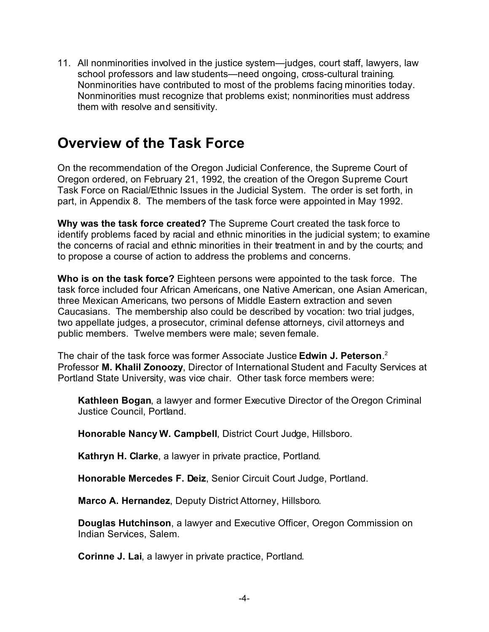11. All nonminorities involved in the justice system—judges, court staff, lawyers, law school professors and law students—need ongoing, cross-cultural training. Nonminorities have contributed to most of the problems facing minorities today. Nonminorities must recognize that problems exist; nonminorities must address them with resolve and sensitivity.

### **Overview of the Task Force**

On the recommendation of the Oregon Judicial Conference, the Supreme Court of Oregon ordered, on February 21, 1992, the creation of the Oregon Supreme Court Task Force on Racial/Ethnic Issues in the Judicial System. The order is set forth, in part, in Appendix 8. The members of the task force were appointed in May 1992.

**Why was the task force created?** The Supreme Court created the task force to identify problems faced by racial and ethnic minorities in the judicial system; to examine the concerns of racial and ethnic minorities in their treatment in and by the courts; and to propose a course of action to address the problems and concerns.

**Who is on the task force?** Eighteen persons were appointed to the task force. The task force included four African Americans, one Native American, one Asian American, three Mexican Americans, two persons of Middle Eastern extraction and seven Caucasians. The membership also could be described by vocation: two trial judges, two appellate judges, a prosecutor, criminal defense attorneys, civil attorneys and public members. Twelve members were male; seven female.

The chair of the task force was former Associate Justice **Edwin J. Peterson**. 2 Professor **M. Khalil Zonoozy**, Director of International Student and Faculty Services at Portland State University, was vice chair. Other task force members were:

**Kathleen Bogan**, a lawyer and former Executive Director of the Oregon Criminal Justice Council, Portland.

**Honorable Nancy W. Campbell**, District Court Judge, Hillsboro.

**Kathryn H. Clarke**, a lawyer in private practice, Portland.

**Honorable Mercedes F. Deiz**, Senior Circuit Court Judge, Portland.

**Marco A. Hernandez**, Deputy District Attorney, Hillsboro.

**Douglas Hutchinson**, a lawyer and Executive Officer, Oregon Commission on Indian Services, Salem.

**Corinne J. Lai**, a lawyer in private practice, Portland.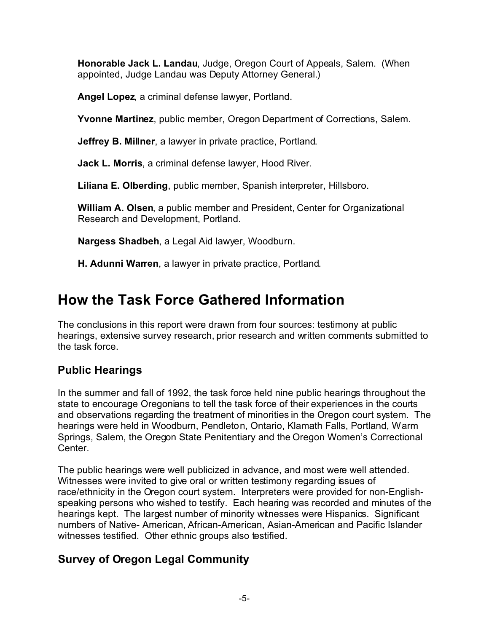**Honorable Jack L. Landau**, Judge, Oregon Court of Appeals, Salem. (When appointed, Judge Landau was Deputy Attorney General.)

**Angel Lopez**, a criminal defense lawyer, Portland.

**Yvonne Martinez**, public member, Oregon Department of Corrections, Salem.

**Jeffrey B. Millner**, a lawyer in private practice, Portland.

**Jack L. Morris**, a criminal defense lawyer, Hood River.

**Liliana E. Olberding**, public member, Spanish interpreter, Hillsboro.

**William A. Olsen**, a public member and President, Center for Organizational Research and Development, Portland.

**Nargess Shadbeh**, a Legal Aid lawyer, Woodburn.

**H. Adunni Warren**, a lawyer in private practice, Portland.

# **How the Task Force Gathered Information**

The conclusions in this report were drawn from four sources: testimony at public hearings, extensive survey research, prior research and written comments submitted to the task force.

### **Public Hearings**

In the summer and fall of 1992, the task force held nine public hearings throughout the state to encourage Oregonians to tell the task force of their experiences in the courts and observations regarding the treatment of minorities in the Oregon court system. The hearings were held in Woodburn, Pendleton, Ontario, Klamath Falls, Portland, Warm Springs, Salem, the Oregon State Penitentiary and the Oregon Women's Correctional Center.

The public hearings were well publicized in advance, and most were well attended. Witnesses were invited to give oral or written testimony regarding issues of race/ethnicity in the Oregon court system. Interpreters were provided for non-Englishspeaking persons who wished to testify. Each hearing was recorded and minutes of the hearings kept. The largest number of minority witnesses were Hispanics. Significant numbers of Native- American, African-American, Asian-American and Pacific Islander witnesses testified. Other ethnic groups also testified.

### **Survey of Oregon Legal Community**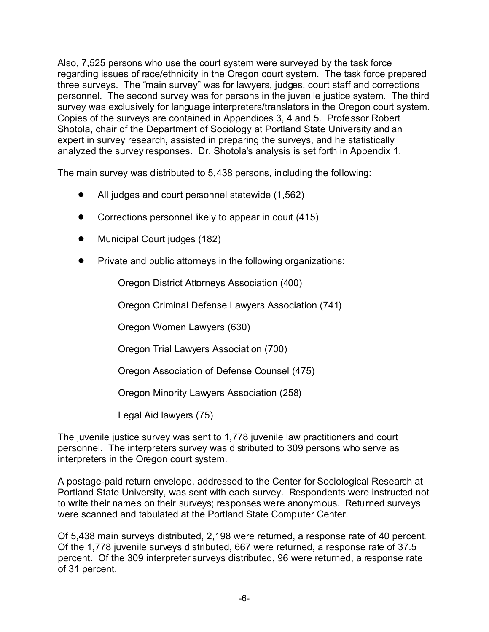Also, 7,525 persons who use the court system were surveyed by the task force regarding issues of race/ethnicity in the Oregon court system. The task force prepared three surveys. The "main survey" was for lawyers, judges, court staff and corrections personnel. The second survey was for persons in the juvenile justice system. The third survey was exclusively for language interpreters/translators in the Oregon court system. Copies of the surveys are contained in Appendices 3, 4 and 5. Professor Robert Shotola, chair of the Department of Sociology at Portland State University and an expert in survey research, assisted in preparing the surveys, and he statistically analyzed the survey responses. Dr. Shotola's analysis is set forth in Appendix 1.

The main survey was distributed to 5,438 persons, including the following:

- All judges and court personnel statewide (1,562)
- Corrections personnel likely to appear in court (415)
- Municipal Court judges (182)
- Private and public attorneys in the following organizations:

Oregon District Attorneys Association (400)

Oregon Criminal Defense Lawyers Association (741)

Oregon Women Lawyers (630)

Oregon Trial Lawyers Association (700)

Oregon Association of Defense Counsel (475)

Oregon Minority Lawyers Association (258)

Legal Aid lawyers (75)

The juvenile justice survey was sent to 1,778 juvenile law practitioners and court personnel. The interpreters survey was distributed to 309 persons who serve as interpreters in the Oregon court system.

A postage-paid return envelope, addressed to the Center for Sociological Research at Portland State University, was sent with each survey. Respondents were instructed not to write their names on their surveys; responses were anonymous. Returned surveys were scanned and tabulated at the Portland State Computer Center.

Of 5,438 main surveys distributed, 2,198 were returned, a response rate of 40 percent. Of the 1,778 juvenile surveys distributed, 667 were returned, a response rate of 37.5 percent. Of the 309 interpreter surveys distributed, 96 were returned, a response rate of 31 percent.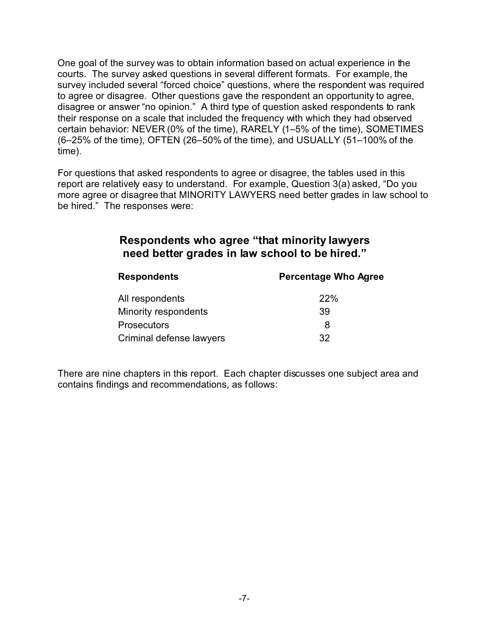One goal of the survey was to obtain information based on actual experience in the courts. The survey asked questions in several different formats. For example, the survey included several "forced choice" questions, where the respondent was required to agree or disagree. Other questions gave the respondent an opportunity to agree, disagree or answer "no opinion." A third type of question asked respondents to rank their response on a scale that included the frequency with which they had observed certain behavior: NEVER (0% of the time), RARELY (1–5% of the time), SOMETIMES (6–25% of the time), OFTEN (26–50% of the time), and USUALLY (51–100% of the time).

For questions that asked respondents to agree or disagree, the tables used in this report are relatively easy to understand. For example, Question 3(a) asked, "Do you more agree or disagree that MINORITY LAWYERS need better grades in law school to be hired." The responses were:

#### **Respondents who agree "that minority lawyers need better grades in law school to be hired."**

| <b>Respondents</b>       | <b>Percentage Who Agree</b> |  |
|--------------------------|-----------------------------|--|
| All respondents          | <b>22%</b>                  |  |
| Minority respondents     | 39                          |  |
| <b>Prosecutors</b>       | 8                           |  |
| Criminal defense lawyers | 32                          |  |

There are nine chapters in this report. Each chapter discusses one subject area and contains findings and recommendations, as follows: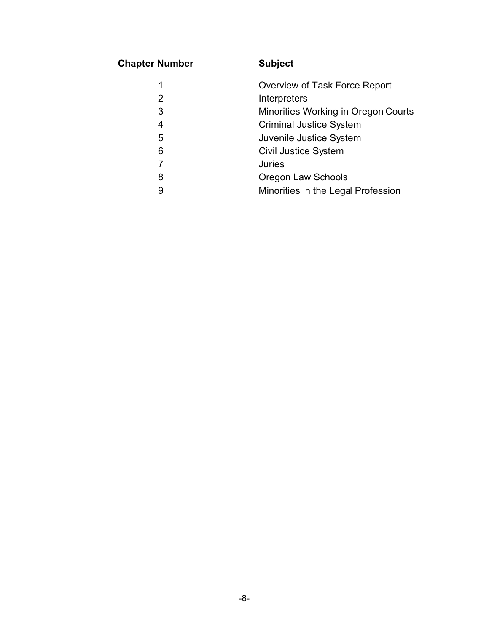### **Chapter Number Subject**

|   | Overview of Task Force Report       |
|---|-------------------------------------|
| 2 | Interpreters                        |
| 3 | Minorities Working in Oregon Courts |
| 4 | <b>Criminal Justice System</b>      |
| 5 | Juvenile Justice System             |
| 6 | <b>Civil Justice System</b>         |
|   | <b>Juries</b>                       |
| 8 | <b>Oregon Law Schools</b>           |
| 9 | Minorities in the Legal Profession  |
|   |                                     |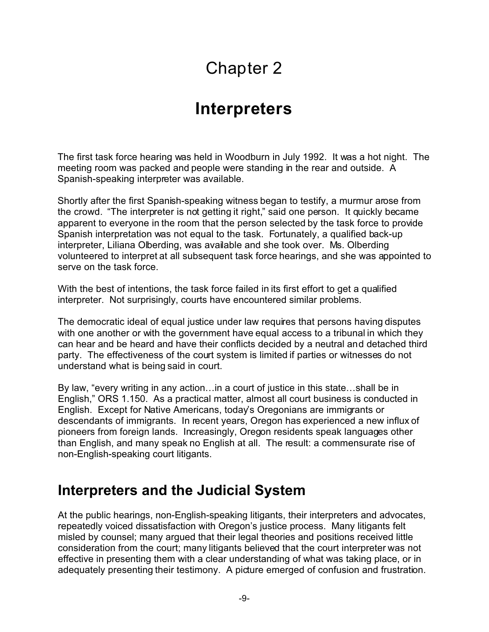# Chapter 2

# **Interpreters**

The first task force hearing was held in Woodburn in July 1992. It was a hot night. The meeting room was packed and people were standing in the rear and outside. A Spanish-speaking interpreter was available.

Shortly after the first Spanish-speaking witness began to testify, a murmur arose from the crowd. "The interpreter is not getting it right," said one person. It quickly became apparent to everyone in the room that the person selected by the task force to provide Spanish interpretation was not equal to the task. Fortunately, a qualified back-up interpreter, Liliana Olberding, was available and she took over. Ms. Olberding volunteered to interpret at all subsequent task force hearings, and she was appointed to serve on the task force.

With the best of intentions, the task force failed in its first effort to get a qualified interpreter. Not surprisingly, courts have encountered similar problems.

The democratic ideal of equal justice under law requires that persons having disputes with one another or with the government have equal access to a tribunal in which they can hear and be heard and have their conflicts decided by a neutral and detached third party. The effectiveness of the court system is limited if parties or witnesses do not understand what is being said in court.

By law, "every writing in any action…in a court of justice in this state…shall be in English," ORS 1.150. As a practical matter, almost all court business is conducted in English. Except for Native Americans, today's Oregonians are immigrants or descendants of immigrants. In recent years, Oregon has experienced a new influx of pioneers from foreign lands. Increasingly, Oregon residents speak languages other than English, and many speak no English at all. The result: a commensurate rise of non-English-speaking court litigants.

### **Interpreters and the Judicial System**

At the public hearings, non-English-speaking litigants, their interpreters and advocates, repeatedly voiced dissatisfaction with Oregon's justice process. Many litigants felt misled by counsel; many argued that their legal theories and positions received little consideration from the court; many litigants believed that the court interpreter was not effective in presenting them with a clear understanding of what was taking place, or in adequately presenting their testimony. A picture emerged of confusion and frustration.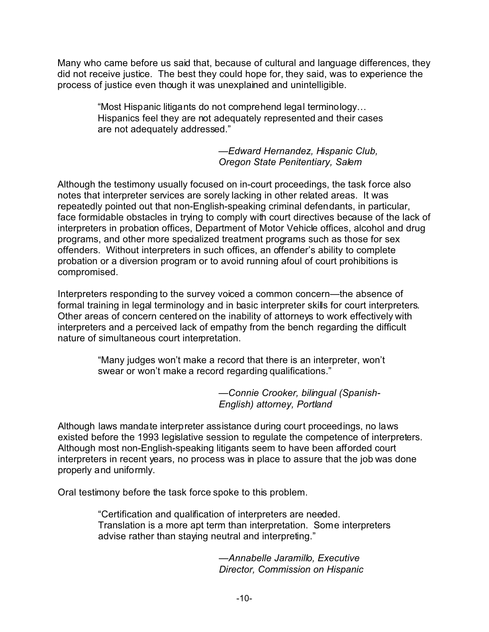Many who came before us said that, because of cultural and language differences, they did not receive justice. The best they could hope for, they said, was to experience the process of justice even though it was unexplained and unintelligible.

> "Most Hispanic litigants do not comprehend legal terminology… Hispanics feel they are not adequately represented and their cases are not adequately addressed."

> > *—Edward Hernandez, Hispanic Club, Oregon State Penitentiary, Salem*

Although the testimony usually focused on in-court proceedings, the task force also notes that interpreter services are sorely lacking in other related areas. It was repeatedly pointed out that non-English-speaking criminal defendants, in particular, face formidable obstacles in trying to comply with court directives because of the lack of interpreters in probation offices, Department of Motor Vehicle offices, alcohol and drug programs, and other more specialized treatment programs such as those for sex offenders. Without interpreters in such offices, an offender's ability to complete probation or a diversion program or to avoid running afoul of court prohibitions is compromised.

Interpreters responding to the survey voiced a common concern—the absence of formal training in legal terminology and in basic interpreter skills for court interpreters. Other areas of concern centered on the inability of attorneys to work effectively with interpreters and a perceived lack of empathy from the bench regarding the difficult nature of simultaneous court interpretation.

> "Many judges won't make a record that there is an interpreter, won't swear or won't make a record regarding qualifications."

> > *—Connie Crooker, bilingual (Spanish-English) attorney, Portland*

Although laws mandate interpreter assistance during court proceedings, no laws existed before the 1993 legislative session to regulate the competence of interpreters. Although most non-English-speaking litigants seem to have been afforded court interpreters in recent years, no process was in place to assure that the job was done properly and uniformly.

Oral testimony before the task force spoke to this problem.

"Certification and qualification of interpreters are needed. Translation is a more apt term than interpretation. Some interpreters advise rather than staying neutral and interpreting."

> *—Annabelle Jaramillo, Executive Director, Commission on Hispanic*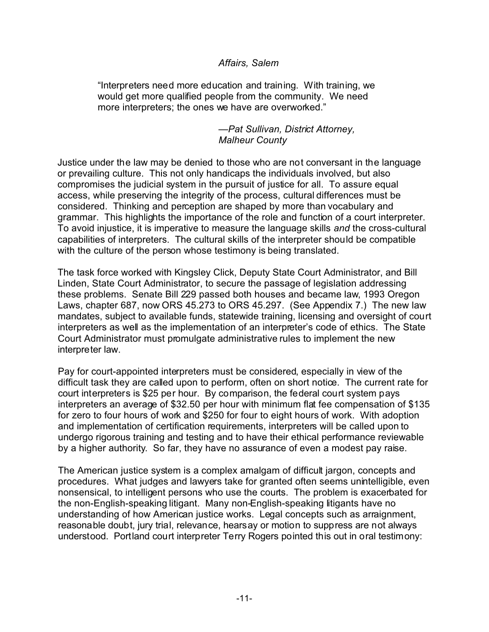#### *Affairs, Salem*

"Interpreters need more education and training. With training, we would get more qualified people from the community. We need more interpreters; the ones we have are overworked."

> *—Pat Sullivan, District Attorney, Malheur County*

Justice under the law may be denied to those who are not conversant in the language or prevailing culture. This not only handicaps the individuals involved, but also compromises the judicial system in the pursuit of justice for all. To assure equal access, while preserving the integrity of the process, cultural differences must be considered. Thinking and perception are shaped by more than vocabulary and grammar. This highlights the importance of the role and function of a court interpreter. To avoid injustice, it is imperative to measure the language skills *and* the cross-cultural capabilities of interpreters. The cultural skills of the interpreter should be compatible with the culture of the person whose testimony is being translated.

The task force worked with Kingsley Click, Deputy State Court Administrator, and Bill Linden, State Court Administrator, to secure the passage of legislation addressing these problems. Senate Bill 229 passed both houses and became law, 1993 Oregon Laws, chapter 687, now ORS 45.273 to ORS 45.297. (See Appendix 7.) The new law mandates, subject to available funds, statewide training, licensing and oversight of court interpreters as well as the implementation of an interpreter's code of ethics. The State Court Administrator must promulgate administrative rules to implement the new interpreter law.

Pay for court-appointed interpreters must be considered, especially in view of the difficult task they are called upon to perform, often on short notice. The current rate for court interpreters is \$25 per hour. By comparison, the federal court system pays interpreters an average of \$32.50 per hour with minimum flat fee compensation of \$135 for zero to four hours of work and \$250 for four to eight hours of work. With adoption and implementation of certification requirements, interpreters will be called upon to undergo rigorous training and testing and to have their ethical performance reviewable by a higher authority. So far, they have no assurance of even a modest pay raise.

The American justice system is a complex amalgam of difficult jargon, concepts and procedures. What judges and lawyers take for granted often seems unintelligible, even nonsensical, to intelligent persons who use the courts. The problem is exacerbated for the non-English-speaking litigant. Many non-English-speaking litigants have no understanding of how American justice works. Legal concepts such as arraignment, reasonable doubt, jury trial, relevance, hearsay or motion to suppress are not always understood. Portland court interpreter Terry Rogers pointed this out in oral testimony: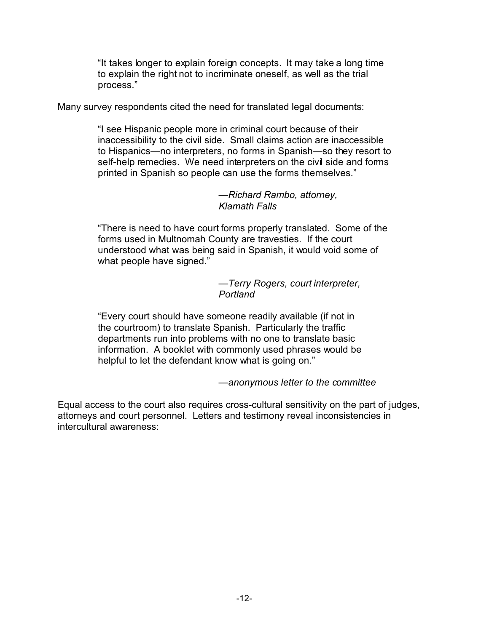"It takes longer to explain foreign concepts. It may take a long time to explain the right not to incriminate oneself, as well as the trial process."

Many survey respondents cited the need for translated legal documents:

"I see Hispanic people more in criminal court because of their inaccessibility to the civil side. Small claims action are inaccessible to Hispanics—no interpreters, no forms in Spanish—so they resort to self-help remedies. We need interpreters on the civil side and forms printed in Spanish so people can use the forms themselves."

> *—Richard Rambo, attorney, Klamath Falls*

"There is need to have court forms properly translated. Some of the forms used in Multnomah County are travesties. If the court understood what was being said in Spanish, it would void some of what people have signed."

> *—Terry Rogers, court interpreter, Portland*

"Every court should have someone readily available (if not in the courtroom) to translate Spanish. Particularly the traffic departments run into problems with no one to translate basic information. A booklet with commonly used phrases would be helpful to let the defendant know what is going on."

*—anonymous letter to the committee*

Equal access to the court also requires cross-cultural sensitivity on the part of judges, attorneys and court personnel. Letters and testimony reveal inconsistencies in intercultural awareness: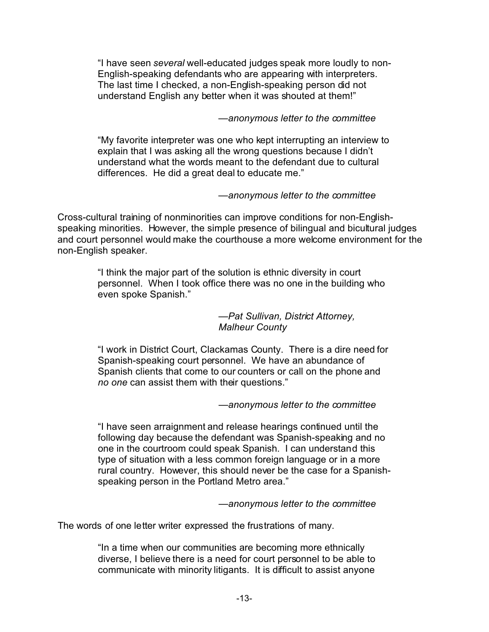"I have seen *several* well-educated judges speak more loudly to non-English-speaking defendants who are appearing with interpreters. The last time I checked, a non-English-speaking person did not understand English any better when it was shouted at them!"

#### *—anonymous letter to the committee*

"My favorite interpreter was one who kept interrupting an interview to explain that I was asking all the wrong questions because I didn't understand what the words meant to the defendant due to cultural differences. He did a great deal to educate me."

#### *—anonymous letter to the committee*

Cross-cultural training of nonminorities can improve conditions for non-Englishspeaking minorities. However, the simple presence of bilingual and bicultural judges and court personnel would make the courthouse a more welcome environment for the non-English speaker.

> "I think the major part of the solution is ethnic diversity in court personnel. When I took office there was no one in the building who even spoke Spanish."

> > *—Pat Sullivan, District Attorney, Malheur County*

"I work in District Court, Clackamas County. There is a dire need for Spanish-speaking court personnel. We have an abundance of Spanish clients that come to our counters or call on the phone and *no one* can assist them with their questions."

#### *—anonymous letter to the committee*

"I have seen arraignment and release hearings continued until the following day because the defendant was Spanish-speaking and no one in the courtroom could speak Spanish. I can understand this type of situation with a less common foreign language or in a more rural country. However, this should never be the case for a Spanishspeaking person in the Portland Metro area."

*—anonymous letter to the committee*

The words of one letter writer expressed the frustrations of many.

"In a time when our communities are becoming more ethnically diverse, I believe there is a need for court personnel to be able to communicate with minority litigants. It is difficult to assist anyone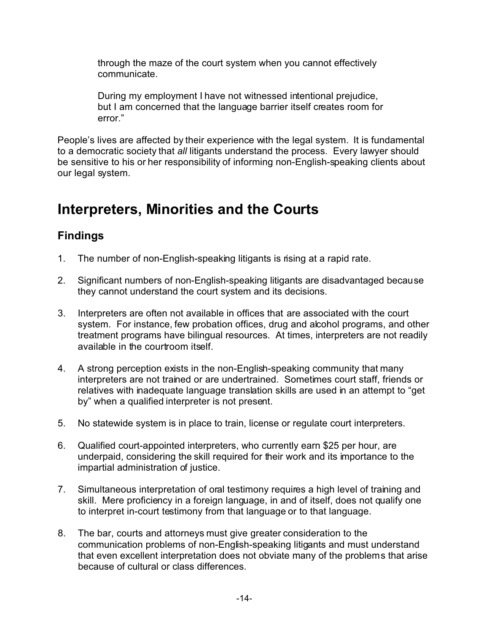through the maze of the court system when you cannot effectively communicate.

During my employment I have not witnessed intentional prejudice, but I am concerned that the language barrier itself creates room for error."

People's lives are affected by their experience with the legal system. It is fundamental to a democratic society that *all* litigants understand the process. Every lawyer should be sensitive to his or her responsibility of informing non-English-speaking clients about our legal system.

### **Interpreters, Minorities and the Courts**

### **Findings**

- 1. The number of non-English-speaking litigants is rising at a rapid rate.
- 2. Significant numbers of non-English-speaking litigants are disadvantaged because they cannot understand the court system and its decisions.
- 3. Interpreters are often not available in offices that are associated with the court system. For instance, few probation offices, drug and alcohol programs, and other treatment programs have bilingual resources. At times, interpreters are not readily available in the courtroom itself.
- 4. A strong perception exists in the non-English-speaking community that many interpreters are not trained or are undertrained. Sometimes court staff, friends or relatives with inadequate language translation skills are used in an attempt to "get by" when a qualified interpreter is not present.
- 5. No statewide system is in place to train, license or regulate court interpreters.
- 6. Qualified court-appointed interpreters, who currently earn \$25 per hour, are underpaid, considering the skill required for their work and its importance to the impartial administration of justice.
- 7. Simultaneous interpretation of oral testimony requires a high level of training and skill. Mere proficiency in a foreign language, in and of itself, does not qualify one to interpret in-court testimony from that language or to that language.
- 8. The bar, courts and attorneys must give greater consideration to the communication problems of non-English-speaking litigants and must understand that even excellent interpretation does not obviate many of the problems that arise because of cultural or class differences.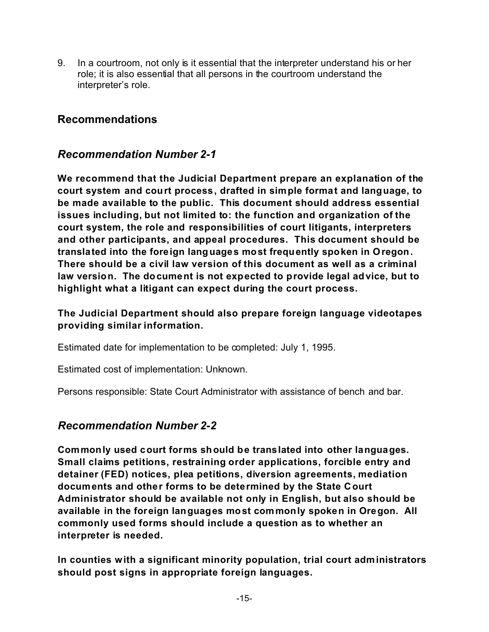9. In a courtroom, not only is it essential that the interpreter understand his or her role; it is also essential that all persons in the courtroom understand the interpreter's role.

#### **Recommendations**

#### *Recommendation Number 2-1*

**We recommend that the Judicial Department prepare an explanation of the court system and court process, drafted in simple format and language, to be made available to the public. This document should address essential issues including, but not limited to: the function and organization of the court system, the role and responsibilities of court litigants, interpreters and other participants, and appeal procedures. This document should be translated into the foreign languages most frequently spoken in Oregon. There should be a civil law version of this document as well as a criminal law version. The document is not expected to provide legal advice, but to highlight what a litigant can expect during the court process.**

**The Judicial Department should also prepare foreign language videotapes providing similar information.**

Estimated date for implementation to be completed: July 1, 1995.

Estimated cost of implementation: Unknown.

Persons responsible: State Court Administrator with assistance of bench and bar.

#### *Recommendation Number 2-2*

**Commonly used court forms should be translated into other languages. Small claims petitions, restraining order applications, forcible entry and detainer (FED) notices, plea petitions, diversion agreements, mediation documents and other forms to be determined by the State Court Administrator should be available not only in English, but also should be available in the foreign languages most commonly spoken in Oregon. All commonly used forms should include a question as to whether an interpreter is needed.**

**In counties with a significant minority population, trial court administrators should post signs in appropriate foreign languages.**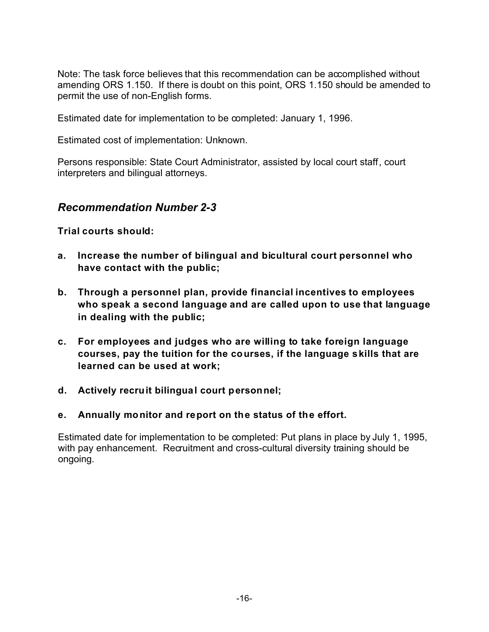Note: The task force believes that this recommendation can be accomplished without amending ORS 1.150. If there is doubt on this point, ORS 1.150 should be amended to permit the use of non-English forms.

Estimated date for implementation to be completed: January 1, 1996.

Estimated cost of implementation: Unknown.

Persons responsible: State Court Administrator, assisted by local court staff, court interpreters and bilingual attorneys.

#### *Recommendation Number 2-3*

**Trial courts should:**

- **a. Increase the number of bilingual and bicultural court personnel who have contact with the public;**
- **b. Through a personnel plan, provide financial incentives to employees who speak a second language and are called upon to use that language in dealing with the public;**
- **c. For employees and judges who are willing to take foreign language courses, pay the tuition for the courses, if the language skills that are learned can be used at work;**
- **d. Actively recruit bilingual court personnel;**
- **e. Annually monitor and report on the status of the effort.**

Estimated date for implementation to be completed: Put plans in place by July 1, 1995, with pay enhancement. Recruitment and cross-cultural diversity training should be ongoing.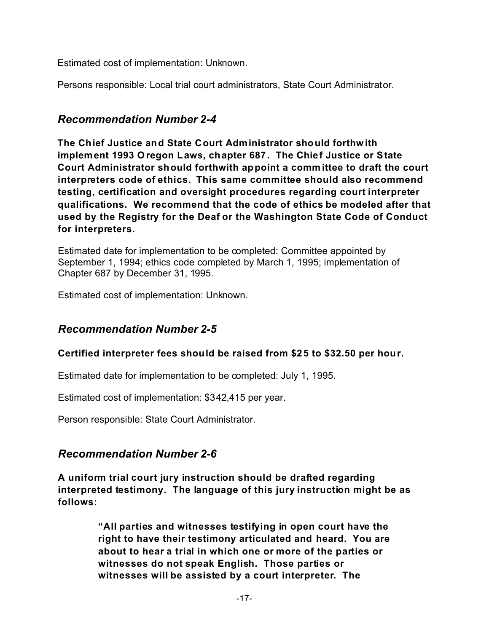Estimated cost of implementation: Unknown.

Persons responsible: Local trial court administrators, State Court Administrator.

#### *Recommendation Number 2-4*

**The Chief Justice and State Court Administrator should forthwith implement 1993 Oregon Laws, chapter 687. The Chief Justice or State Court Administrator should forthwith appoint a comm ittee to draft the court interpreters code of ethics. This same committee should also recommend testing, certification and oversight procedures regarding court interpreter qualifications. We recommend that the code of ethics be modeled after that used by the Registry for the Deaf or the Washington State Code of Conduct for interpreters.**

Estimated date for implementation to be completed: Committee appointed by September 1, 1994; ethics code completed by March 1, 1995; implementation of Chapter 687 by December 31, 1995.

Estimated cost of implementation: Unknown.

#### *Recommendation Number 2-5*

#### **Certified interpreter fees should be raised from \$25 to \$32.50 per hour.**

Estimated date for implementation to be completed: July 1, 1995.

Estimated cost of implementation: \$342,415 per year.

Person responsible: State Court Administrator.

#### *Recommendation Number 2-6*

**A uniform trial court jury instruction should be drafted regarding interpreted testimony. The language of this jury instruction might be as follows:**

> **"All parties and witnesses testifying in open court have the right to have their testimony articulated and heard. You are about to hear a trial in which one or more of the parties or witnesses do not speak English. Those parties or witnesses will be assisted by a court interpreter. The**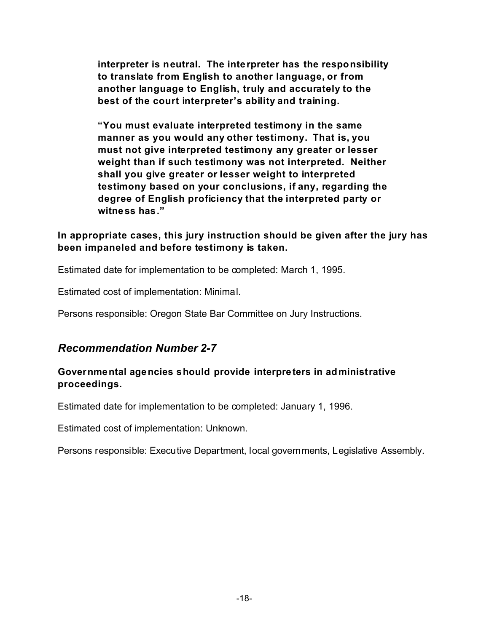**interpreter is neutral. The interpreter has the responsibility to translate from English to another language, or from another language to English, truly and accurately to the best of the court interpreter's ability and training.**

**"You must evaluate interpreted testimony in the same manner as you would any other testimony. That is, you must not give interpreted testimony any greater or lesser weight than if such testimony was not interpreted. Neither shall you give greater or lesser weight to interpreted testimony based on your conclusions, if any, regarding the degree of English proficiency that the interpreted party or witness has."**

#### **In appropriate cases, this jury instruction should be given after the jury has been impaneled and before testimony is taken.**

Estimated date for implementation to be completed: March 1, 1995.

Estimated cost of implementation: Minimal.

Persons responsible: Oregon State Bar Committee on Jury Instructions.

#### *Recommendation Number 2-7*

#### **Governmental agencies should provide interpreters in administrative proceedings.**

Estimated date for implementation to be completed: January 1, 1996.

Estimated cost of implementation: Unknown.

Persons responsible: Executive Department, local governments, Legislative Assembly.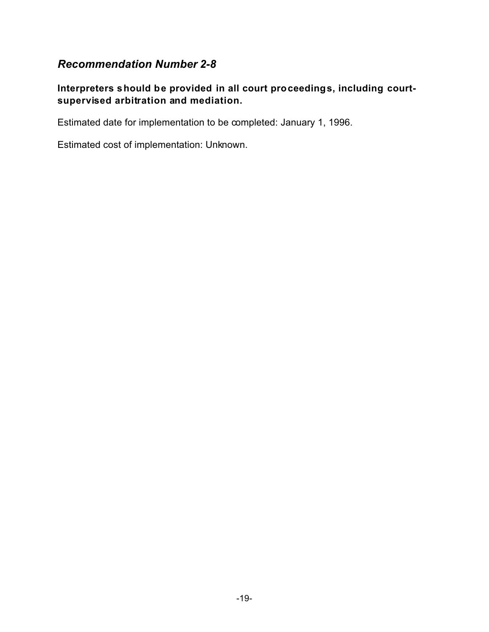#### *Recommendation Number 2-8*

#### **Interpreters should be provided in all court proceedings, including courtsupervised arbitration and mediation.**

Estimated date for implementation to be completed: January 1, 1996.

Estimated cost of implementation: Unknown.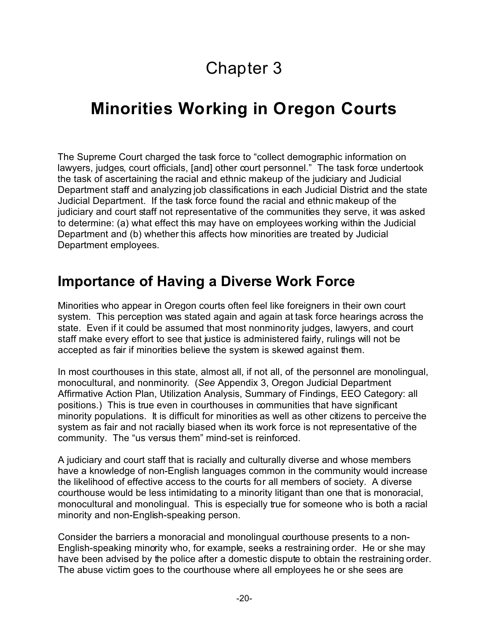# Chapter 3

# **Minorities Working in Oregon Courts**

The Supreme Court charged the task force to "collect demographic information on lawyers, judges, court officials, [and] other court personnel." The task force undertook the task of ascertaining the racial and ethnic makeup of the judiciary and Judicial Department staff and analyzing job classifications in each Judicial District and the state Judicial Department. If the task force found the racial and ethnic makeup of the judiciary and court staff not representative of the communities they serve, it was asked to determine: (a) what effect this may have on employees working within the Judicial Department and (b) whether this affects how minorities are treated by Judicial Department employees.

### **Importance of Having a Diverse Work Force**

Minorities who appear in Oregon courts often feel like foreigners in their own court system. This perception was stated again and again at task force hearings across the state. Even if it could be assumed that most nonminority judges, lawyers, and court staff make every effort to see that justice is administered fairly, rulings will not be accepted as fair if minorities believe the system is skewed against them.

In most courthouses in this state, almost all, if not all, of the personnel are monolingual, monocultural, and nonminority. (*See* Appendix 3, Oregon Judicial Department Affirmative Action Plan, Utilization Analysis, Summary of Findings, EEO Category: all positions.) This is true even in courthouses in communities that have significant minority populations. It is difficult for minorities as well as other citizens to perceive the system as fair and not racially biased when its work force is not representative of the community. The "us versus them" mind-set is reinforced.

A judiciary and court staff that is racially and culturally diverse and whose members have a knowledge of non-English languages common in the community would increase the likelihood of effective access to the courts for all members of society. A diverse courthouse would be less intimidating to a minority litigant than one that is monoracial, monocultural and monolingual. This is especially true for someone who is both a racial minority and non-English-speaking person.

Consider the barriers a monoracial and monolingual courthouse presents to a non-English-speaking minority who, for example, seeks a restraining order. He or she may have been advised by the police after a domestic dispute to obtain the restraining order. The abuse victim goes to the courthouse where all employees he or she sees are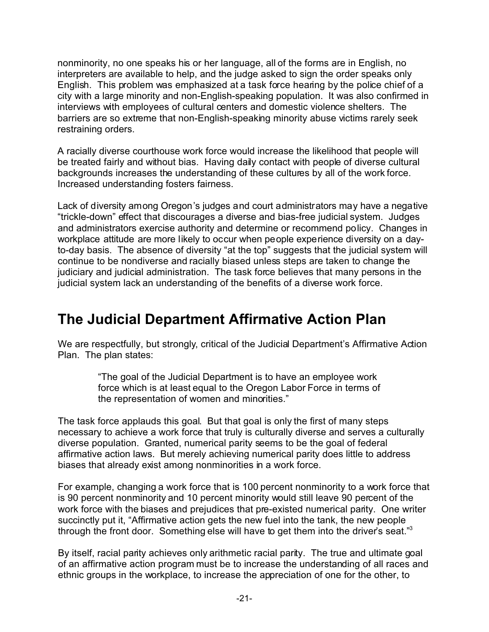nonminority, no one speaks his or her language, all of the forms are in English, no interpreters are available to help, and the judge asked to sign the order speaks only English. This problem was emphasized at a task force hearing by the police chief of a city with a large minority and non-English-speaking population. It was also confirmed in interviews with employees of cultural centers and domestic violence shelters. The barriers are so extreme that non-English-speaking minority abuse victims rarely seek restraining orders.

A racially diverse courthouse work force would increase the likelihood that people will be treated fairly and without bias. Having daily contact with people of diverse cultural backgrounds increases the understanding of these cultures by all of the work force. Increased understanding fosters fairness.

Lack of diversity among Oregon's judges and court administrators may have a negative "trickle-down" effect that discourages a diverse and bias-free judicial system. Judges and administrators exercise authority and determine or recommend policy. Changes in workplace attitude are more likely to occur when people experience diversity on a dayto-day basis. The absence of diversity "at the top" suggests that the judicial system will continue to be nondiverse and racially biased unless steps are taken to change the judiciary and judicial administration. The task force believes that many persons in the judicial system lack an understanding of the benefits of a diverse work force.

### **The Judicial Department Affirmative Action Plan**

We are respectfully, but strongly, critical of the Judicial Department's Affirmative Action Plan. The plan states:

> "The goal of the Judicial Department is to have an employee work force which is at least equal to the Oregon Labor Force in terms of the representation of women and minorities."

The task force applauds this goal. But that goal is only the first of many steps necessary to achieve a work force that truly is culturally diverse and serves a culturally diverse population. Granted, numerical parity seems to be the goal of federal affirmative action laws. But merely achieving numerical parity does little to address biases that already exist among nonminorities in a work force.

For example, changing a work force that is 100 percent nonminority to a work force that is 90 percent nonminority and 10 percent minority would still leave 90 percent of the work force with the biases and prejudices that pre-existed numerical parity. One writer succinctly put it, "Affirmative action gets the new fuel into the tank, the new people through the front door. Something else will have to get them into the driver's seat."3

By itself, racial parity achieves only arithmetic racial parity. The true and ultimate goal of an affirmative action program must be to increase the understanding of all races and ethnic groups in the workplace, to increase the appreciation of one for the other, to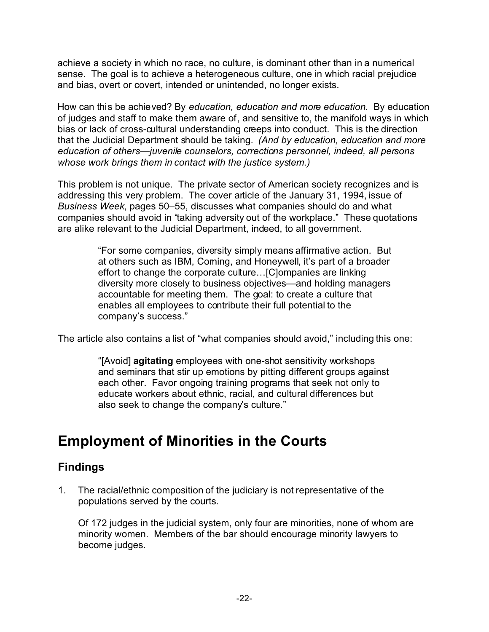achieve a society in which no race, no culture, is dominant other than in a numerical sense. The goal is to achieve a heterogeneous culture, one in which racial prejudice and bias, overt or covert, intended or unintended, no longer exists.

How can this be achieved? By *education, education and more education*. By education of judges and staff to make them aware of, and sensitive to, the manifold ways in which bias or lack of cross-cultural understanding creeps into conduct. This is the direction that the Judicial Department should be taking. *(And by education, education and more education of others—juvenile counselors, corrections personnel, indeed, all persons whose work brings them in contact with the justice system.)*

This problem is not unique. The private sector of American society recognizes and is addressing this very problem. The cover article of the January 31, 1994, issue of *Business Week*, pages 50–55, discusses what companies should do and what companies should avoid in "taking adversity out of the workplace." These quotations are alike relevant to the Judicial Department, indeed, to all government.

> "For some companies, diversity simply means affirmative action. But at others such as IBM, Coming, and Honeywell, it's part of a broader effort to change the corporate culture…[C]ompanies are linking diversity more closely to business objectives—and holding managers accountable for meeting them. The goal: to create a culture that enables all employees to contribute their full potential to the company's success."

The article also contains a list of "what companies should avoid," including this one:

"[Avoid] **agitating** employees with one-shot sensitivity workshops and seminars that stir up emotions by pitting different groups against each other. Favor ongoing training programs that seek not only to educate workers about ethnic, racial, and cultural differences but also seek to change the company's culture."

### **Employment of Minorities in the Courts**

### **Findings**

1. The racial/ethnic composition of the judiciary is not representative of the populations served by the courts.

Of 172 judges in the judicial system, only four are minorities, none of whom are minority women. Members of the bar should encourage minority lawyers to become judges.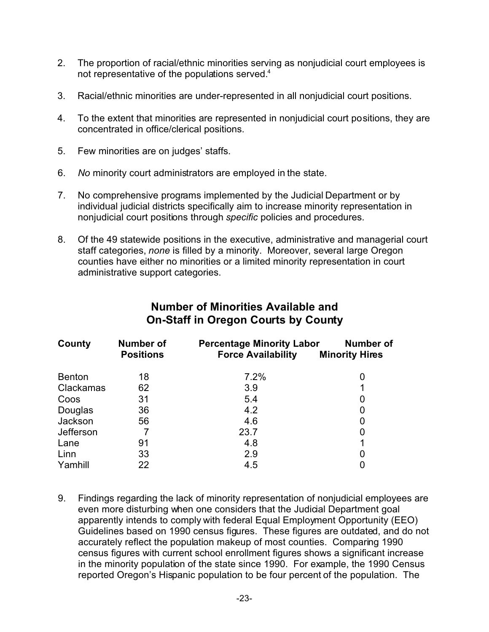- 2. The proportion of racial/ethnic minorities serving as nonjudicial court employees is not representative of the populations served.<sup>4</sup>
- 3. Racial/ethnic minorities are under-represented in all nonjudicial court positions.
- 4. To the extent that minorities are represented in nonjudicial court positions, they are concentrated in office/clerical positions.
- 5. Few minorities are on judges' staffs.
- 6. *No* minority court administrators are employed in the state.
- 7. No comprehensive programs implemented by the Judicial Department or by individual judicial districts specifically aim to increase minority representation in nonjudicial court positions through *specific* policies and procedures.
- 8. Of the 49 statewide positions in the executive, administrative and managerial court staff categories, *none* is filled by a minority. Moreover, several large Oregon counties have either no minorities or a limited minority representation in court administrative support categories.

| County        | <b>Number of</b><br><b>Positions</b> | <b>Percentage Minority Labor</b><br><b>Force Availability</b> | Number of<br><b>Minority Hires</b> |
|---------------|--------------------------------------|---------------------------------------------------------------|------------------------------------|
| <b>Benton</b> | 18                                   | 7.2%                                                          | O                                  |
| Clackamas     | 62                                   | 3.9                                                           |                                    |
| Coos          | 31                                   | 5.4                                                           |                                    |
| Douglas       | 36                                   | 4.2                                                           |                                    |
| Jackson       | 56                                   | 4.6                                                           |                                    |
| Jefferson     |                                      | 23.7                                                          |                                    |
| Lane          | 91                                   | 4.8                                                           |                                    |
| Linn          | 33                                   | 2.9                                                           |                                    |
| Yamhill       | 22                                   | 4.5                                                           |                                    |

#### **Number of Minorities Available and On-Staff in Oregon Courts by County**

9. Findings regarding the lack of minority representation of nonjudicial employees are even more disturbing when one considers that the Judicial Department goal apparently intends to comply with federal Equal Employment Opportunity (EEO) Guidelines based on 1990 census figures. These figures are outdated, and do not accurately reflect the population makeup of most counties. Comparing 1990 census figures with current school enrollment figures shows a significant increase in the minority population of the state since 1990. For example, the 1990 Census reported Oregon's Hispanic population to be four percent of the population. The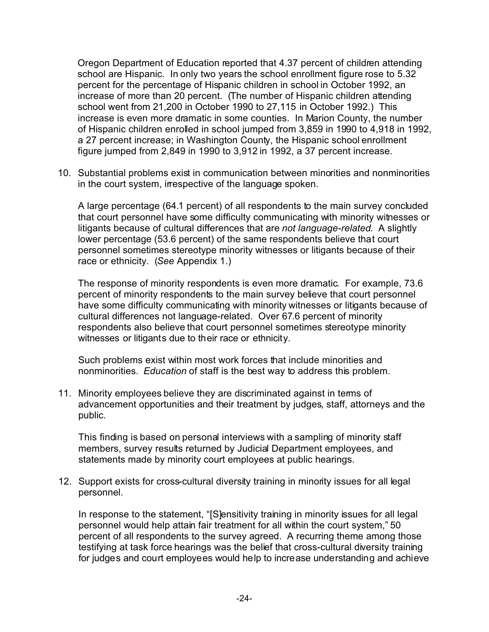Oregon Department of Education reported that 4.37 percent of children attending school are Hispanic. In only two years the school enrollment figure rose to 5.32 percent for the percentage of Hispanic children in school in October 1992, an increase of more than 20 percent. (The number of Hispanic children attending school went from 21,200 in October 1990 to 27,115 in October 1992.) This increase is even more dramatic in some counties. In Marion County, the number of Hispanic children enrolled in school jumped from 3,859 in 1990 to 4,918 in 1992, a 27 percent increase; in Washington County, the Hispanic school enrollment figure jumped from 2,849 in 1990 to 3,912 in 1992, a 37 percent increase.

10. Substantial problems exist in communication between minorities and nonminorities in the court system, irrespective of the language spoken.

A large percentage (64.1 percent) of all respondents to the main survey concluded that court personnel have some difficulty communicating with minority witnesses or litigants because of cultural differences that are *not language-related*. A slightly lower percentage (53.6 percent) of the same respondents believe that court personnel sometimes stereotype minority witnesses or litigants because of their race or ethnicity. (*See* Appendix 1.)

The response of minority respondents is even more dramatic. For example, 73.6 percent of minority respondents to the main survey believe that court personnel have some difficulty communicating with minority witnesses or litigants because of cultural differences not language-related. Over 67.6 percent of minority respondents also believe that court personnel sometimes stereotype minority witnesses or litigants due to their race or ethnicity.

Such problems exist within most work forces that include minorities and nonminorities. *Education* of staff is the best way to address this problem.

11. Minority employees believe they are discriminated against in terms of advancement opportunities and their treatment by judges, staff, attorneys and the public.

This finding is based on personal interviews with a sampling of minority staff members, survey results returned by Judicial Department employees, and statements made by minority court employees at public hearings.

12. Support exists for cross-cultural diversity training in minority issues for all legal personnel.

In response to the statement, "[S]ensitivity training in minority issues for all legal personnel would help attain fair treatment for all within the court system," 50 percent of all respondents to the survey agreed. A recurring theme among those testifying at task force hearings was the belief that cross-cultural diversity training for judges and court employees would help to increase understanding and achieve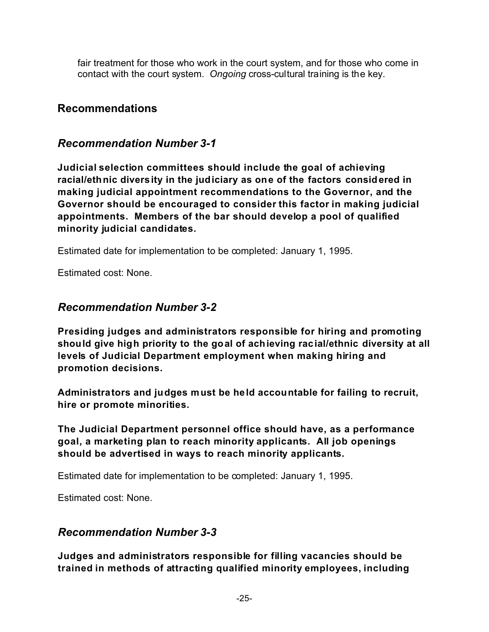fair treatment for those who work in the court system, and for those who come in contact with the court system. *Ongoing* cross-cultural training is the key.

#### **Recommendations**

#### *Recommendation Number 3-1*

**Judicial selection committees should include the goal of achieving racial/ethnic diversity in the judiciary as one of the factors considered in making judicial appointment recommendations to the Governor, and the Governor should be encouraged to consider this factor in making judicial appointments. Members of the bar should develop a pool of qualified minority judicial candidates.**

Estimated date for implementation to be completed: January 1, 1995.

Estimated cost: None.

#### *Recommendation Number 3-2*

**Presiding judges and administrators responsible for hiring and promoting should give high priority to the goal of achieving racial/ethnic diversity at all levels of Judicial Department employment when making hiring and promotion decisions.**

**Administrators and judges must be held accountable for failing to recruit, hire or promote minorities.**

**The Judicial Department personnel office should have, as a performance goal, a marketing plan to reach minority applicants. All job openings should be advertised in ways to reach minority applicants.**

Estimated date for implementation to be completed: January 1, 1995.

Estimated cost: None.

#### *Recommendation Number 3-3*

**Judges and administrators responsible for filling vacancies should be trained in methods of attracting qualified minority employees, including**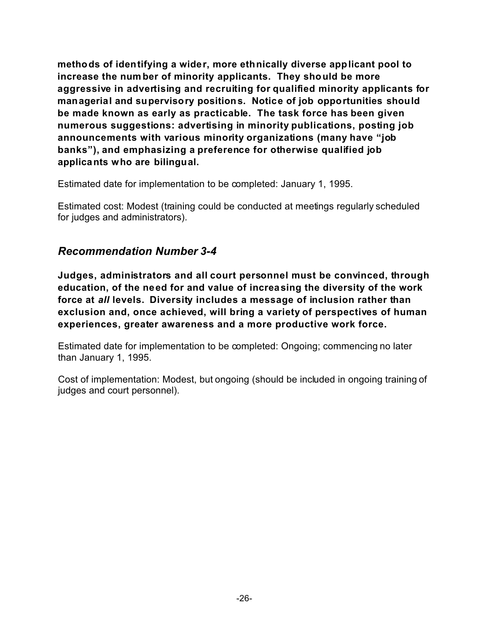**methods of identifying a wider, more ethnically diverse applicant pool to increase the num ber of minority applicants. They should be more aggressive in advertising and recruiting for qualified minority applicants for managerial and supervisory positions. Notice of job opportunities should be made known as early as practicable. The task force has been given numerous suggestions: advertising in minority publications, posting job announcements with various minority organizations (many have "job banks"), and emphasizing a preference for otherwise qualified job applicants who are bilingual.**

Estimated date for implementation to be completed: January 1, 1995.

Estimated cost: Modest (training could be conducted at meetings regularly scheduled for judges and administrators).

#### *Recommendation Number 3-4*

**Judges, administrators and all court personnel must be convinced, through education, of the need for and value of increasing the diversity of the work force at** *all* **levels. Diversity includes a message of inclusion rather than exclusion and, once achieved, will bring a variety of perspectives of human experiences, greater awareness and a more productive work force.**

Estimated date for implementation to be completed: Ongoing; commencing no later than January 1, 1995.

Cost of implementation: Modest, but ongoing (should be included in ongoing training of judges and court personnel).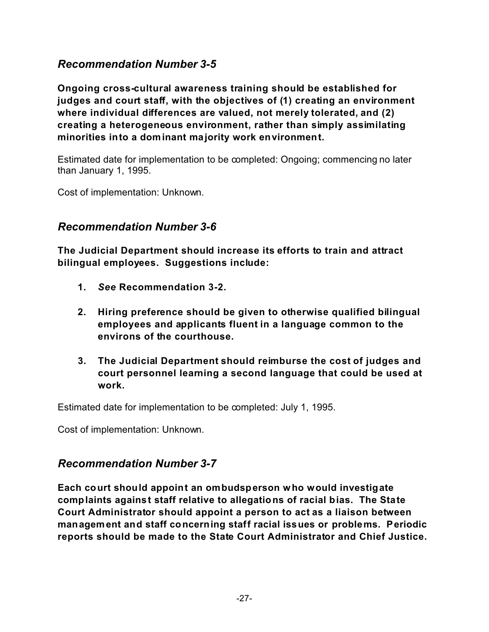#### *Recommendation Number 3-5*

**Ongoing cross-cultural awareness training should be established for judges and court staff, with the objectives of (1) creating an environment where individual differences are valued, not merely tolerated, and (2) creating a heterogeneous environment, rather than simply assimilating minorities into a dominant majority work environment.**

Estimated date for implementation to be completed: Ongoing; commencing no later than January 1, 1995.

Cost of implementation: Unknown.

#### *Recommendation Number 3-6*

**The Judicial Department should increase its efforts to train and attract bilingual employees. Suggestions include:**

- **1.** *See* **Recommendation 3-2.**
- **2. Hiring preference should be given to otherwise qualified bilingual employees and applicants fluent in a language common to the environs of the courthouse.**
- **3. The Judicial Department should reimburse the cost of judges and court personnel learning a second language that could be used at work.**

Estimated date for implementation to be completed: July 1, 1995.

Cost of implementation: Unknown.

#### *Recommendation Number 3-7*

**Each court should appoint an ombudsperson who would investigate complaints against staff relative to allegations of racial bias. The State Court Administrator should appoint a person to act as a liaison between management and staff concerning staff racial issues or problems. Periodic reports should be made to the State Court Administrator and Chief Justice.**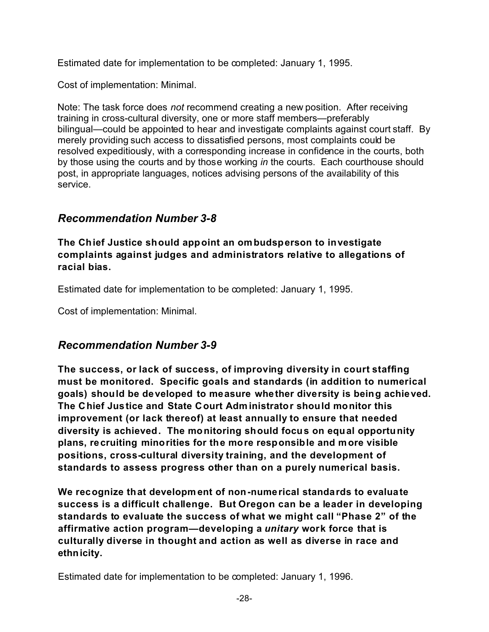Estimated date for implementation to be completed: January 1, 1995.

Cost of implementation: Minimal.

Note: The task force does *not* recommend creating a new position. After receiving training in cross-cultural diversity, one or more staff members—preferably bilingual—could be appointed to hear and investigate complaints against court staff. By merely providing such access to dissatisfied persons, most complaints could be resolved expeditiously, with a corresponding increase in confidence in the courts, both by those using the courts and by those working *in* the courts. Each courthouse should post, in appropriate languages, notices advising persons of the availability of this service.

### *Recommendation Number 3-8*

**The Chief Justice should appoint an ombudsperson to investigate complaints against judges and administrators relative to allegations of racial bias.**

Estimated date for implementation to be completed: January 1, 1995.

Cost of implementation: Minimal.

### *Recommendation Number 3-9*

**The success, or lack of success, of improving diversity in court staffing must be monitored. Specific goals and standards (in addition to numerical goals) should be developed to measure whether diversity is being achieved. The Chief Justice and State Court Adm inistrator should monitor this improvement (or lack thereof) at least annually to ensure that needed diversity is achieved. The monitoring should focus on equal opportunity plans, recruiting minorities for the more responsible and more visible positions, cross-cultural diversity training, and the development of standards to assess progress other than on a purely numerical basis.**

**We recognize that developm ent of non-numerical standards to evaluate success is a difficult challenge. But Oregon can be a leader in developing standards to evaluate the success of what we might call "Phase 2" of the affirmative action program—developing a** *unitary* **work force that is culturally diverse in thought and action as well as diverse in race and ethnicity.**

Estimated date for implementation to be completed: January 1, 1996.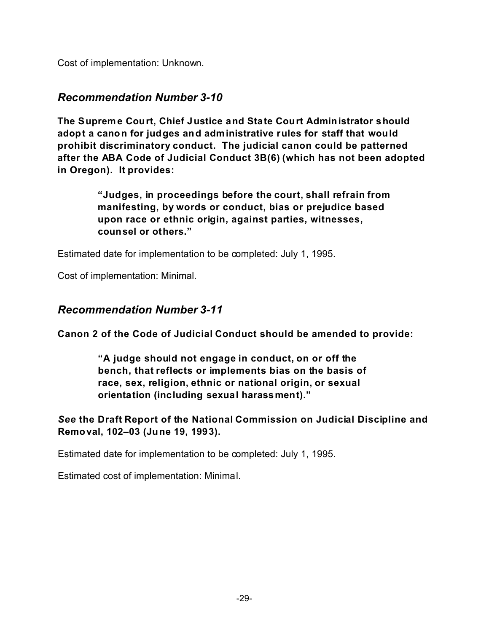Cost of implementation: Unknown.

#### *Recommendation Number 3-10*

**The Supreme Court, Chief Justice and State Court Administrator should adopt a canon for judges and administrative rules for staff that would prohibit discriminatory conduct. The judicial canon could be patterned after the ABA Code of Judicial Conduct 3B(6) (which has not been adopted in Oregon). It provides:**

> **"Judges, in proceedings before the court, shall refrain from manifesting, by words or conduct, bias or prejudice based upon race or ethnic origin, against parties, witnesses, counsel or others."**

Estimated date for implementation to be completed: July 1, 1995.

Cost of implementation: Minimal.

#### *Recommendation Number 3-11*

**Canon 2 of the Code of Judicial Conduct should be amended to provide:**

**"A judge should not engage in conduct, on or off the bench, that reflects or implements bias on the basis of race, sex, religion, ethnic or national origin, or sexual orientation (including sexual harassment)."**

*See* **the Draft Report of the National Commission on Judicial Discipline and Removal, 102–03 (June 19, 1993).**

Estimated date for implementation to be completed: July 1, 1995.

Estimated cost of implementation: Minimal.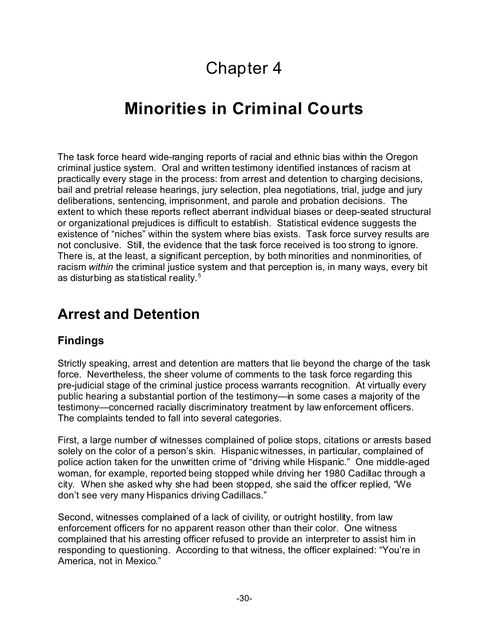# Chapter 4

# **Minorities in Criminal Courts**

The task force heard wide-ranging reports of racial and ethnic bias within the Oregon criminal justice system. Oral and written testimony identified instances of racism at practically every stage in the process: from arrest and detention to charging decisions, bail and pretrial release hearings, jury selection, plea negotiations, trial, judge and jury deliberations, sentencing, imprisonment, and parole and probation decisions. The extent to which these reports reflect aberrant individual biases or deep-seated structural or organizational prejudices is difficult to establish. Statistical evidence suggests the existence of "niches" within the system where bias exists. Task force survey results are not conclusive. Still, the evidence that the task force received is too strong to ignore. There is, at the least, a significant perception, by both minorities and nonminorities, of racism *within* the criminal justice system and that perception is, in many ways, every bit as disturbing as statistical reality.<sup>5</sup>

# **Arrest and Detention**

## **Findings**

Strictly speaking, arrest and detention are matters that lie beyond the charge of the task force. Nevertheless, the sheer volume of comments to the task force regarding this pre-judicial stage of the criminal justice process warrants recognition. At virtually every public hearing a substantial portion of the testimony—in some cases a majority of the testimony—concerned racially discriminatory treatment by law enforcement officers. The complaints tended to fall into several categories.

First, a large number of witnesses complained of police stops, citations or arrests based solely on the color of a person's skin. Hispanic witnesses, in particular, complained of police action taken for the unwritten crime of "driving while Hispanic." One middle-aged woman, for example, reported being stopped while driving her 1980 Cadillac through a city. When she asked why she had been stopped, she said the officer replied, "We don't see very many Hispanics driving Cadillacs."

Second, witnesses complained of a lack of civility, or outright hostility, from law enforcement officers for no apparent reason other than their color. One witness complained that his arresting officer refused to provide an interpreter to assist him in responding to questioning. According to that witness, the officer explained: "You're in America, not in Mexico."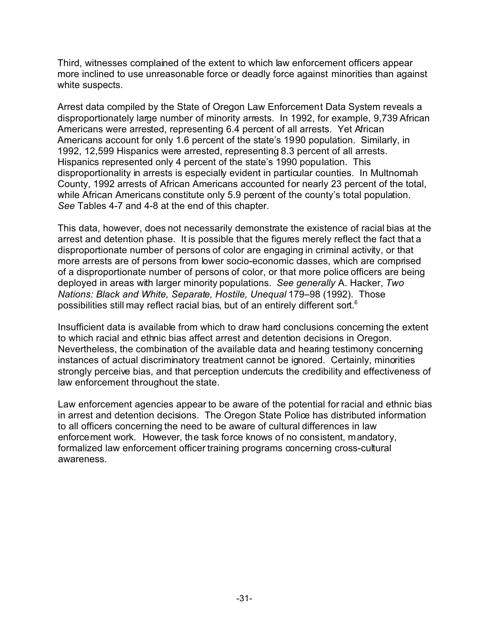Third, witnesses complained of the extent to which law enforcement officers appear more inclined to use unreasonable force or deadly force against minorities than against white suspects.

Arrest data compiled by the State of Oregon Law Enforcement Data System reveals a disproportionately large number of minority arrests. In 1992, for example, 9,739 African Americans were arrested, representing 6.4 percent of all arrests. Yet African Americans account for only 1.6 percent of the state's 1990 population. Similarly, in 1992, 12,599 Hispanics were arrested, representing 8.3 percent of all arrests. Hispanics represented only 4 percent of the state's 1990 population. This disproportionality in arrests is especially evident in particular counties. In Multnomah County, 1992 arrests of African Americans accounted for nearly 23 percent of the total, while African Americans constitute only 5.9 percent of the county's total population. *See* Tables 4-7 and 4-8 at the end of this chapter.

This data, however, does not necessarily demonstrate the existence of racial bias at the arrest and detention phase. It is possible that the figures merely reflect the fact that a disproportionate number of persons of color are engaging in criminal activity, or that more arrests are of persons from lower socio-economic classes, which are comprised of a disproportionate number of persons of color, or that more police officers are being deployed in areas with larger minority populations. *See generally* A. Hacker, *Two Nations: Black and White, Separate, Hostile, Unequal* 179–98 (1992). Those possibilities still may reflect racial bias, but of an entirely different sort.<sup>6</sup>

Insufficient data is available from which to draw hard conclusions concerning the extent to which racial and ethnic bias affect arrest and detention decisions in Oregon. Nevertheless, the combination of the available data and hearing testimony concerning instances of actual discriminatory treatment cannot be ignored. Certainly, minorities strongly perceive bias, and that perception undercuts the credibility and effectiveness of law enforcement throughout the state.

Law enforcement agencies appear to be aware of the potential for racial and ethnic bias in arrest and detention decisions. The Oregon State Police has distributed information to all officers concerning the need to be aware of cultural differences in law enforcement work. However, the task force knows of no consistent, mandatory, formalized law enforcement officer training programs concerning cross-cultural awareness.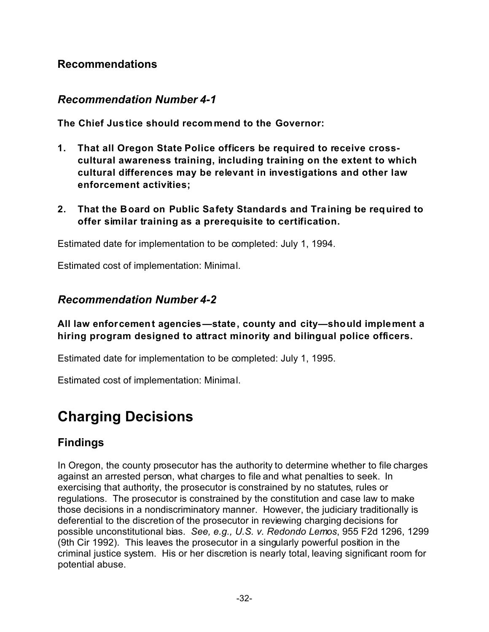#### **Recommendations**

#### *Recommendation Number 4-1*

**The Chief Justice should recommend to the Governor:**

- **1. That all Oregon State Police officers be required to receive crosscultural awareness training, including training on the extent to which cultural differences may be relevant in investigations and other law enforcement activities;**
- **2. That the Board on Public Safety Standards and Training be required to offer similar training as a prerequisite to certification.**

Estimated date for implementation to be completed: July 1, 1994.

Estimated cost of implementation: Minimal.

#### *Recommendation Number 4-2*

**All law enforcement agencies—state, county and city—should implement a hiring program designed to attract minority and bilingual police officers.**

Estimated date for implementation to be completed: July 1, 1995.

Estimated cost of implementation: Minimal.

# **Charging Decisions**

## **Findings**

In Oregon, the county prosecutor has the authority to determine whether to file charges against an arrested person, what charges to file and what penalties to seek. In exercising that authority, the prosecutor is constrained by no statutes, rules or regulations. The prosecutor is constrained by the constitution and case law to make those decisions in a nondiscriminatory manner. However, the judiciary traditionally is deferential to the discretion of the prosecutor in reviewing charging decisions for possible unconstitutional bias. *See, e.g., U.S. v. Redondo Lemos*, 955 F2d 1296, 1299 (9th Cir 1992). This leaves the prosecutor in a singularly powerful position in the criminal justice system. His or her discretion is nearly total, leaving significant room for potential abuse.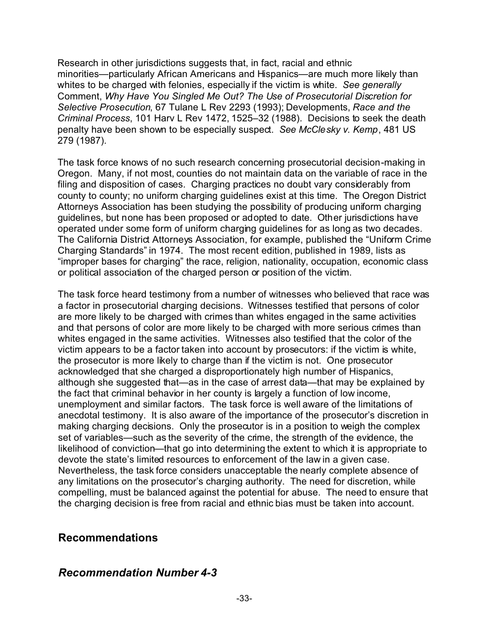Research in other jurisdictions suggests that, in fact, racial and ethnic minorities—particularly African Americans and Hispanics—are much more likely than whites to be charged with felonies, especially if the victim is white. *See generally* Comment, *Why Have You Singled Me Out? The Use of Prosecutorial Discretion for Selective Prosecution*, 67 Tulane L Rev 2293 (1993); Developments, *Race and the Criminal Process*, 101 Harv L Rev 1472, 1525–32 (1988). Decisions to seek the death penalty have been shown to be especially suspect. *See McClesky v. Kemp*, 481 US 279 (1987).

The task force knows of no such research concerning prosecutorial decision-making in Oregon. Many, if not most, counties do not maintain data on the variable of race in the filing and disposition of cases. Charging practices no doubt vary considerably from county to county; no uniform charging guidelines exist at this time. The Oregon District Attorneys Association has been studying the possibility of producing uniform charging guidelines, but none has been proposed or adopted to date. Other jurisdictions have operated under some form of uniform charging guidelines for as long as two decades. The California District Attorneys Association, for example, published the "Uniform Crime Charging Standards" in 1974. The most recent edition, published in 1989, lists as "improper bases for charging" the race, religion, nationality, occupation, economic class or political association of the charged person or position of the victim.

The task force heard testimony from a number of witnesses who believed that race was a factor in prosecutorial charging decisions. Witnesses testified that persons of color are more likely to be charged with crimes than whites engaged in the same activities and that persons of color are more likely to be charged with more serious crimes than whites engaged in the same activities. Witnesses also testified that the color of the victim appears to be a factor taken into account by prosecutors: if the victim is white, the prosecutor is more likely to charge than if the victim is not. One prosecutor acknowledged that she charged a disproportionately high number of Hispanics, although she suggested that—as in the case of arrest data—that may be explained by the fact that criminal behavior in her county is largely a function of low income, unemployment and similar factors. The task force is well aware of the limitations of anecdotal testimony. It is also aware of the importance of the prosecutor's discretion in making charging decisions. Only the prosecutor is in a position to weigh the complex set of variables—such as the severity of the crime, the strength of the evidence, the likelihood of conviction—that go into determining the extent to which it is appropriate to devote the state's limited resources to enforcement of the law in a given case. Nevertheless, the task force considers unacceptable the nearly complete absence of any limitations on the prosecutor's charging authority. The need for discretion, while compelling, must be balanced against the potential for abuse. The need to ensure that the charging decision is free from racial and ethnic bias must be taken into account.

#### **Recommendations**

#### *Recommendation Number 4-3*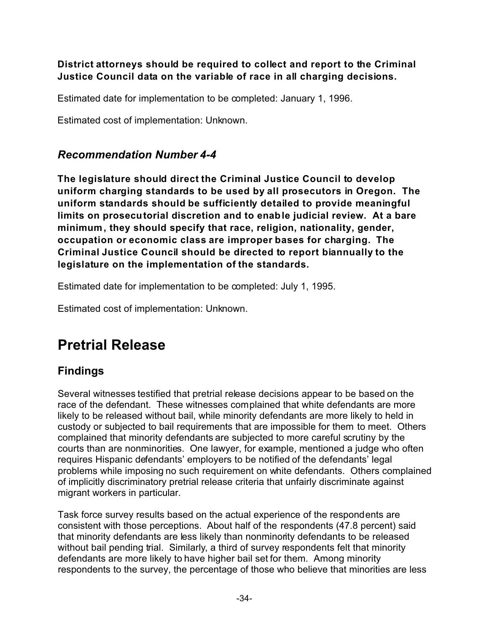#### **District attorneys should be required to collect and report to the Criminal Justice Council data on the variable of race in all charging decisions.**

Estimated date for implementation to be completed: January 1, 1996.

Estimated cost of implementation: Unknown.

## *Recommendation Number 4-4*

**The legislature should direct the Criminal Justice Council to develop uniform charging standards to be used by all prosecutors in Oregon. The uniform standards should be sufficiently detailed to provide meaningful limits on prosecutorial discretion and to enable judicial review. At a bare minimum, they should specify that race, religion, nationality, gender, occupation or economic class are improper bases for charging. The Criminal Justice Council should be directed to report biannually to the legislature on the implementation of the standards.**

Estimated date for implementation to be completed: July 1, 1995.

Estimated cost of implementation: Unknown.

# **Pretrial Release**

## **Findings**

Several witnesses testified that pretrial release decisions appear to be based on the race of the defendant. These witnesses complained that white defendants are more likely to be released without bail, while minority defendants are more likely to held in custody or subjected to bail requirements that are impossible for them to meet. Others complained that minority defendants are subjected to more careful scrutiny by the courts than are nonminorities. One lawyer, for example, mentioned a judge who often requires Hispanic defendants' employers to be notified of the defendants' legal problems while imposing no such requirement on white defendants. Others complained of implicitly discriminatory pretrial release criteria that unfairly discriminate against migrant workers in particular.

Task force survey results based on the actual experience of the respondents are consistent with those perceptions. About half of the respondents (47.8 percent) said that minority defendants are less likely than nonminority defendants to be released without bail pending trial. Similarly, a third of survey respondents felt that minority defendants are more likely to have higher bail set for them. Among minority respondents to the survey, the percentage of those who believe that minorities are less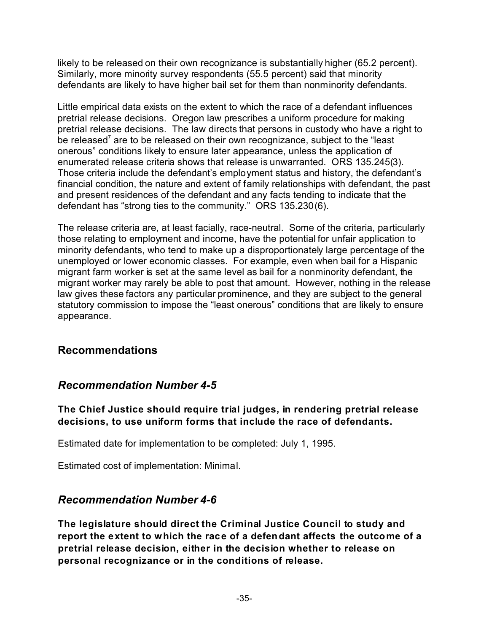likely to be released on their own recognizance is substantially higher (65.2 percent). Similarly, more minority survey respondents (55.5 percent) said that minority defendants are likely to have higher bail set for them than nonminority defendants.

Little empirical data exists on the extent to which the race of a defendant influences pretrial release decisions. Oregon law prescribes a uniform procedure for making pretrial release decisions. The law directs that persons in custody who have a right to be released<sup>7</sup> are to be released on their own recognizance, subject to the "least onerous" conditions likely to ensure later appearance, unless the application of enumerated release criteria shows that release is unwarranted. ORS 135.245(3). Those criteria include the defendant's employment status and history, the defendant's financial condition, the nature and extent of family relationships with defendant, the past and present residences of the defendant and any facts tending to indicate that the defendant has "strong ties to the community." ORS 135.230(6).

The release criteria are, at least facially, race-neutral. Some of the criteria, particularly those relating to employment and income, have the potential for unfair application to minority defendants, who tend to make up a disproportionately large percentage of the unemployed or lower economic classes. For example, even when bail for a Hispanic migrant farm worker is set at the same level as bail for a nonminority defendant, the migrant worker may rarely be able to post that amount. However, nothing in the release law gives these factors any particular prominence, and they are subject to the general statutory commission to impose the "least onerous" conditions that are likely to ensure appearance.

#### **Recommendations**

## *Recommendation Number 4-5*

**The Chief Justice should require trial judges, in rendering pretrial release decisions, to use uniform forms that include the race of defendants.**

Estimated date for implementation to be completed: July 1, 1995.

Estimated cost of implementation: Minimal.

#### *Recommendation Number 4-6*

**The legislature should direct the Criminal Justice Council to study and report the extent to which the race of a defendant affects the outcome of a pretrial release decision, either in the decision whether to release on personal recognizance or in the conditions of release.**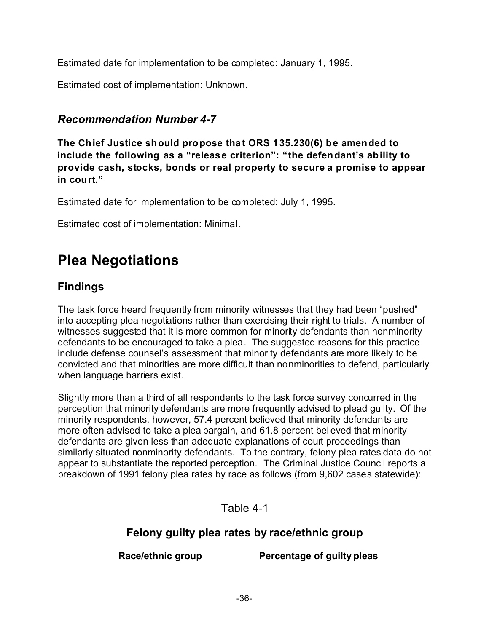Estimated date for implementation to be completed: January 1, 1995.

Estimated cost of implementation: Unknown.

## *Recommendation Number 4-7*

**The Chief Justice should propose that ORS 135.230(6) be amended to include the following as a "release criterion": "the defendant's ability to provide cash, stocks, bonds or real property to secure a promise to appear in court."**

Estimated date for implementation to be completed: July 1, 1995.

Estimated cost of implementation: Minimal.

# **Plea Negotiations**

## **Findings**

The task force heard frequently from minority witnesses that they had been "pushed" into accepting plea negotiations rather than exercising their right to trials. A number of witnesses suggested that it is more common for minority defendants than nonminority defendants to be encouraged to take a plea. The suggested reasons for this practice include defense counsel's assessment that minority defendants are more likely to be convicted and that minorities are more difficult than nonminorities to defend, particularly when language barriers exist.

Slightly more than a third of all respondents to the task force survey concurred in the perception that minority defendants are more frequently advised to plead guilty. Of the minority respondents, however, 57.4 percent believed that minority defendants are more often advised to take a plea bargain, and 61.8 percent believed that minority defendants are given less than adequate explanations of court proceedings than similarly situated nonminority defendants. To the contrary, felony plea rates data do not appear to substantiate the reported perception. The Criminal Justice Council reports a breakdown of 1991 felony plea rates by race as follows (from 9,602 cases statewide):

Table 4-1

## **Felony guilty plea rates by race/ethnic group**

**Race/ethnic group Percentage of guilty pleas**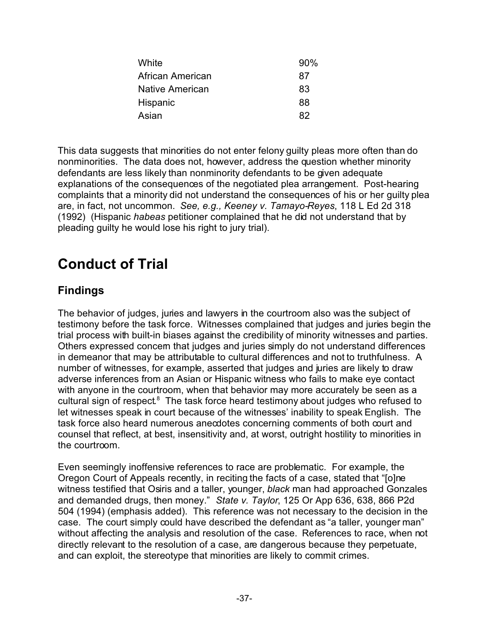| White            | 90% |
|------------------|-----|
| African American | 87  |
| Native American  | 83  |
| Hispanic         | 88  |
| Asian            | 82  |

This data suggests that minorities do not enter felony guilty pleas more often than do nonminorities. The data does not, however, address the question whether minority defendants are less likely than nonminority defendants to be given adequate explanations of the consequences of the negotiated plea arrangement. Post-hearing complaints that a minority did not understand the consequences of his or her guilty plea are, in fact, not uncommon. *See, e.g., Keeney v. Tamayo-Reyes*, 118 L Ed 2d 318 (1992) (Hispanic *habeas* petitioner complained that he did not understand that by pleading guilty he would lose his right to jury trial).

## **Conduct of Trial**

## **Findings**

The behavior of judges, juries and lawyers in the courtroom also was the subject of testimony before the task force. Witnesses complained that judges and juries begin the trial process with built-in biases against the credibility of minority witnesses and parties. Others expressed concem that judges and juries simply do not understand differences in demeanor that may be attributable to cultural differences and not to truthfulness. A number of witnesses, for example, asserted that judges and juries are likely to draw adverse inferences from an Asian or Hispanic witness who fails to make eye contact with anyone in the courtroom, when that behavior may more accurately be seen as a cultural sign of respect.<sup>8</sup> The task force heard testimony about judges who refused to let witnesses speak in court because of the witnesses' inability to speak English. The task force also heard numerous anecdotes concerning comments of both court and counsel that reflect, at best, insensitivity and, at worst, outright hostility to minorities in the courtroom.

Even seemingly inoffensive references to race are problematic. For example, the Oregon Court of Appeals recently, in reciting the facts of a case, stated that "[o]ne witness testified that Osiris and a taller, younger, *black* man had approached Gonzales and demanded drugs, then money." *State v. Taylor*, 125 Or App 636, 638, 866 P2d 504 (1994) (emphasis added). This reference was not necessary to the decision in the case. The court simply could have described the defendant as "a taller, younger man" without affecting the analysis and resolution of the case. References to race, when not directly relevant to the resolution of a case, are dangerous because they perpetuate, and can exploit, the stereotype that minorities are likely to commit crimes.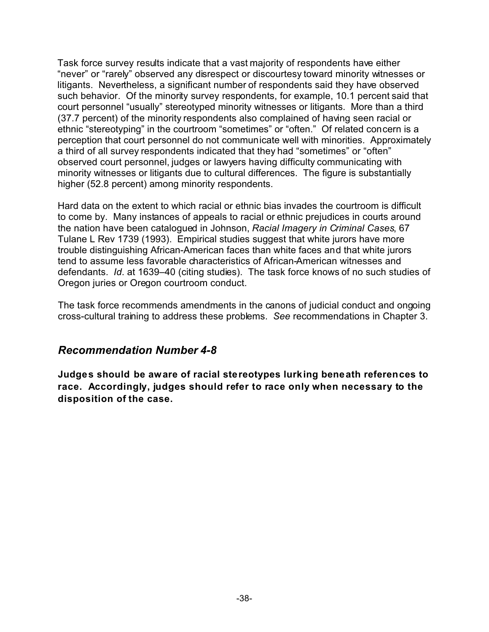Task force survey results indicate that a vast majority of respondents have either "never" or "rarely" observed any disrespect or discourtesy toward minority witnesses or litigants. Nevertheless, a significant number of respondents said they have observed such behavior. Of the minority survey respondents, for example, 10.1 percent said that court personnel "usually" stereotyped minority witnesses or litigants. More than a third (37.7 percent) of the minority respondents also complained of having seen racial or ethnic "stereotyping" in the courtroom "sometimes" or "often." Of related concern is a perception that court personnel do not communicate well with minorities. Approximately a third of all survey respondents indicated that they had "sometimes" or "often" observed court personnel, judges or lawyers having difficulty communicating with minority witnesses or litigants due to cultural differences. The figure is substantially higher (52.8 percent) among minority respondents.

Hard data on the extent to which racial or ethnic bias invades the courtroom is difficult to come by. Many instances of appeals to racial or ethnic prejudices in courts around the nation have been catalogued in Johnson, *Racial Imagery in Criminal Cases*, 67 Tulane L Rev 1739 (1993). Empirical studies suggest that white jurors have more trouble distinguishing African-American faces than white faces and that white jurors tend to assume less favorable characteristics of African-American witnesses and defendants. *Id*. at 1639–40 (citing studies). The task force knows of no such studies of Oregon juries or Oregon courtroom conduct.

The task force recommends amendments in the canons of judicial conduct and ongoing cross-cultural training to address these problems. *See* recommendations in Chapter 3.

#### *Recommendation Number 4-8*

**Judges should be aware of racial stereotypes lurking beneath references to race. Accordingly, judges should refer to race only when necessary to the disposition of the case.**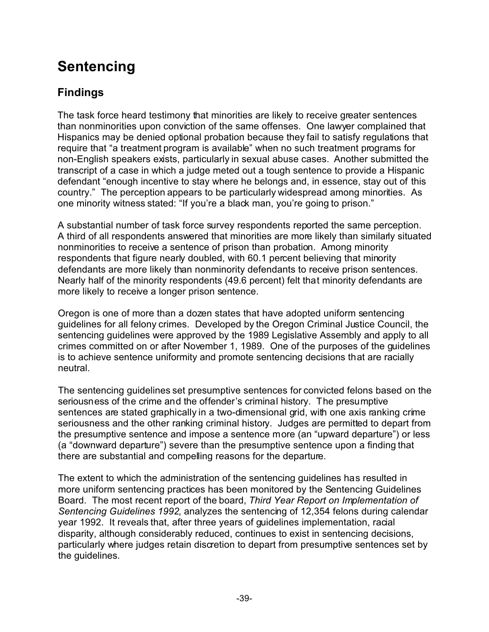# **Sentencing**

## **Findings**

The task force heard testimony that minorities are likely to receive greater sentences than nonminorities upon conviction of the same offenses. One lawyer complained that Hispanics may be denied optional probation because they fail to satisfy regulations that require that "a treatment program is available" when no such treatment programs for non-English speakers exists, particularly in sexual abuse cases. Another submitted the transcript of a case in which a judge meted out a tough sentence to provide a Hispanic defendant "enough incentive to stay where he belongs and, in essence, stay out of this country." The perception appears to be particularly widespread among minorities. As one minority witness stated: "If you're a black man, you're going to prison."

A substantial number of task force survey respondents reported the same perception. A third of all respondents answered that minorities are more likely than similarly situated nonminorities to receive a sentence of prison than probation. Among minority respondents that figure nearly doubled, with 60.1 percent believing that minority defendants are more likely than nonminority defendants to receive prison sentences. Nearly half of the minority respondents (49.6 percent) felt that minority defendants are more likely to receive a longer prison sentence.

Oregon is one of more than a dozen states that have adopted uniform sentencing guidelines for all felony crimes. Developed by the Oregon Criminal Justice Council, the sentencing guidelines were approved by the 1989 Legislative Assembly and apply to all crimes committed on or after November 1, 1989. One of the purposes of the guidelines is to achieve sentence uniformity and promote sentencing decisions that are racially neutral.

The sentencing guidelines set presumptive sentences for convicted felons based on the seriousness of the crime and the offender's criminal history. The presumptive sentences are stated graphically in a two-dimensional grid, with one axis ranking crime seriousness and the other ranking criminal history. Judges are permitted to depart from the presumptive sentence and impose a sentence more (an "upward departure") or less (a "downward departure") severe than the presumptive sentence upon a finding that there are substantial and compelling reasons for the departure.

The extent to which the administration of the sentencing guidelines has resulted in more uniform sentencing practices has been monitored by the Sentencing Guidelines Board. The most recent report of the board, *Third Year Report on Implementation of Sentencing Guidelines 1992*, analyzes the sentencing of 12,354 felons during calendar year 1992. It reveals that, after three years of guidelines implementation, racial disparity, although considerably reduced, continues to exist in sentencing decisions, particularly where judges retain discretion to depart from presumptive sentences set by the guidelines.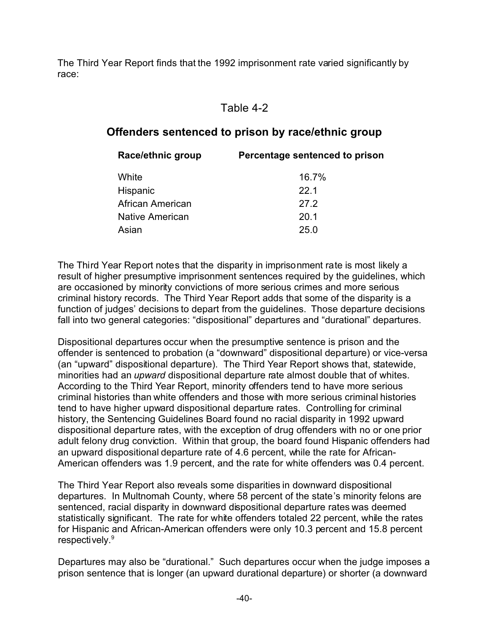The Third Year Report finds that the 1992 imprisonment rate varied significantly by race:

#### Table 4-2

#### **Offenders sentenced to prison by race/ethnic group**

| Race/ethnic group | Percentage sentenced to prison |
|-------------------|--------------------------------|
| White             | $16.7\%$                       |
| Hispanic          | 22.1                           |
| African American  | 27.2                           |
| Native American   | 20.1                           |
| Asian             | 25.0                           |
|                   |                                |

The Third Year Report notes that the disparity in imprisonment rate is most likely a result of higher presumptive imprisonment sentences required by the guidelines, which are occasioned by minority convictions of more serious crimes and more serious criminal history records. The Third Year Report adds that some of the disparity is a function of judges' decisions to depart from the guidelines. Those departure decisions fall into two general categories: "dispositional" departures and "durational" departures.

Dispositional departures occur when the presumptive sentence is prison and the offender is sentenced to probation (a "downward" dispositional departure) or vice-versa (an "upward" dispositional departure). The Third Year Report shows that, statewide, minorities had an *upward* dispositional departure rate almost double that of whites. According to the Third Year Report, minority offenders tend to have more serious criminal histories than white offenders and those with more serious criminal histories tend to have higher upward dispositional departure rates. Controlling for criminal history, the Sentencing Guidelines Board found no racial disparity in 1992 upward dispositional departure rates, with the exception of drug offenders with no or one prior adult felony drug conviction. Within that group, the board found Hispanic offenders had an upward dispositional departure rate of 4.6 percent, while the rate for African-American offenders was 1.9 percent, and the rate for white offenders was 0.4 percent.

The Third Year Report also reveals some disparities in downward dispositional departures. In Multnomah County, where 58 percent of the state's minority felons are sentenced, racial disparity in downward dispositional departure rates was deemed statistically significant. The rate for white offenders totaled 22 percent, while the rates for Hispanic and African-American offenders were only 10.3 percent and 15.8 percent respectively.<sup>9</sup>

Departures may also be "durational." Such departures occur when the judge imposes a prison sentence that is longer (an upward durational departure) or shorter (a downward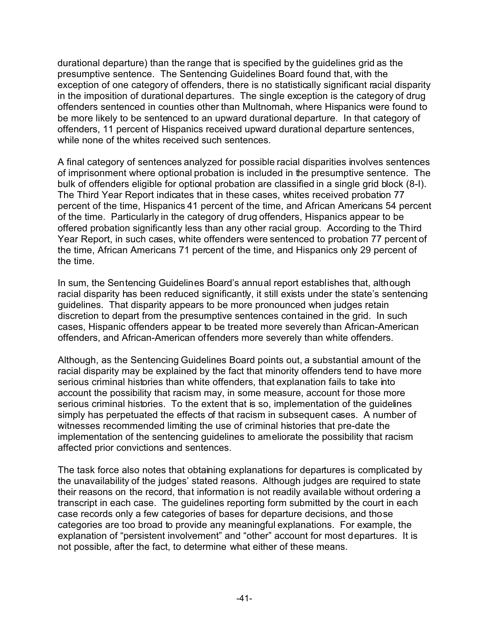durational departure) than the range that is specified by the guidelines grid as the presumptive sentence. The Sentencing Guidelines Board found that, with the exception of one category of offenders, there is no statistically significant racial disparity in the imposition of durational departures. The single exception is the category of drug offenders sentenced in counties other than Multnomah, where Hispanics were found to be more likely to be sentenced to an upward durational departure. In that category of offenders, 11 percent of Hispanics received upward durational departure sentences, while none of the whites received such sentences.

A final category of sentences analyzed for possible racial disparities involves sentences of imprisonment where optional probation is included in the presumptive sentence. The bulk of offenders eligible for optional probation are classified in a single grid block (8-I). The Third Year Report indicates that in these cases, whites received probation 77 percent of the time, Hispanics 41 percent of the time, and African Americans 54 percent of the time. Particularly in the category of drug offenders, Hispanics appear to be offered probation significantly less than any other racial group. According to the Third Year Report, in such cases, white offenders were sentenced to probation 77 percent of the time, African Americans 71 percent of the time, and Hispanics only 29 percent of the time.

In sum, the Sentencing Guidelines Board's annual report establishes that, although racial disparity has been reduced significantly, it still exists under the state's sentencing guidelines. That disparity appears to be more pronounced when judges retain discretion to depart from the presumptive sentences contained in the grid. In such cases, Hispanic offenders appear to be treated more severely than African-American offenders, and African-American offenders more severely than white offenders.

Although, as the Sentencing Guidelines Board points out, a substantial amount of the racial disparity may be explained by the fact that minority offenders tend to have more serious criminal histories than white offenders, that explanation fails to take into account the possibility that racism may, in some measure, account for those more serious criminal histories. To the extent that is so, implementation of the guidelines simply has perpetuated the effects of that racism in subsequent cases. A number of witnesses recommended limiting the use of criminal histories that pre-date the implementation of the sentencing guidelines to ameliorate the possibility that racism affected prior convictions and sentences.

The task force also notes that obtaining explanations for departures is complicated by the unavailability of the judges' stated reasons. Although judges are required to state their reasons on the record, that information is not readily available without ordering a transcript in each case. The guidelines reporting form submitted by the court in each case records only a few categories of bases for departure decisions, and those categories are too broad to provide any meaningful explanations. For example, the explanation of "persistent involvement" and "other" account for most departures. It is not possible, after the fact, to determine what either of these means.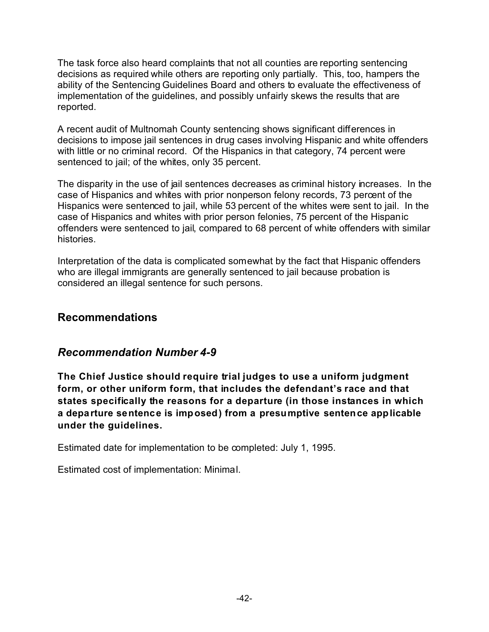The task force also heard complaints that not all counties are reporting sentencing decisions as required while others are reporting only partially. This, too, hampers the ability of the Sentencing Guidelines Board and others to evaluate the effectiveness of implementation of the guidelines, and possibly unfairly skews the results that are reported.

A recent audit of Multnomah County sentencing shows significant differences in decisions to impose jail sentences in drug cases involving Hispanic and white offenders with little or no criminal record. Of the Hispanics in that category, 74 percent were sentenced to jail; of the whites, only 35 percent.

The disparity in the use of jail sentences decreases as criminal history increases. In the case of Hispanics and whites with prior nonperson felony records, 73 percent of the Hispanics were sentenced to jail, while 53 percent of the whites were sent to jail. In the case of Hispanics and whites with prior person felonies, 75 percent of the Hispanic offenders were sentenced to jail, compared to 68 percent of white offenders with similar histories.

Interpretation of the data is complicated somewhat by the fact that Hispanic offenders who are illegal immigrants are generally sentenced to jail because probation is considered an illegal sentence for such persons.

#### **Recommendations**

#### *Recommendation Number 4-9*

**The Chief Justice should require trial judges to use a uniform judgment form, or other uniform form, that includes the defendant's race and that states specifically the reasons for a departure (in those instances in which a departure sentence is imposed) from a presumptive sentence applicable under the guidelines.**

Estimated date for implementation to be completed: July 1, 1995.

Estimated cost of implementation: Minimal.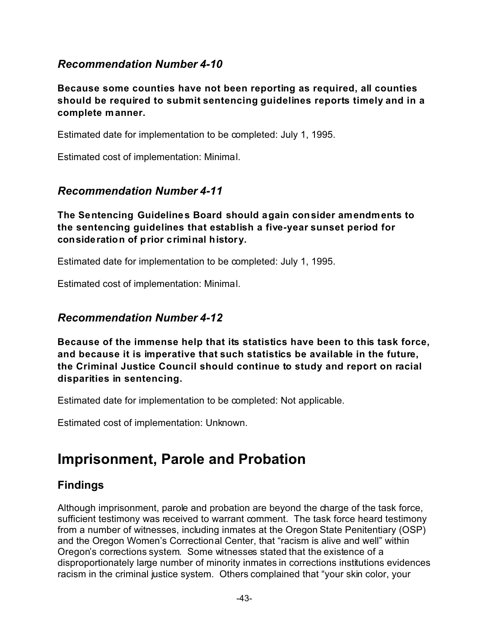## *Recommendation Number 4-10*

**Because some counties have not been reporting as required, all counties should be required to submit sentencing guidelines reports timely and in a complete manner.**

Estimated date for implementation to be completed: July 1, 1995.

Estimated cost of implementation: Minimal.

#### *Recommendation Number 4-11*

**The Sentencing Guidelines Board should again consider amendments to the sentencing guidelines that establish a five-year sunset period for consideration of prior criminal history.**

Estimated date for implementation to be completed: July 1, 1995.

Estimated cost of implementation: Minimal.

#### *Recommendation Number 4-12*

**Because of the immense help that its statistics have been to this task force, and because it is imperative that such statistics be available in the future, the Criminal Justice Council should continue to study and report on racial disparities in sentencing.**

Estimated date for implementation to be completed: Not applicable.

Estimated cost of implementation: Unknown.

## **Imprisonment, Parole and Probation**

#### **Findings**

Although imprisonment, parole and probation are beyond the charge of the task force, sufficient testimony was received to warrant comment. The task force heard testimony from a number of witnesses, including inmates at the Oregon State Penitentiary (OSP) and the Oregon Women's Correctional Center, that "racism is alive and well" within Oregon's corrections system. Some witnesses stated that the existence of a disproportionately large number of minority inmates in corrections institutions evidences racism in the criminal justice system. Others complained that "your skin color, your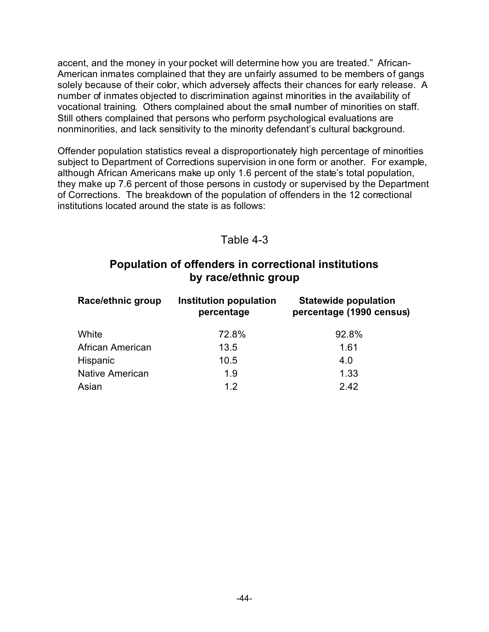accent, and the money in your pocket will determine how you are treated." African-American inmates complained that they are unfairly assumed to be members of gangs solely because of their color, which adversely affects their chances for early release. A number of inmates objected to discrimination against minorities in the availability of vocational training. Others complained about the small number of minorities on staff. Still others complained that persons who perform psychological evaluations are nonminorities, and lack sensitivity to the minority defendant's cultural background.

Offender population statistics reveal a disproportionately high percentage of minorities subject to Department of Corrections supervision in one form or another. For example, although African Americans make up only 1.6 percent of the state's total population, they make up 7.6 percent of those persons in custody or supervised by the Department of Corrections. The breakdown of the population of offenders in the 12 correctional institutions located around the state is as follows:

#### Table 4-3

### **Population of offenders in correctional institutions by race/ethnic group**

| Race/ethnic group      | Institution population<br>percentage | <b>Statewide population</b><br>percentage (1990 census) |
|------------------------|--------------------------------------|---------------------------------------------------------|
| White                  | 72.8%                                | 92.8%                                                   |
| African American       | 13.5                                 | 1.61                                                    |
| Hispanic               | 10.5                                 | 4.0                                                     |
| <b>Native American</b> | 1.9                                  | 1.33                                                    |
| Asian                  | 12                                   | 2.42                                                    |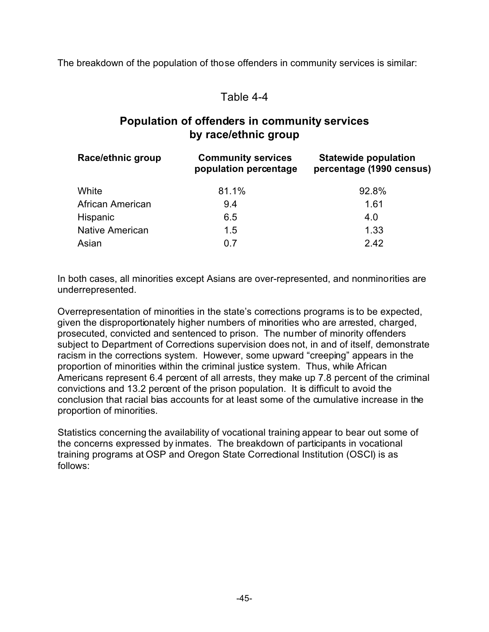The breakdown of the population of those offenders in community services is similar:

#### Table 4-4

## **Population of offenders in community services by race/ethnic group**

| Race/ethnic group      | <b>Community services</b><br>population percentage | <b>Statewide population</b><br>percentage (1990 census) |
|------------------------|----------------------------------------------------|---------------------------------------------------------|
| White                  | 81.1%                                              | 92.8%                                                   |
| African American       | 9.4                                                | 1.61                                                    |
| Hispanic               | 6.5                                                | 4.0                                                     |
| <b>Native American</b> | 1.5                                                | 1.33                                                    |
| Asian                  | 0.7                                                | 2.42                                                    |

In both cases, all minorities except Asians are over-represented, and nonminorities are underrepresented.

Overrepresentation of minorities in the state's corrections programs is to be expected, given the disproportionately higher numbers of minorities who are arrested, charged, prosecuted, convicted and sentenced to prison. The number of minority offenders subject to Department of Corrections supervision does not, in and of itself, demonstrate racism in the corrections system. However, some upward "creeping" appears in the proportion of minorities within the criminal justice system. Thus, while African Americans represent 6.4 percent of all arrests, they make up 7.8 percent of the criminal convictions and 13.2 percent of the prison population. It is difficult to avoid the conclusion that racial bias accounts for at least some of the cumulative increase in the proportion of minorities.

Statistics concerning the availability of vocational training appear to bear out some of the concerns expressed by inmates. The breakdown of participants in vocational training programs at OSP and Oregon State Correctional Institution (OSCI) is as follows: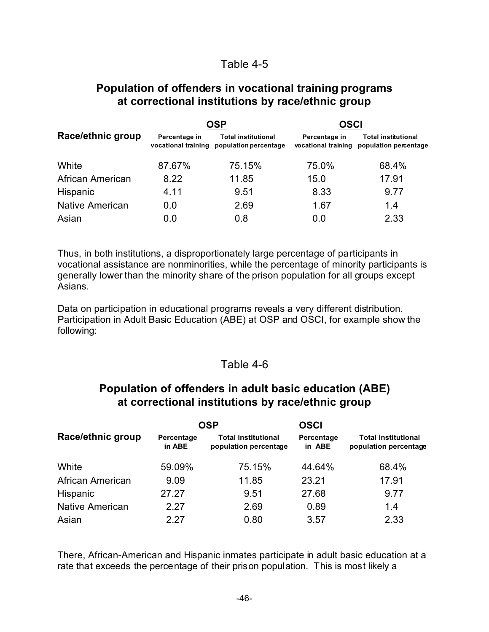#### Table 4-5

#### **Population of offenders in vocational training programs at correctional institutions by race/ethnic group**

|                   |                                      | OSP                                                 | <b>OSCI</b>                          |                                                     |  |
|-------------------|--------------------------------------|-----------------------------------------------------|--------------------------------------|-----------------------------------------------------|--|
| Race/ethnic group | Percentage in<br>vocational training | <b>Total institutional</b><br>population percentage | Percentage in<br>vocational training | <b>Total institutional</b><br>population percentage |  |
| White             | 87.67%                               | 75.15%                                              | 75.0%                                | 68.4%                                               |  |
| African American  | 8.22                                 | 11.85                                               | 15.0                                 | 17.91                                               |  |
| Hispanic          | 4.11                                 | 9.51                                                | 8.33                                 | 9.77                                                |  |
| Native American   | 0.0                                  | 2.69                                                | 1.67                                 | 1.4                                                 |  |
| Asian             | 0.0                                  | 0.8                                                 | 0.0                                  | 2.33                                                |  |

Thus, in both institutions, a disproportionately large percentage of participants in vocational assistance are nonminorities, while the percentage of minority participants is generally lower than the minority share of the prison population for all groups except Asians.

Data on participation in educational programs reveals a very different distribution. Participation in Adult Basic Education (ABE) at OSP and OSCI, for example show the following:

#### Table 4-6

#### **Population of offenders in adult basic education (ABE) at correctional institutions by race/ethnic group**

|                   |                                                                             | OSP    | <b>OSCI</b>          |                                                     |  |
|-------------------|-----------------------------------------------------------------------------|--------|----------------------|-----------------------------------------------------|--|
| Race/ethnic group | <b>Total institutional</b><br>Percentage<br>in ABE<br>population percentage |        | Percentage<br>in ABE | <b>Total institutional</b><br>population percentage |  |
| White             | 59.09%                                                                      | 75.15% | 44.64%               | 68.4%                                               |  |
| African American  | 9.09                                                                        | 11.85  | 23.21                | 17.91                                               |  |
| Hispanic          | 27.27                                                                       | 9.51   | 27.68                | 9.77                                                |  |
| Native American   | 2.27                                                                        | 2.69   | 0.89                 | 1.4                                                 |  |
| Asian             | 2.27                                                                        | 0.80   | 3.57                 | 2.33                                                |  |

There, African-American and Hispanic inmates participate in adult basic education at a rate that exceeds the percentage of their prison population. This is most likely a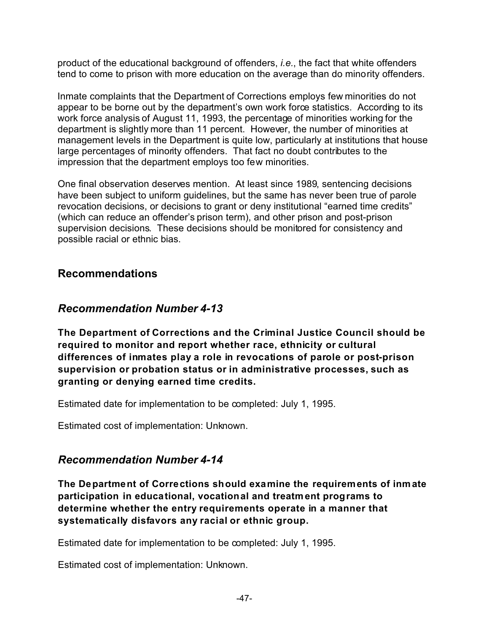product of the educational background of offenders, *i.e.*, the fact that white offenders tend to come to prison with more education on the average than do minority offenders.

Inmate complaints that the Department of Corrections employs few minorities do not appear to be borne out by the department's own work force statistics. According to its work force analysis of August 11, 1993, the percentage of minorities working for the department is slightly more than 11 percent. However, the number of minorities at management levels in the Department is quite low, particularly at institutions that house large percentages of minority offenders. That fact no doubt contributes to the impression that the department employs too few minorities.

One final observation deserves mention. At least since 1989, sentencing decisions have been subject to uniform guidelines, but the same has never been true of parole revocation decisions, or decisions to grant or deny institutional "earned time credits" (which can reduce an offender's prison term), and other prison and post-prison supervision decisions. These decisions should be monitored for consistency and possible racial or ethnic bias.

## **Recommendations**

#### *Recommendation Number 4-13*

**The Department of Corrections and the Criminal Justice Council should be required to monitor and report whether race, ethnicity or cultural differences of inmates play a role in revocations of parole or post-prison supervision or probation status or in administrative processes, such as granting or denying earned time credits.**

Estimated date for implementation to be completed: July 1, 1995.

Estimated cost of implementation: Unknown.

## *Recommendation Number 4-14*

**The Department of Corrections should examine the requirements of inmate participation in educational, vocational and treatment programs to determine whether the entry requirements operate in a manner that systematically disfavors any racial or ethnic group.**

Estimated date for implementation to be completed: July 1, 1995.

Estimated cost of implementation: Unknown.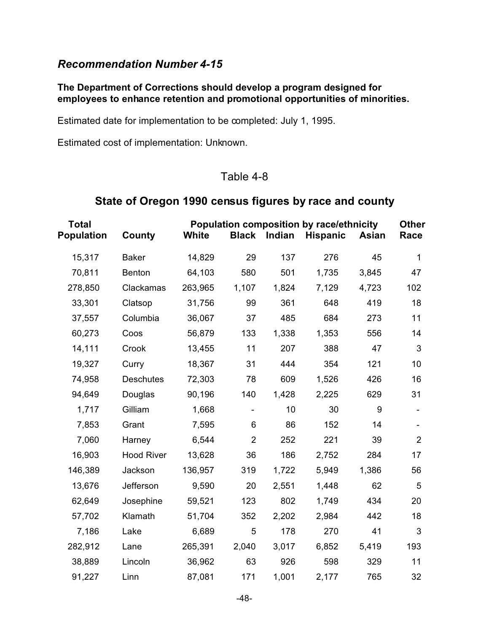#### *Recommendation Number 4-15*

#### **The Department of Corrections should develop a program designed for employees to enhance retention and promotional opportunities of minorities.**

Estimated date for implementation to be completed: July 1, 1995.

Estimated cost of implementation: Unknown.

#### Table 4-8

#### **State of Oregon 1990 census figures by race and county**

| <b>Total</b><br><b>Population</b> | Population composition by race/ethnicity<br><b>White</b><br><b>Black</b><br>Indian<br>County<br><b>Hispanic</b><br>Asian |         |                |       |       |       |                |
|-----------------------------------|--------------------------------------------------------------------------------------------------------------------------|---------|----------------|-------|-------|-------|----------------|
| 15,317                            | <b>Baker</b>                                                                                                             | 14,829  | 29             | 137   | 276   | 45    | 1              |
| 70,811                            | <b>Benton</b>                                                                                                            | 64,103  | 580            | 501   | 1,735 | 3,845 | 47             |
| 278,850                           | Clackamas                                                                                                                | 263,965 | 1,107          | 1,824 | 7,129 | 4,723 | 102            |
| 33,301                            | Clatsop                                                                                                                  | 31,756  | 99             | 361   | 648   | 419   | 18             |
| 37,557                            | Columbia                                                                                                                 | 36,067  | 37             | 485   | 684   | 273   | 11             |
| 60,273                            | Coos                                                                                                                     | 56,879  | 133            | 1,338 | 1,353 | 556   | 14             |
| 14,111                            | Crook                                                                                                                    | 13,455  | 11             | 207   | 388   | 47    | 3              |
| 19,327                            | Curry                                                                                                                    | 18,367  | 31             | 444   | 354   | 121   | 10             |
| 74,958                            | <b>Deschutes</b>                                                                                                         | 72,303  | 78             | 609   | 1,526 | 426   | 16             |
| 94,649                            | Douglas                                                                                                                  | 90,196  | 140            | 1,428 | 2,225 | 629   | 31             |
| 1,717                             | Gilliam                                                                                                                  | 1,668   | $\blacksquare$ | 10    | 30    | 9     | $\blacksquare$ |
| 7,853                             | Grant                                                                                                                    | 7,595   | 6              | 86    | 152   | 14    | $\blacksquare$ |
| 7,060                             | Harney                                                                                                                   | 6,544   | $\overline{2}$ | 252   | 221   | 39    | $\overline{2}$ |
| 16,903                            | <b>Hood River</b>                                                                                                        | 13,628  | 36             | 186   | 2,752 | 284   | 17             |
| 146,389                           | Jackson                                                                                                                  | 136,957 | 319            | 1,722 | 5,949 | 1,386 | 56             |
| 13,676                            | Jefferson                                                                                                                | 9,590   | 20             | 2,551 | 1,448 | 62    | 5              |
| 62,649                            | Josephine                                                                                                                | 59,521  | 123            | 802   | 1,749 | 434   | 20             |
| 57,702                            | Klamath                                                                                                                  | 51,704  | 352            | 2,202 | 2,984 | 442   | 18             |
| 7,186                             | Lake                                                                                                                     | 6,689   | 5              | 178   | 270   | 41    | 3              |
| 282,912                           | Lane                                                                                                                     | 265,391 | 2,040          | 3,017 | 6,852 | 5,419 | 193            |
| 38,889                            | Lincoln                                                                                                                  | 36,962  | 63             | 926   | 598   | 329   | 11             |
| 91,227                            | Linn                                                                                                                     | 87,081  | 171            | 1,001 | 2,177 | 765   | 32             |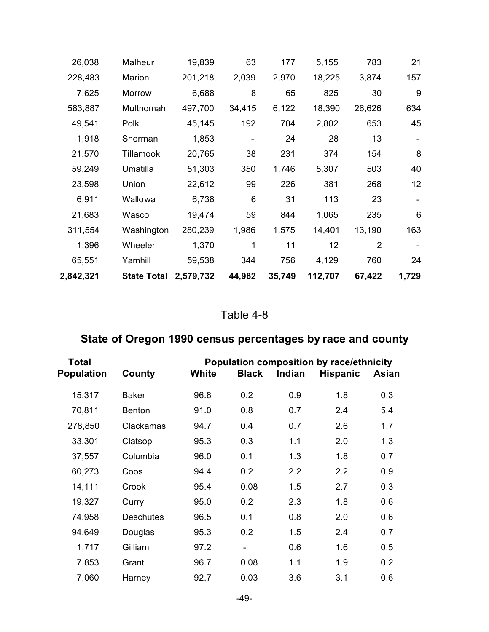| 26,038    | Malheur            | 19,839    | 63     | 177    | 5,155   | 783    | 21    |
|-----------|--------------------|-----------|--------|--------|---------|--------|-------|
| 228,483   | Marion             | 201,218   | 2,039  | 2,970  | 18,225  | 3,874  | 157   |
| 7,625     | Morrow             | 6,688     | 8      | 65     | 825     | 30     | 9     |
| 583,887   | Multnomah          | 497,700   | 34,415 | 6,122  | 18,390  | 26,626 | 634   |
| 49,541    | Polk               | 45,145    | 192    | 704    | 2,802   | 653    | 45    |
| 1,918     | Sherman            | 1,853     |        | 24     | 28      | 13     |       |
| 21,570    | Tillamook          | 20,765    | 38     | 231    | 374     | 154    | 8     |
| 59,249    | Umatilla           | 51,303    | 350    | 1,746  | 5,307   | 503    | 40    |
| 23,598    | Union              | 22,612    | 99     | 226    | 381     | 268    | 12    |
| 6,911     | Wallowa            | 6,738     | 6      | 31     | 113     | 23     |       |
| 21,683    | Wasco              | 19,474    | 59     | 844    | 1,065   | 235    | 6     |
| 311,554   | Washington         | 280,239   | 1,986  | 1,575  | 14,401  | 13,190 | 163   |
| 1,396     | Wheeler            | 1,370     | 1      | 11     | 12      | 2      |       |
| 65,551    | Yamhill            | 59,538    | 344    | 756    | 4,129   | 760    | 24    |
| 2,842,321 | <b>State Total</b> | 2,579,732 | 44,982 | 35,749 | 112,707 | 67,422 | 1,729 |

## Table 4-8

## **State of Oregon 1990 census percentages by race and county**

| Total             | Population composition by race/ethnicity |       |              |        |                 |       |
|-------------------|------------------------------------------|-------|--------------|--------|-----------------|-------|
| <b>Population</b> | County                                   | White | <b>Black</b> | Indian | <b>Hispanic</b> | Asian |
| 15,317            | <b>Baker</b>                             | 96.8  | 0.2          | 0.9    | 1.8             | 0.3   |
| 70,811            | <b>Benton</b>                            | 91.0  | 0.8          | 0.7    | 2.4             | 5.4   |
| 278,850           | Clackamas                                | 94.7  | 0.4          | 0.7    | 2.6             | 1.7   |
| 33,301            | Clatsop                                  | 95.3  | 0.3          | 1.1    | 2.0             | 1.3   |
| 37,557            | Columbia                                 | 96.0  | 0.1          | 1.3    | 1.8             | 0.7   |
| 60,273            | Coos                                     | 94.4  | 0.2          | 2.2    | 2.2             | 0.9   |
| 14,111            | Crook                                    | 95.4  | 0.08         | 1.5    | 2.7             | 0.3   |
| 19,327            | Curry                                    | 95.0  | 0.2          | 2.3    | 1.8             | 0.6   |
| 74,958            | <b>Deschutes</b>                         | 96.5  | 0.1          | 0.8    | 2.0             | 0.6   |
| 94,649            | Douglas                                  | 95.3  | 0.2          | 1.5    | 2.4             | 0.7   |
| 1,717             | Gilliam                                  | 97.2  |              | 0.6    | 1.6             | 0.5   |
| 7,853             | Grant                                    | 96.7  | 0.08         | 1.1    | 1.9             | 0.2   |
| 7,060             | Harney                                   | 92.7  | 0.03         | 3.6    | 3.1             | 0.6   |
|                   |                                          |       |              |        |                 |       |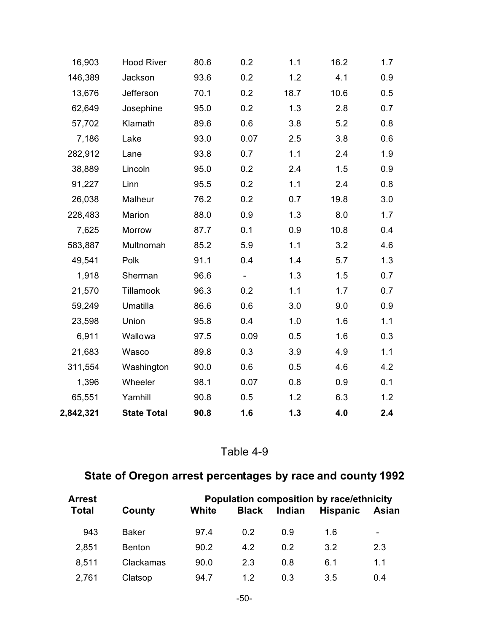| 16,903    | <b>Hood River</b>  | 80.6 | 0.2  | 1.1  | 16.2 | 1.7 |
|-----------|--------------------|------|------|------|------|-----|
| 146,389   | Jackson            | 93.6 | 0.2  | 1.2  | 4.1  | 0.9 |
| 13,676    | Jefferson          | 70.1 | 0.2  | 18.7 | 10.6 | 0.5 |
| 62,649    | Josephine          | 95.0 | 0.2  | 1.3  | 2.8  | 0.7 |
| 57,702    | Klamath            | 89.6 | 0.6  | 3.8  | 5.2  | 0.8 |
| 7,186     | Lake               | 93.0 | 0.07 | 2.5  | 3.8  | 0.6 |
| 282,912   | Lane               | 93.8 | 0.7  | 1.1  | 2.4  | 1.9 |
| 38,889    | Lincoln            | 95.0 | 0.2  | 2.4  | 1.5  | 0.9 |
| 91,227    | Linn               | 95.5 | 0.2  | 1.1  | 2.4  | 0.8 |
| 26,038    | Malheur            | 76.2 | 0.2  | 0.7  | 19.8 | 3.0 |
| 228,483   | Marion             | 88.0 | 0.9  | 1.3  | 8.0  | 1.7 |
| 7,625     | Morrow             | 87.7 | 0.1  | 0.9  | 10.8 | 0.4 |
| 583,887   | Multnomah          | 85.2 | 5.9  | 1.1  | 3.2  | 4.6 |
| 49,541    | Polk               | 91.1 | 0.4  | 1.4  | 5.7  | 1.3 |
| 1,918     | Sherman            | 96.6 |      | 1.3  | 1.5  | 0.7 |
| 21,570    | Tillamook          | 96.3 | 0.2  | 1.1  | 1.7  | 0.7 |
| 59,249    | Umatilla           | 86.6 | 0.6  | 3.0  | 9.0  | 0.9 |
| 23,598    | Union              | 95.8 | 0.4  | 1.0  | 1.6  | 1.1 |
| 6,911     | Wallowa            | 97.5 | 0.09 | 0.5  | 1.6  | 0.3 |
| 21,683    | Wasco              | 89.8 | 0.3  | 3.9  | 4.9  | 1.1 |
| 311,554   | Washington         | 90.0 | 0.6  | 0.5  | 4.6  | 4.2 |
| 1,396     | Wheeler            | 98.1 | 0.07 | 0.8  | 0.9  | 0.1 |
| 65,551    | Yamhill            | 90.8 | 0.5  | 1.2  | 6.3  | 1.2 |
| 2,842,321 | <b>State Total</b> | 90.8 | 1.6  | 1.3  | 4.0  | 2.4 |

## Table 4-9

## **State of Oregon arrest percentages by race and county 1992**

|               | <b>Population composition by race/ethnicity</b> |              |        |                 |       |  |
|---------------|-------------------------------------------------|--------------|--------|-----------------|-------|--|
| County        | White                                           | <b>Black</b> | Indian | <b>Hispanic</b> | Asian |  |
| Baker         | 97.4                                            | 0 2          | 0.9    | 1.6             | ۰.    |  |
| <b>Benton</b> | 90.2                                            | 42           | 0 2    | 3.2             | 2.3   |  |
| Clackamas     | 90.0                                            | 2.3          | 0.8    | 6.1             | 1.1   |  |
| Clatsop       | 94.7                                            | 1.2          | 0.3    | 3.5             | 0.4   |  |
|               |                                                 |              |        |                 |       |  |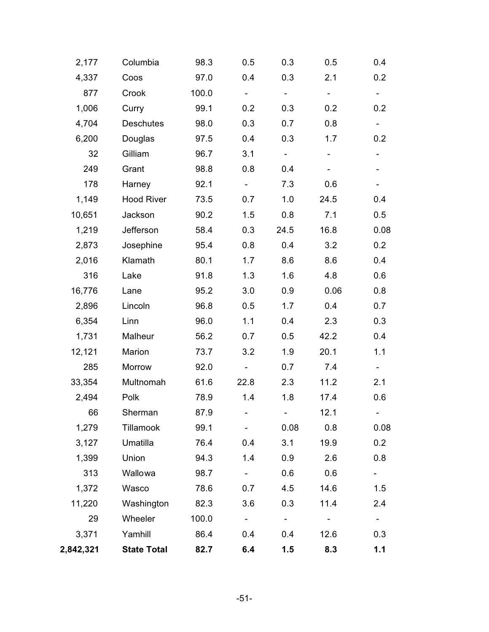| 2,177     | Columbia           | 98.3  | 0.5                        | 0.3                      | 0.5            | 0.4             |
|-----------|--------------------|-------|----------------------------|--------------------------|----------------|-----------------|
| 4,337     | Coos               | 97.0  | 0.4                        | 0.3                      | 2.1            | 0.2             |
| 877       | Crook              | 100.0 | $\sim$                     | $\blacksquare$           | $\blacksquare$ | $\blacksquare$  |
| 1,006     | Curry              | 99.1  | 0.2                        | 0.3                      | 0.2            | 0.2             |
| 4,704     | <b>Deschutes</b>   | 98.0  | 0.3                        | 0.7                      | 0.8            | $\sim$          |
| 6,200     | Douglas            | 97.5  | 0.4                        | 0.3                      | 1.7            | 0.2             |
| 32        | Gilliam            | 96.7  | 3.1                        | $\blacksquare$           | ۰              |                 |
| 249       | Grant              | 98.8  | 0.8                        | 0.4                      |                |                 |
| 178       | Harney             | 92.1  | $\blacksquare$             | 7.3                      | 0.6            |                 |
| 1,149     | <b>Hood River</b>  | 73.5  | 0.7                        | 1.0                      | 24.5           | 0.4             |
| 10,651    | Jackson            | 90.2  | 1.5                        | 0.8                      | 7.1            | 0.5             |
| 1,219     | Jefferson          | 58.4  | 0.3                        | 24.5                     | 16.8           | 0.08            |
| 2,873     | Josephine          | 95.4  | 0.8                        | 0.4                      | 3.2            | 0.2             |
| 2,016     | Klamath            | 80.1  | 1.7                        | 8.6                      | 8.6            | 0.4             |
| 316       | Lake               | 91.8  | 1.3                        | 1.6                      | 4.8            | 0.6             |
| 16,776    | Lane               | 95.2  | 3.0                        | 0.9                      | 0.06           | 0.8             |
| 2,896     | Lincoln            | 96.8  | 0.5                        | 1.7                      | 0.4            | 0.7             |
| 6,354     | Linn               | 96.0  | 1.1                        | 0.4                      | 2.3            | 0.3             |
| 1,731     | Malheur            | 56.2  | 0.7                        | 0.5                      | 42.2           | 0.4             |
| 12,121    | Marion             | 73.7  | 3.2                        | 1.9                      | 20.1           | 1.1             |
| 285       | Morrow             | 92.0  |                            | 0.7                      | 7.4            |                 |
| 33,354    | Multnomah          | 61.6  | 22.8                       | 2.3                      | 11.2           | 2.1             |
| 2,494     | Polk               | 78.9  | 1.4                        | 1.8                      | 17.4           | 0.6             |
| 66        | Sherman            | 87.9  | the company of the company | <b>Contract Contract</b> | 12.1           | $\sim$ 10 $\pm$ |
| 1,279     | Tillamook          | 99.1  |                            | 0.08                     | 0.8            | 0.08            |
| 3,127     | Umatilla           | 76.4  | 0.4                        | 3.1                      | 19.9           | 0.2             |
| 1,399     | Union              | 94.3  | 1.4                        | 0.9                      | 2.6            | 0.8             |
| 313       | Wallowa            | 98.7  | $\sim$                     | 0.6                      | 0.6            |                 |
| 1,372     | Wasco              | 78.6  | 0.7                        | 4.5                      | 14.6           | 1.5             |
| 11,220    | Washington         | 82.3  | 3.6                        | 0.3                      | 11.4           | 2.4             |
| 29        | Wheeler            | 100.0 | $\sim$                     | $\sim$ $^{-1}$           | $\blacksquare$ | $\blacksquare$  |
| 3,371     | Yamhill            | 86.4  | 0.4                        | 0.4                      | 12.6           | 0.3             |
| 2,842,321 | <b>State Total</b> | 82.7  | 6.4                        | 1.5                      | 8.3            | 1.1             |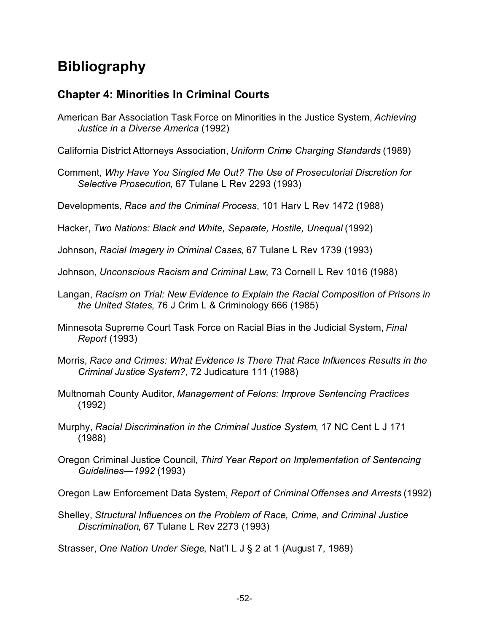# **Bibliography**

### **Chapter 4: Minorities In Criminal Courts**

- American Bar Association Task Force on Minorities in the Justice System, *Achieving Justice in a Diverse America* (1992)
- California District Attorneys Association, *Uniform Crime Charging Standards* (1989)
- Comment, *Why Have You Singled Me Out? The Use of Prosecutorial Discretion for Selective Prosecution*, 67 Tulane L Rev 2293 (1993)
- Developments, *Race and the Criminal Process*, 101 Harv L Rev 1472 (1988)
- Hacker, *Two Nations: Black and White, Separate, Hostile, Unequal* (1992)
- Johnson, *Racial Imagery in Criminal Cases*, 67 Tulane L Rev 1739 (1993)
- Johnson, *Unconscious Racism and Criminal Law*, 73 Cornell L Rev 1016 (1988)
- Langan, *Racism on Trial: New Evidence to Explain the Racial Composition of Prisons in the United States*, 76 J Crim L & Criminology 666 (1985)
- Minnesota Supreme Court Task Force on Racial Bias in the Judicial System, *Final Report* (1993)
- Morris, *Race and Crimes: What Evidence Is There That Race Influences Results in the Criminal Justice System?*, 72 Judicature 111 (1988)
- Multnomah County Auditor, *Management of Felons: Improve Sentencing Practices* (1992)
- Murphy, *Racial Discrimination in the Criminal Justice System*, 17 NC Cent L J 171 (1988)
- Oregon Criminal Justice Council, *Third Year Report on Implementation of Sentencing Guidelines—1992* (1993)
- Oregon Law Enforcement Data System, *Report of Criminal Offenses and Arrests* (1992)
- Shelley, *Structural Influences on the Problem of Race, Crime, and Criminal Justice Discrimination*, 67 Tulane L Rev 2273 (1993)

Strasser, *One Nation Under Siege*, Nat'l L J § 2 at 1 (August 7, 1989)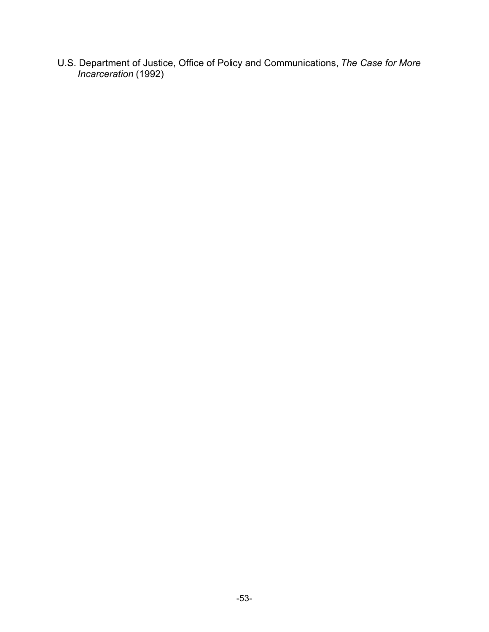U.S. Department of Justice, Office of Policy and Communications, *The Case for More Incarceration* (1992)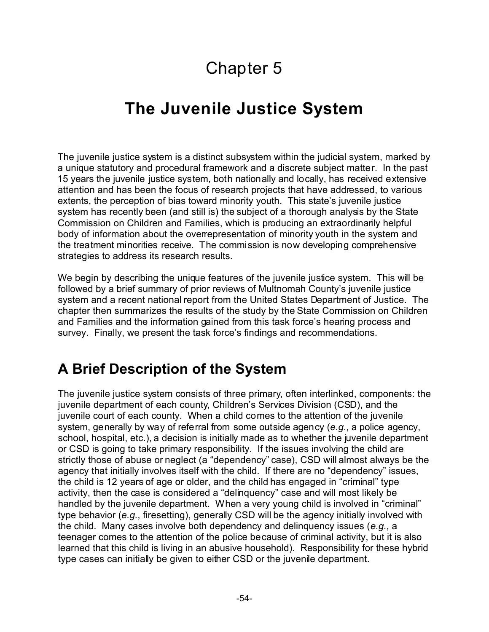# Chapter 5

# **The Juvenile Justice System**

The juvenile justice system is a distinct subsystem within the judicial system, marked by a unique statutory and procedural framework and a discrete subject matter. In the past 15 years the juvenile justice system, both nationally and locally, has received extensive attention and has been the focus of research projects that have addressed, to various extents, the perception of bias toward minority youth. This state's juvenile justice system has recently been (and still is) the subject of a thorough analysis by the State Commission on Children and Families, which is producing an extraordinarily helpful body of information about the overrepresentation of minority youth in the system and the treatment minorities receive. The commission is now developing comprehensive strategies to address its research results.

We begin by describing the unique features of the juvenile justice system. This will be followed by a brief summary of prior reviews of Multnomah County's juvenile justice system and a recent national report from the United States Department of Justice. The chapter then summarizes the results of the study by the State Commission on Children and Families and the information gained from this task force's hearing process and survey. Finally, we present the task force's findings and recommendations.

# **A Brief Description of the System**

The juvenile justice system consists of three primary, often interlinked, components: the juvenile department of each county, Children's Services Division (CSD), and the juvenile court of each county. When a child comes to the attention of the juvenile system, generally by way of referral from some outside agency (*e.g.*, a police agency, school, hospital, etc.), a decision is initially made as to whether the juvenile department or CSD is going to take primary responsibility. If the issues involving the child are strictly those of abuse or neglect (a "dependency" case), CSD will almost always be the agency that initially involves itself with the child. If there are no "dependency" issues, the child is 12 years of age or older, and the child has engaged in "criminal" type activity, then the case is considered a "delinquency" case and will most likely be handled by the juvenile department. When a very young child is involved in "criminal" type behavior (*e.g.*, firesetting), generally CSD will be the agency initially involved with the child. Many cases involve both dependency and delinquency issues (*e.g.*, a teenager comes to the attention of the police because of criminal activity, but it is also learned that this child is living in an abusive household). Responsibility for these hybrid type cases can initially be given to either CSD or the juvenile department.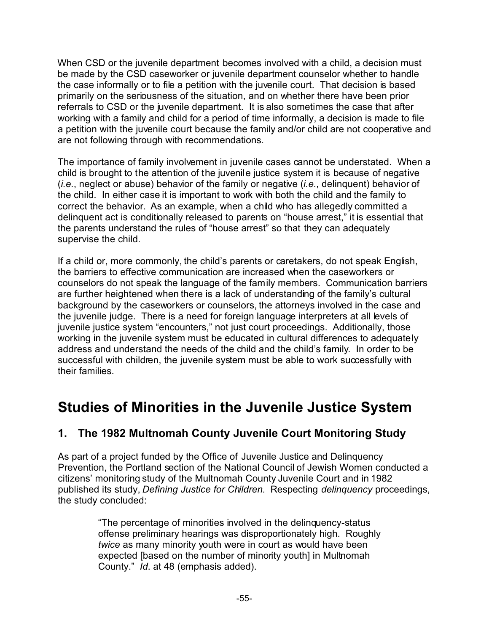When CSD or the juvenile department becomes involved with a child, a decision must be made by the CSD caseworker or juvenile department counselor whether to handle the case informally or to file a petition with the juvenile court. That decision is based primarily on the seriousness of the situation, and on whether there have been prior referrals to CSD or the juvenile department. It is also sometimes the case that after working with a family and child for a period of time informally, a decision is made to file a petition with the juvenile court because the family and/or child are not cooperative and are not following through with recommendations.

The importance of family involvement in juvenile cases cannot be understated. When a child is brought to the attention of the juvenile justice system it is because of negative (*i.e.*, neglect or abuse) behavior of the family or negative (*i.e.*, delinquent) behavior of the child. In either case it is important to work with both the child and the family to correct the behavior. As an example, when a child who has allegedly committed a delinquent act is conditionally released to parents on "house arrest," it is essential that the parents understand the rules of "house arrest" so that they can adequately supervise the child.

If a child or, more commonly, the child's parents or caretakers, do not speak English, the barriers to effective communication are increased when the caseworkers or counselors do not speak the language of the family members. Communication barriers are further heightened when there is a lack of understanding of the family's cultural background by the caseworkers or counselors, the attorneys involved in the case and the juvenile judge. There is a need for foreign language interpreters at all levels of juvenile justice system "encounters," not just court proceedings. Additionally, those working in the juvenile system must be educated in cultural differences to adequately address and understand the needs of the child and the child's family. In order to be successful with children, the juvenile system must be able to work successfully with their families.

# **Studies of Minorities in the Juvenile Justice System**

## **1. The 1982 Multnomah County Juvenile Court Monitoring Study**

As part of a project funded by the Office of Juvenile Justice and Delinquency Prevention, the Portland section of the National Council of Jewish Women conducted a citizens' monitoring study of the Multnomah County Juvenile Court and in 1982 published its study, *Defining Justice for Children*. Respecting *delinquency* proceedings, the study concluded:

> "The percentage of minorities involved in the delinquency-status offense preliminary hearings was disproportionately high. Roughly *twice* as many minority youth were in court as would have been expected [based on the number of minority youth] in Multnomah County." *Id*. at 48 (emphasis added).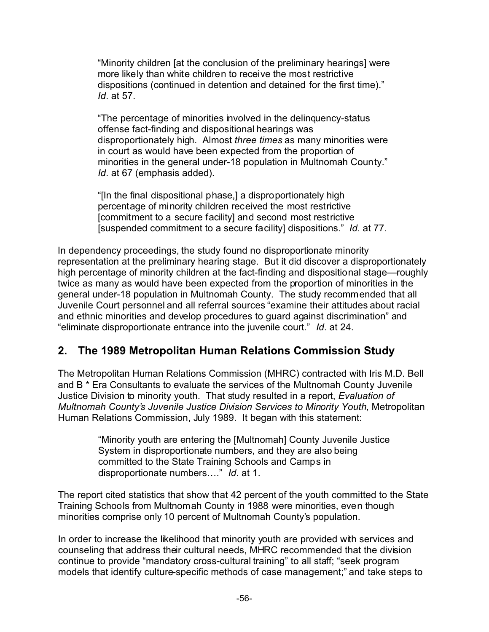"Minority children [at the conclusion of the preliminary hearings] were more likely than white children to receive the most restrictive dispositions (continued in detention and detained for the first time)." *Id*. at 57.

"The percentage of minorities involved in the delinquency-status offense fact-finding and dispositional hearings was disproportionately high. Almost *three times* as many minorities were in court as would have been expected from the proportion of minorities in the general under-18 population in Multnomah County." *Id*. at 67 (emphasis added).

"[In the final dispositional phase,] a disproportionately high percentage of minority children received the most restrictive [commitment to a secure facility] and second most restrictive [suspended commitment to a secure facility] dispositions." *Id*. at 77.

In dependency proceedings, the study found no disproportionate minority representation at the preliminary hearing stage. But it did discover a disproportionately high percentage of minority children at the fact-finding and dispositional stage—roughly twice as many as would have been expected from the proportion of minorities in the general under-18 population in Multnomah County. The study recommended that all Juvenile Court personnel and all referral sources "examine their attitudes about racial and ethnic minorities and develop procedures to guard against discrimination" and "eliminate disproportionate entrance into the juvenile court." *Id*. at 24.

## **2. The 1989 Metropolitan Human Relations Commission Study**

The Metropolitan Human Relations Commission (MHRC) contracted with Iris M.D. Bell and B \* Era Consultants to evaluate the services of the Multnomah County Juvenile Justice Division to minority youth. That study resulted in a report, *Evaluation of Multnomah County's Juvenile Justice Division Services to Minority Youth*, Metropolitan Human Relations Commission, July 1989. It began with this statement:

> "Minority youth are entering the [Multnomah] County Juvenile Justice System in disproportionate numbers, and they are also being committed to the State Training Schools and Camps in disproportionate numbers…." *Id*. at 1.

The report cited statistics that show that 42 percent of the youth committed to the State Training Schools from Multnomah County in 1988 were minorities, even though minorities comprise only 10 percent of Multnomah County's population.

In order to increase the likelihood that minority youth are provided with services and counseling that address their cultural needs, MHRC recommended that the division continue to provide "mandatory cross-cultural training" to all staff; "seek program models that identify culture-specific methods of case management;" and take steps to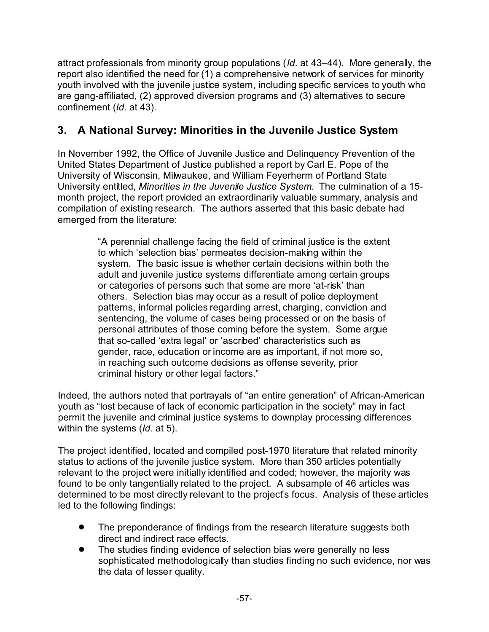attract professionals from minority group populations (*Id*. at 43–44). More generally, the report also identified the need for (1) a comprehensive network of services for minority youth involved with the juvenile justice system, including specific services to youth who are gang-affiliated, (2) approved diversion programs and (3) alternatives to secure confinement (*Id*. at 43).

## **3. A National Survey: Minorities in the Juvenile Justice System**

In November 1992, the Office of Juvenile Justice and Delinquency Prevention of the United States Department of Justice published a report by Carl E. Pope of the University of Wisconsin, Milwaukee, and William Feyerherm of Portland State University entitled, *Minorities in the Juvenile Justice System*. The culmination of a 15 month project, the report provided an extraordinarily valuable summary, analysis and compilation of existing research. The authors asserted that this basic debate had emerged from the literature:

> "A perennial challenge facing the field of criminal justice is the extent to which 'selection bias' permeates decision-making within the system. The basic issue is whether certain decisions within both the adult and juvenile justice systems differentiate among certain groups or categories of persons such that some are more 'at-risk' than others. Selection bias may occur as a result of police deployment patterns, informal policies regarding arrest, charging, conviction and sentencing, the volume of cases being processed or on the basis of personal attributes of those coming before the system. Some argue that so-called 'extra legal' or 'ascribed' characteristics such as gender, race, education or income are as important, if not more so, in reaching such outcome decisions as offense severity, prior criminal history or other legal factors."

Indeed, the authors noted that portrayals of "an entire generation" of African-American youth as "lost because of lack of economic participation in the society" may in fact permit the juvenile and criminal justice systems to downplay processing differences within the systems (*Id*. at 5).

The project identified, located and compiled post-1970 literature that related minority status to actions of the juvenile justice system. More than 350 articles potentially relevant to the project were initially identified and coded; however, the majority was found to be only tangentially related to the project. A subsample of 46 articles was determined to be most directly relevant to the project's focus. Analysis of these articles led to the following findings:

- The preponderance of findings from the research literature suggests both direct and indirect race effects.
- The studies finding evidence of selection bias were generally no less sophisticated methodologically than studies finding no such evidence, nor was the data of lesser quality.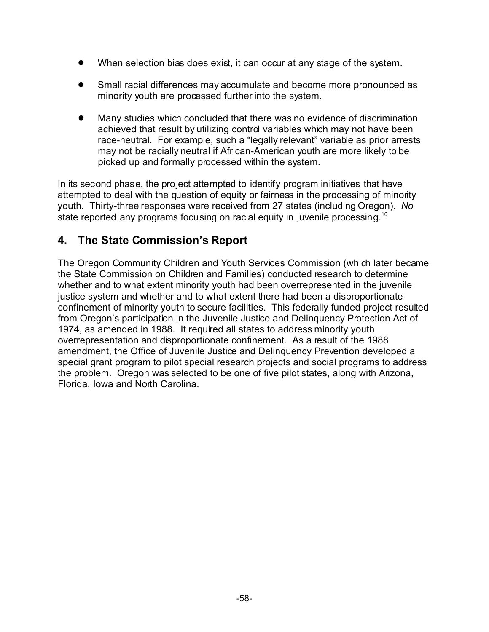- When selection bias does exist, it can occur at any stage of the system.
- **Small racial differences may accumulate and become more pronounced as** minority youth are processed further into the system.
- Many studies which concluded that there was no evidence of discrimination achieved that result by utilizing control variables which may not have been race-neutral. For example, such a "legally relevant" variable as prior arrests may not be racially neutral if African-American youth are more likely to be picked up and formally processed within the system.

In its second phase, the project attempted to identify program initiatives that have attempted to deal with the question of equity or fairness in the processing of minority youth. Thirty-three responses were received from 27 states (including Oregon). *No* state reported any programs focusing on racial equity in juvenile processing.<sup>10</sup>

## **4. The State Commission's Report**

The Oregon Community Children and Youth Services Commission (which later became the State Commission on Children and Families) conducted research to determine whether and to what extent minority youth had been overrepresented in the juvenile justice system and whether and to what extent there had been a disproportionate confinement of minority youth to secure facilities. This federally funded project resulted from Oregon's participation in the Juvenile Justice and Delinquency Protection Act of 1974, as amended in 1988. It required all states to address minority youth overrepresentation and disproportionate confinement. As a result of the 1988 amendment, the Office of Juvenile Justice and Delinquency Prevention developed a special grant program to pilot special research projects and social programs to address the problem. Oregon was selected to be one of five pilot states, along with Arizona, Florida, Iowa and North Carolina.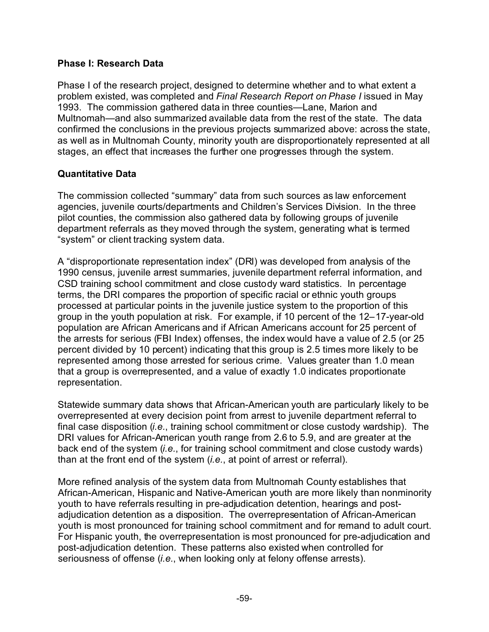#### **Phase I: Research Data**

Phase I of the research project, designed to determine whether and to what extent a problem existed, was completed and *Final Research Report on Phase I* issued in May 1993. The commission gathered data in three counties—Lane, Marion and Multnomah—and also summarized available data from the rest of the state. The data confirmed the conclusions in the previous projects summarized above: across the state, as well as in Multnomah County, minority youth are disproportionately represented at all stages, an effect that increases the further one progresses through the system.

#### **Quantitative Data**

The commission collected "summary" data from such sources as law enforcement agencies, juvenile courts/departments and Children's Services Division. In the three pilot counties, the commission also gathered data by following groups of juvenile department referrals as they moved through the system, generating what is termed "system" or client tracking system data.

A "disproportionate representation index" (DRI) was developed from analysis of the 1990 census, juvenile arrest summaries, juvenile department referral information, and CSD training school commitment and close custody ward statistics. In percentage terms, the DRI compares the proportion of specific racial or ethnic youth groups processed at particular points in the juvenile justice system to the proportion of this group in the youth population at risk. For example, if 10 percent of the 12–17-year-old population are African Americans and if African Americans account for 25 percent of the arrests for serious (FBI Index) offenses, the index would have a value of 2.5 (or 25 percent divided by 10 percent) indicating that this group is 2.5 times more likely to be represented among those arrested for serious crime. Values greater than 1.0 mean that a group is overrepresented, and a value of exactly 1.0 indicates proportionate representation.

Statewide summary data shows that African-American youth are particularly likely to be overrepresented at every decision point from arrest to juvenile department referral to final case disposition (*i.e.*, training school commitment or close custody wardship). The DRI values for African-American youth range from 2.6 to 5.9, and are greater at the back end of the system (*i.e.*, for training school commitment and close custody wards) than at the front end of the system (*i.e.*, at point of arrest or referral).

More refined analysis of the system data from Multnomah County establishes that African-American, Hispanic and Native-American youth are more likely than nonminority youth to have referrals resulting in pre-adjudication detention, hearings and postadjudication detention as a disposition. The overrepresentation of African-American youth is most pronounced for training school commitment and for remand to adult court. For Hispanic youth, the overrepresentation is most pronounced for pre-adjudication and post-adjudication detention. These patterns also existed when controlled for seriousness of offense (*i.e.*, when looking only at felony offense arrests).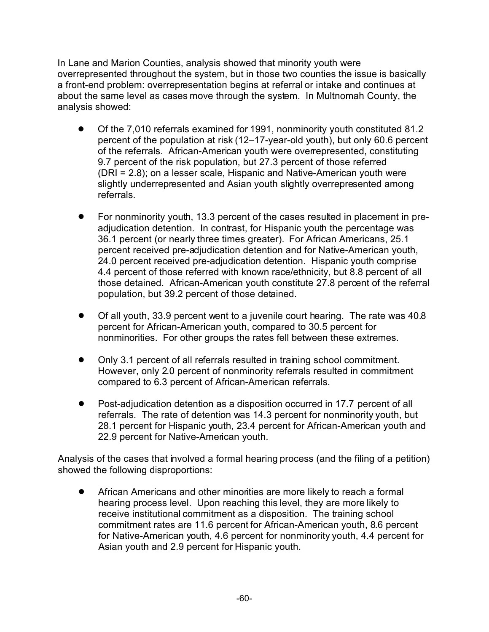In Lane and Marion Counties, analysis showed that minority youth were overrepresented throughout the system, but in those two counties the issue is basically a front-end problem: overrepresentation begins at referral or intake and continues at about the same level as cases move through the system. In Multnomah County, the analysis showed:

- ! Of the 7,010 referrals examined for 1991, nonminority youth constituted 81.2 percent of the population at risk (12–17-year-old youth), but only 60.6 percent of the referrals. African-American youth were overrepresented, constituting 9.7 percent of the risk population, but 27.3 percent of those referred (DRI = 2.8); on a lesser scale, Hispanic and Native-American youth were slightly underrepresented and Asian youth slightly overrepresented among referrals.
- ! For nonminority youth, 13.3 percent of the cases resulted in placement in preadjudication detention. In contrast, for Hispanic youth the percentage was 36.1 percent (or nearly three times greater). For African Americans, 25.1 percent received pre-adjudication detention and for Native-American youth, 24.0 percent received pre-adjudication detention. Hispanic youth comprise 4.4 percent of those referred with known race/ethnicity, but 8.8 percent of all those detained. African-American youth constitute 27.8 percent of the referral population, but 39.2 percent of those detained.
- ! Of all youth, 33.9 percent went to a juvenile court hearing. The rate was 40.8 percent for African-American youth, compared to 30.5 percent for nonminorities. For other groups the rates fell between these extremes.
- ! Only 3.1 percent of all referrals resulted in training school commitment. However, only 2.0 percent of nonminority referrals resulted in commitment compared to 6.3 percent of African-American referrals.
- Post-adjudication detention as a disposition occurred in 17.7 percent of all referrals. The rate of detention was 14.3 percent for nonminority youth, but 28.1 percent for Hispanic youth, 23.4 percent for African-American youth and 22.9 percent for Native-American youth.

Analysis of the cases that involved a formal hearing process (and the filing of a petition) showed the following disproportions:

African Americans and other minorities are more likely to reach a formal hearing process level. Upon reaching this level, they are more likely to receive institutional commitment as a disposition. The training school commitment rates are 11.6 percent for African-American youth, 8.6 percent for Native-American youth, 4.6 percent for nonminority youth, 4.4 percent for Asian youth and 2.9 percent for Hispanic youth.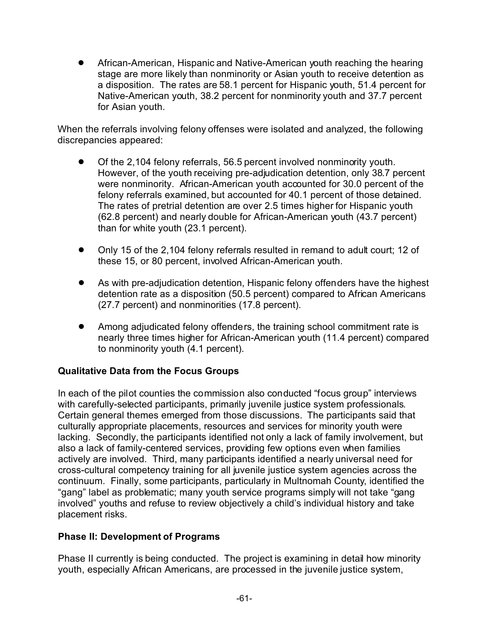! African-American, Hispanic and Native-American youth reaching the hearing stage are more likely than nonminority or Asian youth to receive detention as a disposition. The rates are 58.1 percent for Hispanic youth, 51.4 percent for Native-American youth, 38.2 percent for nonminority youth and 37.7 percent for Asian youth.

When the referrals involving felony offenses were isolated and analyzed, the following discrepancies appeared:

- ! Of the 2,104 felony referrals, 56.5 percent involved nonminority youth. However, of the youth receiving pre-adjudication detention, only 38.7 percent were nonminority. African-American youth accounted for 30.0 percent of the felony referrals examined, but accounted for 40.1 percent of those detained. The rates of pretrial detention are over 2.5 times higher for Hispanic youth (62.8 percent) and nearly double for African-American youth (43.7 percent) than for white youth (23.1 percent).
- ! Only 15 of the 2,104 felony referrals resulted in remand to adult court; 12 of these 15, or 80 percent, involved African-American youth.
- ! As with pre-adjudication detention, Hispanic felony offenders have the highest detention rate as a disposition (50.5 percent) compared to African Americans (27.7 percent) and nonminorities (17.8 percent).
- Among adjudicated felony offenders, the training school commitment rate is nearly three times higher for African-American youth (11.4 percent) compared to nonminority youth (4.1 percent).

#### **Qualitative Data from the Focus Groups**

In each of the pilot counties the commission also conducted "focus group" interviews with carefully-selected participants, primarily juvenile justice system professionals. Certain general themes emerged from those discussions. The participants said that culturally appropriate placements, resources and services for minority youth were lacking. Secondly, the participants identified not only a lack of family involvement, but also a lack of family-centered services, providing few options even when families actively are involved. Third, many participants identified a nearly universal need for cross-cultural competency training for all juvenile justice system agencies across the continuum. Finally, some participants, particularly in Multnomah County, identified the "gang" label as problematic; many youth service programs simply will not take "gang involved" youths and refuse to review objectively a child's individual history and take placement risks.

#### **Phase II: Development of Programs**

Phase II currently is being conducted. The project is examining in detail how minority youth, especially African Americans, are processed in the juvenile justice system,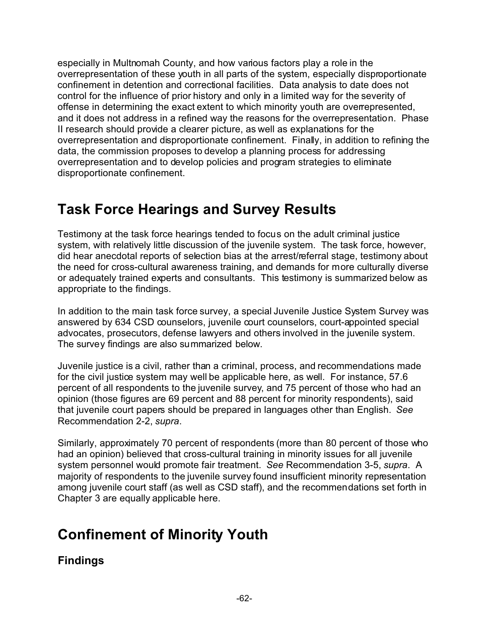especially in Multnomah County, and how various factors play a role in the overrepresentation of these youth in all parts of the system, especially disproportionate confinement in detention and correctional facilities. Data analysis to date does not control for the influence of prior history and only in a limited way for the severity of offense in determining the exact extent to which minority youth are overrepresented, and it does not address in a refined way the reasons for the overrepresentation. Phase II research should provide a clearer picture, as well as explanations for the overrepresentation and disproportionate confinement. Finally, in addition to refining the data, the commission proposes to develop a planning process for addressing overrepresentation and to develop policies and program strategies to eliminate disproportionate confinement.

## **Task Force Hearings and Survey Results**

Testimony at the task force hearings tended to focus on the adult criminal justice system, with relatively little discussion of the juvenile system. The task force, however, did hear anecdotal reports of selection bias at the arrest/referral stage, testimony about the need for cross-cultural awareness training, and demands for more culturally diverse or adequately trained experts and consultants. This testimony is summarized below as appropriate to the findings.

In addition to the main task force survey, a special Juvenile Justice System Survey was answered by 634 CSD counselors, juvenile court counselors, court-appointed special advocates, prosecutors, defense lawyers and others involved in the juvenile system. The survey findings are also summarized below.

Juvenile justice is a civil, rather than a criminal, process, and recommendations made for the civil justice system may well be applicable here, as well. For instance, 57.6 percent of all respondents to the juvenile survey, and 75 percent of those who had an opinion (those figures are 69 percent and 88 percent for minority respondents), said that juvenile court papers should be prepared in languages other than English. *See* Recommendation 2-2, *supra*.

Similarly, approximately 70 percent of respondents (more than 80 percent of those who had an opinion) believed that cross-cultural training in minority issues for all juvenile system personnel would promote fair treatment. *See* Recommendation 3-5, *supra*. A majority of respondents to the juvenile survey found insufficient minority representation among juvenile court staff (as well as CSD staff), and the recommendations set forth in Chapter 3 are equally applicable here.

# **Confinement of Minority Youth**

## **Findings**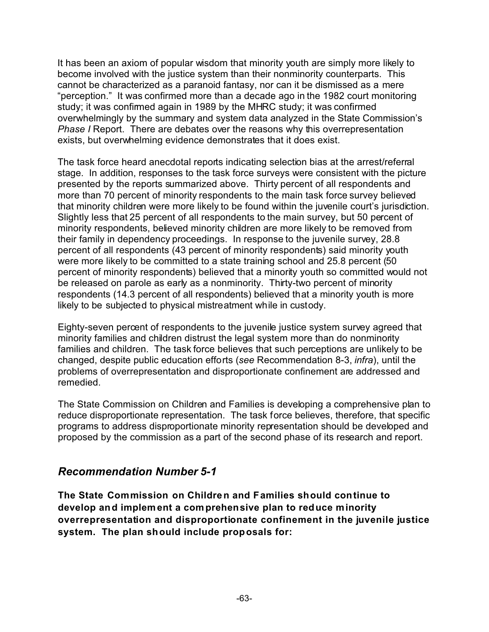It has been an axiom of popular wisdom that minority youth are simply more likely to become involved with the justice system than their nonminority counterparts. This cannot be characterized as a paranoid fantasy, nor can it be dismissed as a mere "perception." It was confirmed more than a decade ago in the 1982 court monitoring study; it was confirmed again in 1989 by the MHRC study; it was confirmed overwhelmingly by the summary and system data analyzed in the State Commission's *Phase I* Report. There are debates over the reasons why this overrepresentation exists, but overwhelming evidence demonstrates that it does exist.

The task force heard anecdotal reports indicating selection bias at the arrest/referral stage. In addition, responses to the task force surveys were consistent with the picture presented by the reports summarized above. Thirty percent of all respondents and more than 70 percent of minority respondents to the main task force survey believed that minority children were more likely to be found within the juvenile court's jurisdiction. Slightly less that 25 percent of all respondents to the main survey, but 50 percent of minority respondents, believed minority children are more likely to be removed from their family in dependency proceedings. In response to the juvenile survey, 28.8 percent of all respondents (43 percent of minority respondents) said minority youth were more likely to be committed to a state training school and 25.8 percent (50 percent of minority respondents) believed that a minority youth so committed would not be released on parole as early as a nonminority. Thirty-two percent of minority respondents (14.3 percent of all respondents) believed that a minority youth is more likely to be subjected to physical mistreatment while in custody.

Eighty-seven percent of respondents to the juvenile justice system survey agreed that minority families and children distrust the legal system more than do nonminority families and children. The task force believes that such perceptions are unlikely to be changed, despite public education efforts (*see* Recommendation 8-3, *infra*), until the problems of overrepresentation and disproportionate confinement are addressed and remedied.

The State Commission on Children and Families is developing a comprehensive plan to reduce disproportionate representation. The task force believes, therefore, that specific programs to address disproportionate minority representation should be developed and proposed by the commission as a part of the second phase of its research and report.

#### *Recommendation Number 5-1*

**The State Commission on Children and Families should continue to develop and implement a comprehensive plan to reduce minority overrepresentation and disproportionate confinement in the juvenile justice system. The plan should include proposals for:**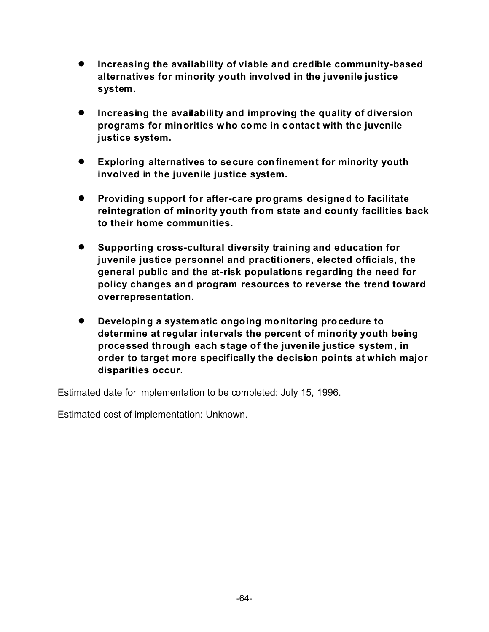- ! **Increasing the availability of viable and credible community-based alternatives for minority youth involved in the juvenile justice system.**
- ! **Increasing the availability and improving the quality of diversion programs for minorities who come in contact with the juvenile justice system.**
- ! **Exploring alternatives to secure confinement for minority youth involved in the juvenile justice system.**
- ! **Providing support for after-care programs designed to facilitate reintegration of minority youth from state and county facilities back to their home communities.**
- ! **Supporting cross-cultural diversity training and education for juvenile justice personnel and practitioners, elected officials, the general public and the at-risk populations regarding the need for policy changes and program resources to reverse the trend toward overrepresentation.**
- ! **Developing a systematic ongoing monitoring procedure to determine at regular intervals the percent of minority youth being processed through each stage of the juvenile justice system, in order to target more specifically the decision points at which major disparities occur.**

Estimated date for implementation to be completed: July 15, 1996.

Estimated cost of implementation: Unknown.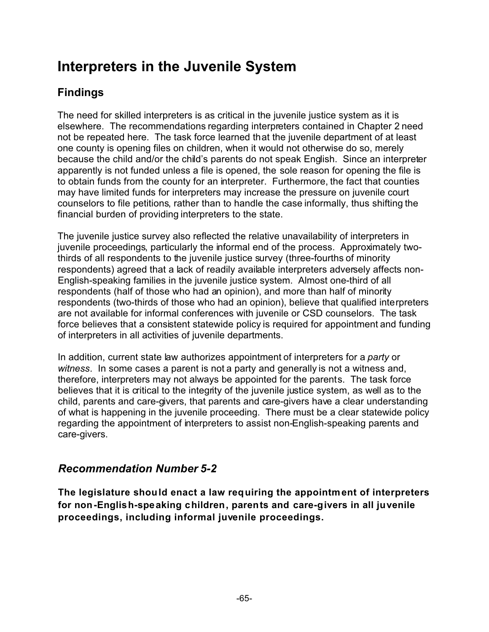# **Interpreters in the Juvenile System**

## **Findings**

The need for skilled interpreters is as critical in the juvenile justice system as it is elsewhere. The recommendations regarding interpreters contained in Chapter 2 need not be repeated here. The task force learned that the juvenile department of at least one county is opening files on children, when it would not otherwise do so, merely because the child and/or the child's parents do not speak English. Since an interpreter apparently is not funded unless a file is opened, the sole reason for opening the file is to obtain funds from the county for an interpreter. Furthermore, the fact that counties may have limited funds for interpreters may increase the pressure on juvenile court counselors to file petitions, rather than to handle the case informally, thus shifting the financial burden of providing interpreters to the state.

The juvenile justice survey also reflected the relative unavailability of interpreters in juvenile proceedings, particularly the informal end of the process. Approximately twothirds of all respondents to the juvenile justice survey (three-fourths of minority respondents) agreed that a lack of readily available interpreters adversely affects non-English-speaking families in the juvenile justice system. Almost one-third of all respondents (half of those who had an opinion), and more than half of minority respondents (two-thirds of those who had an opinion), believe that qualified interpreters are not available for informal conferences with juvenile or CSD counselors. The task force believes that a consistent statewide policy is required for appointment and funding of interpreters in all activities of juvenile departments.

In addition, current state law authorizes appointment of interpreters for a *party* or *witness*. In some cases a parent is not a party and generally is not a witness and, therefore, interpreters may not always be appointed for the parents. The task force believes that it is critical to the integrity of the juvenile justice system, as well as to the child, parents and care-givers, that parents and care-givers have a clear understanding of what is happening in the juvenile proceeding. There must be a clear statewide policy regarding the appointment of interpreters to assist non-English-speaking parents and care-givers.

## *Recommendation Number 5-2*

**The legislature should enact a law requiring the appointment of interpreters for non-English-speaking children, parents and care-givers in all juvenile proceedings, including informal juvenile proceedings.**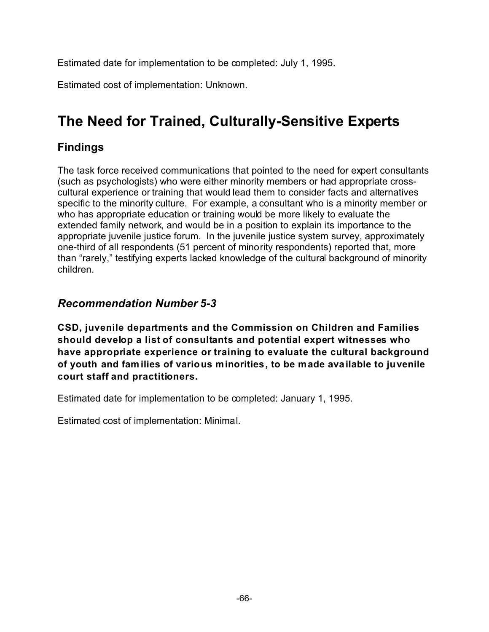Estimated date for implementation to be completed: July 1, 1995.

Estimated cost of implementation: Unknown.

# **The Need for Trained, Culturally-Sensitive Experts**

#### **Findings**

The task force received communications that pointed to the need for expert consultants (such as psychologists) who were either minority members or had appropriate crosscultural experience or training that would lead them to consider facts and alternatives specific to the minority culture. For example, a consultant who is a minority member or who has appropriate education or training would be more likely to evaluate the extended family network, and would be in a position to explain its importance to the appropriate juvenile justice forum. In the juvenile justice system survey, approximately one-third of all respondents (51 percent of minority respondents) reported that, more than "rarely," testifying experts lacked knowledge of the cultural background of minority children.

#### *Recommendation Number 5-3*

**CSD, juvenile departments and the Commission on Children and Families should develop a list of consultants and potential expert witnesses who have appropriate experience or training to evaluate the cultural background of youth and fam ilies of various minorities, to be made available to juvenile court staff and practitioners.**

Estimated date for implementation to be completed: January 1, 1995.

Estimated cost of implementation: Minimal.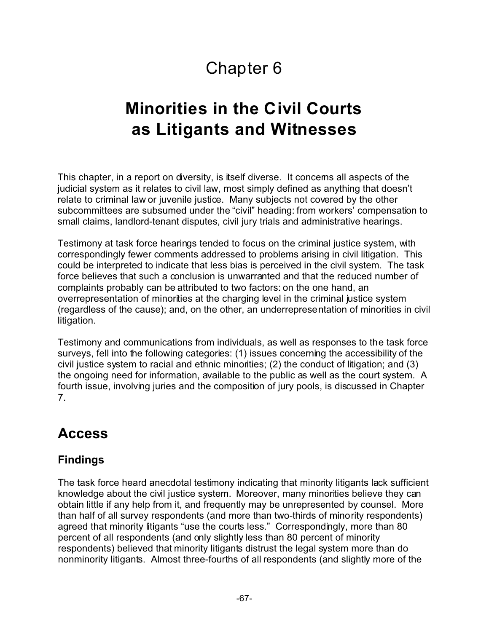# Chapter 6

# **Minorities in the Civil Courts as Litigants and Witnesses**

This chapter, in a report on diversity, is itself diverse. It concerns all aspects of the judicial system as it relates to civil law, most simply defined as anything that doesn't relate to criminal law or juvenile justice. Many subjects not covered by the other subcommittees are subsumed under the "civil" heading: from workers' compensation to small claims, landlord-tenant disputes, civil jury trials and administrative hearings.

Testimony at task force hearings tended to focus on the criminal justice system, with correspondingly fewer comments addressed to problems arising in civil litigation. This could be interpreted to indicate that less bias is perceived in the civil system. The task force believes that such a conclusion is unwarranted and that the reduced number of complaints probably can be attributed to two factors: on the one hand, an overrepresentation of minorities at the charging level in the criminal justice system (regardless of the cause); and, on the other, an underrepresentation of minorities in civil litigation.

Testimony and communications from individuals, as well as responses to the task force surveys, fell into the following categories: (1) issues concerning the accessibility of the civil justice system to racial and ethnic minorities; (2) the conduct of litigation; and (3) the ongoing need for information, available to the public as well as the court system. A fourth issue, involving juries and the composition of jury pools, is discussed in Chapter 7.

## **Access**

#### **Findings**

The task force heard anecdotal testimony indicating that minority litigants lack sufficient knowledge about the civil justice system. Moreover, many minorities believe they can obtain little if any help from it, and frequently may be unrepresented by counsel. More than half of all survey respondents (and more than two-thirds of minority respondents) agreed that minority litigants "use the courts less." Correspondingly, more than 80 percent of all respondents (and only slightly less than 80 percent of minority respondents) believed that minority litigants distrust the legal system more than do nonminority litigants. Almost three-fourths of all respondents (and slightly more of the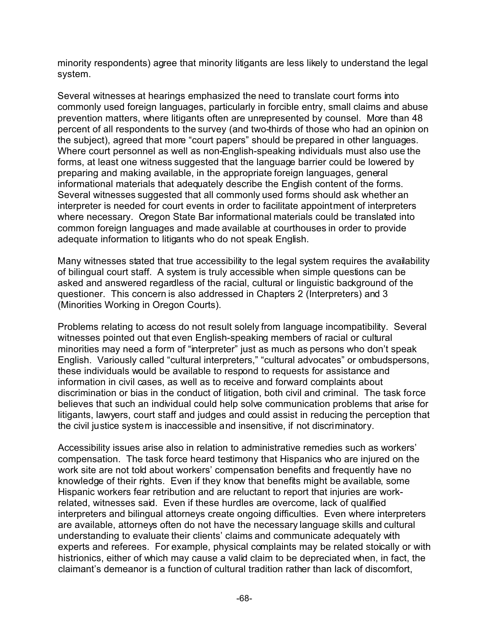minority respondents) agree that minority litigants are less likely to understand the legal system.

Several witnesses at hearings emphasized the need to translate court forms into commonly used foreign languages, particularly in forcible entry, small claims and abuse prevention matters, where litigants often are unrepresented by counsel. More than 48 percent of all respondents to the survey (and two-thirds of those who had an opinion on the subject), agreed that more "court papers" should be prepared in other languages. Where court personnel as well as non-English-speaking individuals must also use the forms, at least one witness suggested that the language barrier could be lowered by preparing and making available, in the appropriate foreign languages, general informational materials that adequately describe the English content of the forms. Several witnesses suggested that all commonly used forms should ask whether an interpreter is needed for court events in order to facilitate appointment of interpreters where necessary. Oregon State Bar informational materials could be translated into common foreign languages and made available at courthouses in order to provide adequate information to litigants who do not speak English.

Many witnesses stated that true accessibility to the legal system requires the availability of bilingual court staff. A system is truly accessible when simple questions can be asked and answered regardless of the racial, cultural or linguistic background of the questioner. This concern is also addressed in Chapters 2 (Interpreters) and 3 (Minorities Working in Oregon Courts).

Problems relating to access do not result solely from language incompatibility. Several witnesses pointed out that even English-speaking members of racial or cultural minorities may need a form of "interpreter" just as much as persons who don't speak English. Variously called "cultural interpreters," "cultural advocates" or ombudspersons, these individuals would be available to respond to requests for assistance and information in civil cases, as well as to receive and forward complaints about discrimination or bias in the conduct of litigation, both civil and criminal. The task force believes that such an individual could help solve communication problems that arise for litigants, lawyers, court staff and judges and could assist in reducing the perception that the civil justice system is inaccessible and insensitive, if not discriminatory.

Accessibility issues arise also in relation to administrative remedies such as workers' compensation. The task force heard testimony that Hispanics who are injured on the work site are not told about workers' compensation benefits and frequently have no knowledge of their rights. Even if they know that benefits might be available, some Hispanic workers fear retribution and are reluctant to report that injuries are workrelated, witnesses said. Even if these hurdles are overcome, lack of qualified interpreters and bilingual attorneys create ongoing difficulties. Even where interpreters are available, attorneys often do not have the necessary language skills and cultural understanding to evaluate their clients' claims and communicate adequately with experts and referees. For example, physical complaints may be related stoically or with histrionics, either of which may cause a valid claim to be depreciated when, in fact, the claimant's demeanor is a function of cultural tradition rather than lack of discomfort,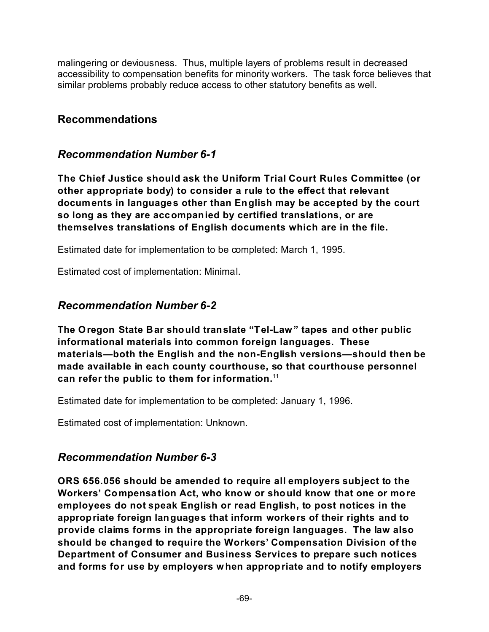malingering or deviousness. Thus, multiple layers of problems result in decreased accessibility to compensation benefits for minority workers. The task force believes that similar problems probably reduce access to other statutory benefits as well.

#### **Recommendations**

#### *Recommendation Number 6-1*

**The Chief Justice should ask the Uniform Trial Court Rules Committee (or other appropriate body) to consider a rule to the effect that relevant documents in languages other than English may be accepted by the court so long as they are accompanied by certified translations, or are themselves translations of English documents which are in the file.**

Estimated date for implementation to be completed: March 1, 1995.

Estimated cost of implementation: Minimal.

#### *Recommendation Number 6-2*

**The Oregon State Bar should translate "Tel-Law" tapes and other public informational materials into common foreign languages. These materials—both the English and the non-English versions—should then be made available in each county courthouse, so that courthouse personnel can refer the public to them for information.**<sup>11</sup>

Estimated date for implementation to be completed: January 1, 1996.

Estimated cost of implementation: Unknown.

#### *Recommendation Number 6-3*

**ORS 656.056 should be amended to require all employers subject to the Workers' Compensation Act, who know or should know that one or more employees do not speak English or read English, to post notices in the appropriate foreign languages that inform workers of their rights and to provide claims forms in the appropriate foreign languages. The law also should be changed to require the Workers' Compensation Division of the Department of Consumer and Business Services to prepare such notices and forms for use by employers when appropriate and to notify employers**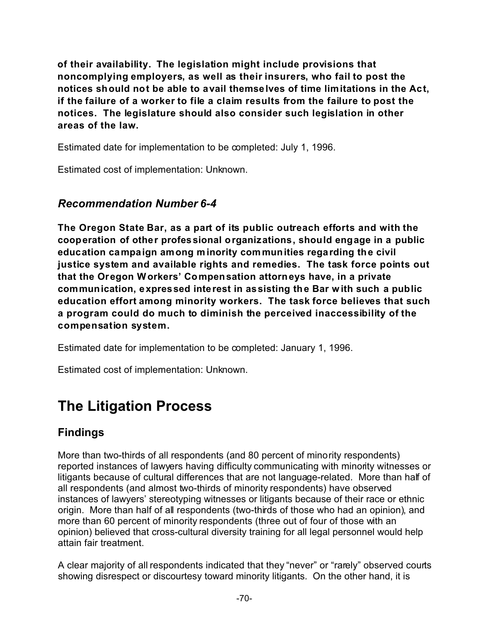**of their availability. The legislation might include provisions that noncomplying employers, as well as their insurers, who fail to post the notices should not be able to avail themselves of time limitations in the Act, if the failure of a worker to file a claim results from the failure to post the notices. The legislature should also consider such legislation in other areas of the law.**

Estimated date for implementation to be completed: July 1, 1996.

Estimated cost of implementation: Unknown.

#### *Recommendation Number 6-4*

**The Oregon State Bar, as a part of its public outreach efforts and with the cooperation of other professional organizations, should engage in a public education campaign among minority com munities regarding the civil justice system and available rights and remedies. The task force points out that the Oregon Workers' Compensation attorneys have, in a private communication, expressed interest in assisting the Bar with such a public education effort among minority workers. The task force believes that such a program could do much to diminish the perceived inaccessibility of the compensation system.**

Estimated date for implementation to be completed: January 1, 1996.

Estimated cost of implementation: Unknown.

# **The Litigation Process**

#### **Findings**

More than two-thirds of all respondents (and 80 percent of minority respondents) reported instances of lawyers having difficulty communicating with minority witnesses or litigants because of cultural differences that are not language-related. More than half of all respondents (and almost two-thirds of minority respondents) have observed instances of lawyers' stereotyping witnesses or litigants because of their race or ethnic origin. More than half of all respondents (two-thirds of those who had an opinion), and more than 60 percent of minority respondents (three out of four of those with an opinion) believed that cross-cultural diversity training for all legal personnel would help attain fair treatment.

A clear majority of all respondents indicated that they "never" or "rarely" observed courts showing disrespect or discourtesy toward minority litigants. On the other hand, it is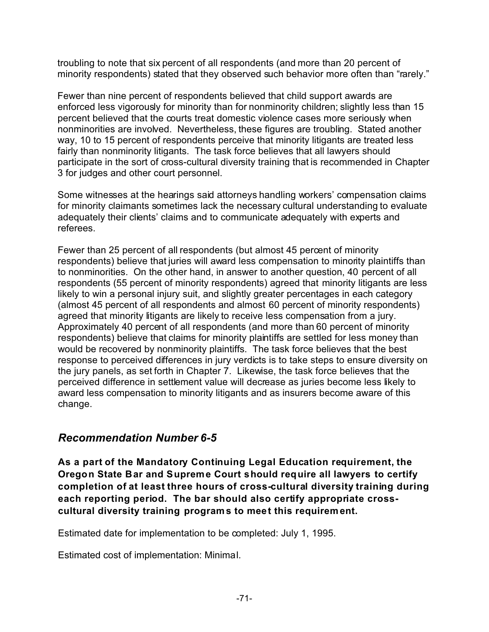troubling to note that six percent of all respondents (and more than 20 percent of minority respondents) stated that they observed such behavior more often than "rarely."

Fewer than nine percent of respondents believed that child support awards are enforced less vigorously for minority than for nonminority children; slightly less than 15 percent believed that the courts treat domestic violence cases more seriously when nonminorities are involved. Nevertheless, these figures are troubling. Stated another way, 10 to 15 percent of respondents perceive that minority litigants are treated less fairly than nonminority litigants. The task force believes that all lawyers should participate in the sort of cross-cultural diversity training that is recommended in Chapter 3 for judges and other court personnel.

Some witnesses at the hearings said attorneys handling workers' compensation claims for minority claimants sometimes lack the necessary cultural understanding to evaluate adequately their clients' claims and to communicate adequately with experts and referees.

Fewer than 25 percent of all respondents (but almost 45 percent of minority respondents) believe that juries will award less compensation to minority plaintiffs than to nonminorities. On the other hand, in answer to another question, 40 percent of all respondents (55 percent of minority respondents) agreed that minority litigants are less likely to win a personal injury suit, and slightly greater percentages in each category (almost 45 percent of all respondents and almost 60 percent of minority respondents) agreed that minority litigants are likely to receive less compensation from a jury. Approximately 40 percent of all respondents (and more than 60 percent of minority respondents) believe that claims for minority plaintiffs are settled for less money than would be recovered by nonminority plaintiffs. The task force believes that the best response to perceived differences in jury verdicts is to take steps to ensure diversity on the jury panels, as set forth in Chapter 7. Likewise, the task force believes that the perceived difference in settlement value will decrease as juries become less likely to award less compensation to minority litigants and as insurers become aware of this change.

#### *Recommendation Number 6-5*

**As a part of the Mandatory Continuing Legal Education requirement, the Oregon State Bar and Supreme Court should require all lawyers to certify completion of at least three hours of cross-cultural diversity training during each reporting period. The bar should also certify appropriate crosscultural diversity training programs to meet this requirement.**

Estimated date for implementation to be completed: July 1, 1995.

Estimated cost of implementation: Minimal.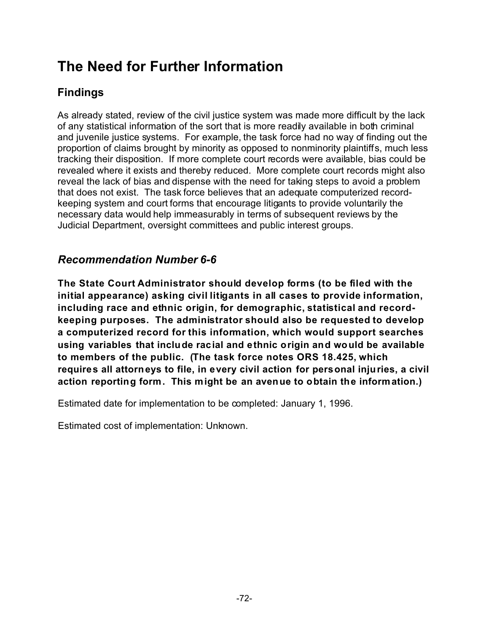## **The Need for Further Information**

### **Findings**

As already stated, review of the civil justice system was made more difficult by the lack of any statistical information of the sort that is more readily available in both criminal and juvenile justice systems. For example, the task force had no way of finding out the proportion of claims brought by minority as opposed to nonminority plaintiffs, much less tracking their disposition. If more complete court records were available, bias could be revealed where it exists and thereby reduced. More complete court records might also reveal the lack of bias and dispense with the need for taking steps to avoid a problem that does not exist. The task force believes that an adequate computerized recordkeeping system and court forms that encourage litigants to provide voluntarily the necessary data would help immeasurably in terms of subsequent reviews by the Judicial Department, oversight committees and public interest groups.

### *Recommendation Number 6-6*

**The State Court Administrator should develop forms (to be filed with the initial appearance) asking civil litigants in all cases to provide information, including race and ethnic origin, for demographic, statistical and recordkeeping purposes. The administrator should also be requested to develop a computerized record for this information, which would support searches using variables that include racial and ethnic origin and would be available to members of the public. (The task force notes ORS 18.425, which requires all attorneys to file, in every civil action for personal injuries, a civil action reporting form. This might be an avenue to obtain the information.)**

Estimated date for implementation to be completed: January 1, 1996.

Estimated cost of implementation: Unknown.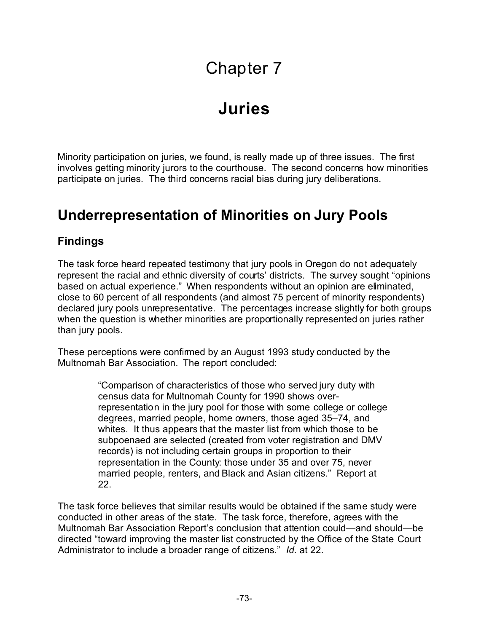# Chapter 7

# **Juries**

Minority participation on juries, we found, is really made up of three issues. The first involves getting minority jurors to the courthouse. The second concerns how minorities participate on juries. The third concerns racial bias during jury deliberations.

### **Underrepresentation of Minorities on Jury Pools**

#### **Findings**

The task force heard repeated testimony that jury pools in Oregon do not adequately represent the racial and ethnic diversity of courts' districts. The survey sought "opinions based on actual experience." When respondents without an opinion are eliminated, close to 60 percent of all respondents (and almost 75 percent of minority respondents) declared jury pools unrepresentative. The percentages increase slightly for both groups when the question is whether minorities are proportionally represented on juries rather than jury pools.

These perceptions were confirmed by an August 1993 study conducted by the Multnomah Bar Association. The report concluded:

> "Comparison of characteristics of those who served jury duty with census data for Multnomah County for 1990 shows overrepresentation in the jury pool for those with some college or college degrees, married people, home owners, those aged 35–74, and whites. It thus appears that the master list from which those to be subpoenaed are selected (created from voter registration and DMV records) is not including certain groups in proportion to their representation in the County: those under 35 and over 75, never married people, renters, and Black and Asian citizens." Report at 22.

The task force believes that similar results would be obtained if the same study were conducted in other areas of the state. The task force, therefore, agrees with the Multnomah Bar Association Report's conclusion that attention could—and should—be directed "toward improving the master list constructed by the Office of the State Court Administrator to include a broader range of citizens." *Id*. at 22.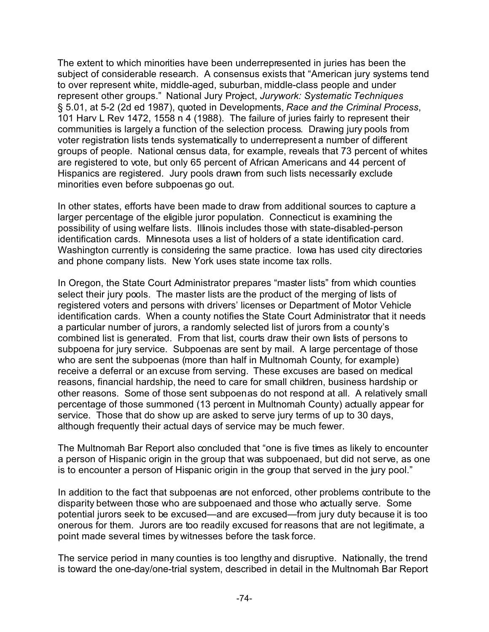The extent to which minorities have been underrepresented in juries has been the subject of considerable research. A consensus exists that "American jury systems tend to over represent white, middle-aged, suburban, middle-class people and under represent other groups." National Jury Project, *Jurywork: Systematic Techniques* § 5.01, at 5-2 (2d ed 1987), quoted in Developments, *Race and the Criminal Process*, 101 Harv L Rev 1472, 1558 n 4 (1988). The failure of juries fairly to represent their communities is largely a function of the selection process. Drawing jury pools from voter registration lists tends systematically to underrepresent a number of different groups of people. National census data, for example, reveals that 73 percent of whites are registered to vote, but only 65 percent of African Americans and 44 percent of Hispanics are registered. Jury pools drawn from such lists necessarily exclude minorities even before subpoenas go out.

In other states, efforts have been made to draw from additional sources to capture a larger percentage of the eligible juror population. Connecticut is examining the possibility of using welfare lists. Illinois includes those with state-disabled-person identification cards. Minnesota uses a list of holders of a state identification card. Washington currently is considering the same practice. Iowa has used city directories and phone company lists. New York uses state income tax rolls.

In Oregon, the State Court Administrator prepares "master lists" from which counties select their jury pools. The master lists are the product of the merging of lists of registered voters and persons with drivers' licenses or Department of Motor Vehicle identification cards. When a county notifies the State Court Administrator that it needs a particular number of jurors, a randomly selected list of jurors from a county's combined list is generated. From that list, courts draw their own lists of persons to subpoena for jury service. Subpoenas are sent by mail. A large percentage of those who are sent the subpoenas (more than half in Multnomah County, for example) receive a deferral or an excuse from serving. These excuses are based on medical reasons, financial hardship, the need to care for small children, business hardship or other reasons. Some of those sent subpoenas do not respond at all. A relatively small percentage of those summoned (13 percent in Multnomah County) actually appear for service. Those that do show up are asked to serve jury terms of up to 30 days, although frequently their actual days of service may be much fewer.

The Multnomah Bar Report also concluded that "one is five times as likely to encounter a person of Hispanic origin in the group that was subpoenaed, but did not serve, as one is to encounter a person of Hispanic origin in the group that served in the jury pool."

In addition to the fact that subpoenas are not enforced, other problems contribute to the disparity between those who are subpoenaed and those who actually serve. Some potential jurors seek to be excused—and are excused—from jury duty because it is too onerous for them. Jurors are too readily excused for reasons that are not legitimate, a point made several times by witnesses before the task force.

The service period in many counties is too lengthy and disruptive. Nationally, the trend is toward the one-day/one-trial system, described in detail in the Multnomah Bar Report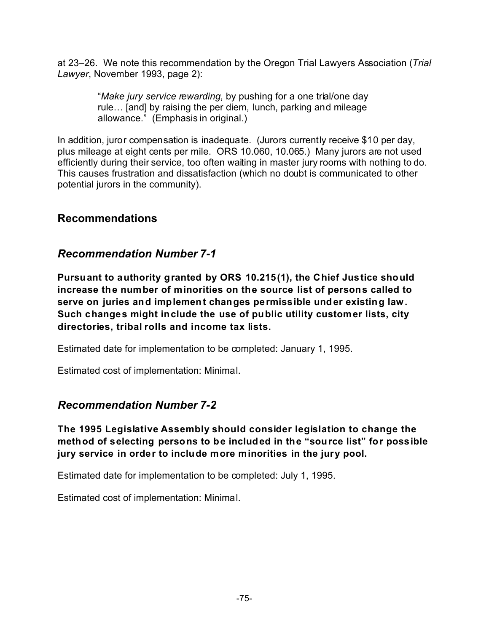at 23–26. We note this recommendation by the Oregon Trial Lawyers Association (*Trial Lawyer*, November 1993, page 2):

> "*Make jury service rewarding*, by pushing for a one trial/one day rule… [and] by raising the per diem, lunch, parking and mileage allowance." (Emphasis in original.)

In addition, juror compensation is inadequate. (Jurors currently receive \$10 per day, plus mileage at eight cents per mile. ORS 10.060, 10.065.) Many jurors are not used efficiently during their service, too often waiting in master jury rooms with nothing to do. This causes frustration and dissatisfaction (which no doubt is communicated to other potential jurors in the community).

#### **Recommendations**

#### *Recommendation Number 7-1*

**Pursuant to authority granted by ORS 10.215(1), the Chief Justice should increase the number of minorities on the source list of persons called to serve on juries and implement changes permissible under existing law. Such changes might include the use of public utility customer lists, city directories, tribal rolls and income tax lists.**

Estimated date for implementation to be completed: January 1, 1995.

Estimated cost of implementation: Minimal.

#### *Recommendation Number 7-2*

**The 1995 Legislative Assembly should consider legislation to change the method of selecting persons to be included in the "source list" for possible jury service in order to include more minorities in the jury pool.**

Estimated date for implementation to be completed: July 1, 1995.

Estimated cost of implementation: Minimal.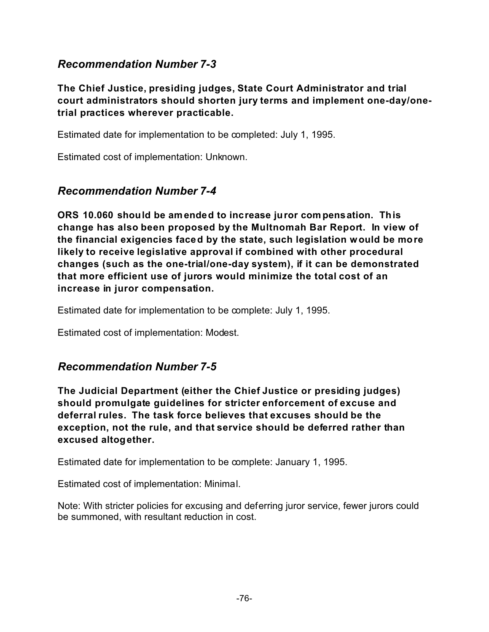#### *Recommendation Number 7-3*

**The Chief Justice, presiding judges, State Court Administrator and trial court administrators should shorten jury terms and implement one-day/onetrial practices wherever practicable.**

Estimated date for implementation to be completed: July 1, 1995.

Estimated cost of implementation: Unknown.

#### *Recommendation Number 7-4*

**ORS 10.060 should be amended to increase juror compensation. This change has also been proposed by the Multnomah Bar Report. In view of the financial exigencies faced by the state, such legislation would be more likely to receive legislative approval if combined with other procedural changes (such as the one-trial/one-day system), if it can be demonstrated that more efficient use of jurors would minimize the total cost of an increase in juror compensation.**

Estimated date for implementation to be complete: July 1, 1995.

Estimated cost of implementation: Modest.

#### *Recommendation Number 7-5*

**The Judicial Department (either the Chief Justice or presiding judges) should promulgate guidelines for stricter enforcement of excuse and deferral rules. The task force believes that excuses should be the exception, not the rule, and that service should be deferred rather than excused altogether.**

Estimated date for implementation to be complete: January 1, 1995.

Estimated cost of implementation: Minimal.

Note: With stricter policies for excusing and deferring juror service, fewer jurors could be summoned, with resultant reduction in cost.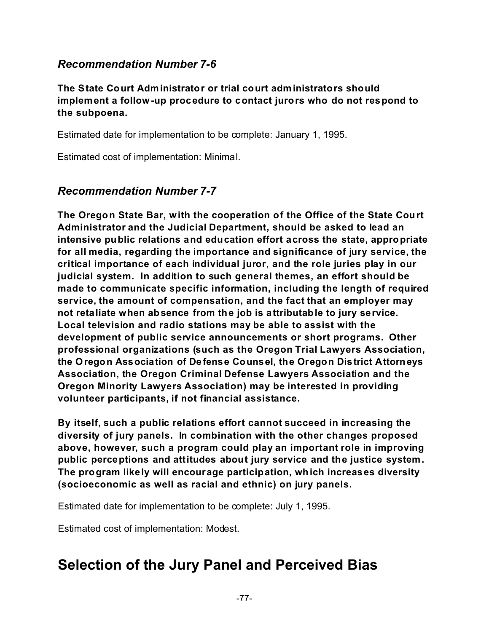#### *Recommendation Number 7-6*

**The State Court Administrator or trial court administrators should implement a follow-up procedure to contact jurors who do not respond to the subpoena.**

Estimated date for implementation to be complete: January 1, 1995.

Estimated cost of implementation: Minimal.

#### *Recommendation Number 7-7*

**The Oregon State Bar, with the cooperation of the Office of the State Court Administrator and the Judicial Department, should be asked to lead an intensive public relations and education effort across the state, appropriate for all media, regarding the importance and significance of jury service, the critical importance of each individual juror, and the role juries play in our judicial system. In addition to such general themes, an effort should be made to communicate specific information, including the length of required service, the amount of compensation, and the fact that an employer may not retaliate when absence from the job is attributable to jury service. Local television and radio stations may be able to assist with the development of public service announcements or short programs. Other professional organizations (such as the Oregon Trial Lawyers Association, the Oregon Association of Defense Counsel, the Oregon District Attorneys Association, the Oregon Criminal Defense Lawyers Association and the Oregon Minority Lawyers Association) may be interested in providing volunteer participants, if not financial assistance.**

**By itself, such a public relations effort cannot succeed in increasing the diversity of jury panels. In combination with the other changes proposed above, however, such a program could play an important role in improving public perceptions and attitudes about jury service and the justice system. The program likely will encourage participation, which increases diversity (socioeconomic as well as racial and ethnic) on jury panels.**

Estimated date for implementation to be complete: July 1, 1995.

Estimated cost of implementation: Modest.

### **Selection of the Jury Panel and Perceived Bias**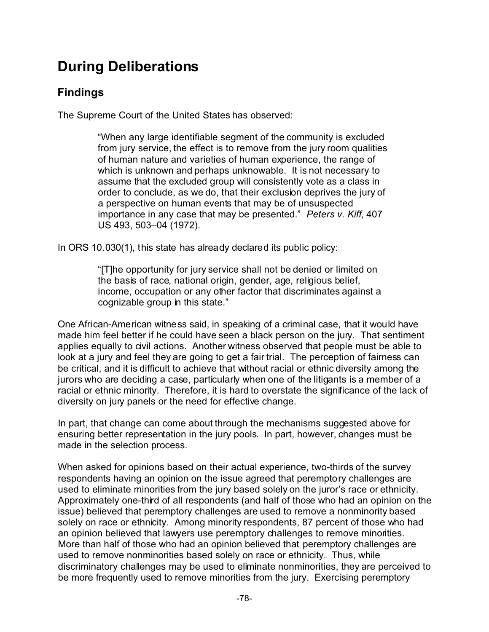## **During Deliberations**

#### **Findings**

The Supreme Court of the United States has observed:

"When any large identifiable segment of the community is excluded from jury service, the effect is to remove from the jury room qualities of human nature and varieties of human experience, the range of which is unknown and perhaps unknowable. It is not necessary to assume that the excluded group will consistently vote as a class in order to conclude, as we do, that their exclusion deprives the jury of a perspective on human events that may be of unsuspected importance in any case that may be presented." *Peters v. Kiff*, 407 US 493, 503–04 (1972).

In ORS 10.030(1), this state has already declared its public policy:

"[T]he opportunity for jury service shall not be denied or limited on the basis of race, national origin, gender, age, religious belief, income, occupation or any other factor that discriminates against a cognizable group in this state."

One African-American witness said, in speaking of a criminal case, that it would have made him feel better if he could have seen a black person on the jury. That sentiment applies equally to civil actions. Another witness observed that people must be able to look at a jury and feel they are going to get a fair trial. The perception of fairness can be critical, and it is difficult to achieve that without racial or ethnic diversity among the jurors who are deciding a case, particularly when one of the litigants is a member of a racial or ethnic minority. Therefore, it is hard to overstate the significance of the lack of diversity on jury panels or the need for effective change.

In part, that change can come about through the mechanisms suggested above for ensuring better representation in the jury pools. In part, however, changes must be made in the selection process.

When asked for opinions based on their actual experience, two-thirds of the survey respondents having an opinion on the issue agreed that peremptory challenges are used to eliminate minorities from the jury based solely on the juror's race or ethnicity. Approximately one-third of all respondents (and half of those who had an opinion on the issue) believed that peremptory challenges are used to remove a nonminority based solely on race or ethnicity. Among minority respondents, 87 percent of those who had an opinion believed that lawyers use peremptory challenges to remove minorities. More than half of those who had an opinion believed that peremptory challenges are used to remove nonminorities based solely on race or ethnicity. Thus, while discriminatory challenges may be used to eliminate nonminorities, they are perceived to be more frequently used to remove minorities from the jury. Exercising peremptory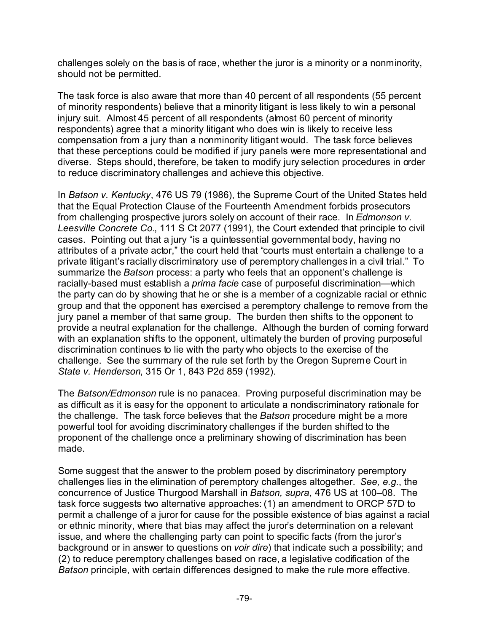challenges solely on the basis of race, whether the juror is a minority or a nonminority, should not be permitted.

The task force is also aware that more than 40 percent of all respondents (55 percent of minority respondents) believe that a minority litigant is less likely to win a personal injury suit. Almost 45 percent of all respondents (almost 60 percent of minority respondents) agree that a minority litigant who does win is likely to receive less compensation from a jury than a nonminority litigant would. The task force believes that these perceptions could be modified if jury panels were more representational and diverse. Steps should, therefore, be taken to modify jury selection procedures in order to reduce discriminatory challenges and achieve this objective.

In *Batson v. Kentucky*, 476 US 79 (1986), the Supreme Court of the United States held that the Equal Protection Clause of the Fourteenth Amendment forbids prosecutors from challenging prospective jurors solely on account of their race. In *Edmonson v. Leesville Concrete Co.*, 111 S Ct 2077 (1991), the Court extended that principle to civil cases. Pointing out that a jury "is a quintessential governmental body, having no attributes of a private actor," the court held that "courts must entertain a challenge to a private litigant's racially discriminatory use of peremptory challenges in a civil trial." To summarize the *Batson* process: a party who feels that an opponent's challenge is racially-based must establish a *prima facie* case of purposeful discrimination—which the party can do by showing that he or she is a member of a cognizable racial or ethnic group and that the opponent has exercised a peremptory challenge to remove from the jury panel a member of that same group. The burden then shifts to the opponent to provide a neutral explanation for the challenge. Although the burden of coming forward with an explanation shifts to the opponent, ultimately the burden of proving purposeful discrimination continues to lie with the party who objects to the exercise of the challenge. See the summary of the rule set forth by the Oregon Supreme Court in *State v. Henderson*, 315 Or 1, 843 P2d 859 (1992).

The *Batson/Edmonson* rule is no panacea. Proving purposeful discrimination may be as difficult as it is easy for the opponent to articulate a nondiscriminatory rationale for the challenge. The task force believes that the *Batson* procedure might be a more powerful tool for avoiding discriminatory challenges if the burden shifted to the proponent of the challenge once a preliminary showing of discrimination has been made.

Some suggest that the answer to the problem posed by discriminatory peremptory challenges lies in the elimination of peremptory challenges altogether. *See, e.g.*, the concurrence of Justice Thurgood Marshall in *Batson, supra*, 476 US at 100–08. The task force suggests two alternative approaches: (1) an amendment to ORCP 57D to permit a challenge of a juror for cause for the possible existence of bias against a racial or ethnic minority, where that bias may affect the juror's determination on a relevant issue, and where the challenging party can point to specific facts (from the juror's background or in answer to questions on *voir dire*) that indicate such a possibility; and (2) to reduce peremptory challenges based on race, a legislative codification of the *Batson* principle, with certain differences designed to make the rule more effective.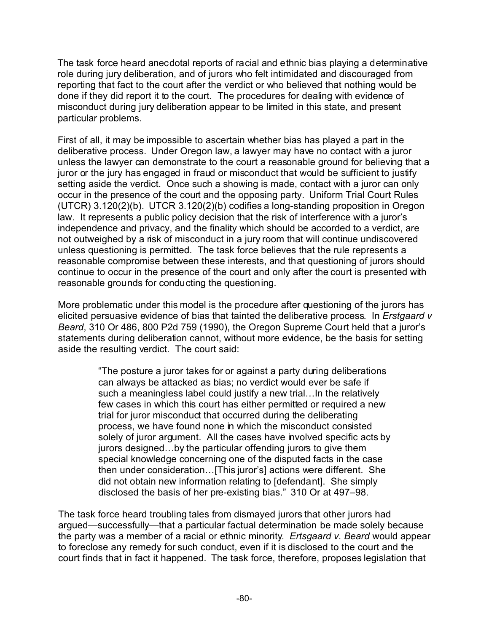The task force heard anecdotal reports of racial and ethnic bias playing a determinative role during jury deliberation, and of jurors who felt intimidated and discouraged from reporting that fact to the court after the verdict or who believed that nothing would be done if they did report it to the court. The procedures for dealing with evidence of misconduct during jury deliberation appear to be limited in this state, and present particular problems.

First of all, it may be impossible to ascertain whether bias has played a part in the deliberative process. Under Oregon law, a lawyer may have no contact with a juror unless the lawyer can demonstrate to the court a reasonable ground for believing that a juror or the jury has engaged in fraud or misconduct that would be sufficient to justify setting aside the verdict. Once such a showing is made, contact with a juror can only occur in the presence of the court and the opposing party. Uniform Trial Court Rules (UTCR) 3.120(2)(b). UTCR 3.120(2)(b) codifies a long-standing proposition in Oregon law. It represents a public policy decision that the risk of interference with a juror's independence and privacy, and the finality which should be accorded to a verdict, are not outweighed by a risk of misconduct in a jury room that will continue undiscovered unless questioning is permitted. The task force believes that the rule represents a reasonable compromise between these interests, and that questioning of jurors should continue to occur in the presence of the court and only after the court is presented with reasonable grounds for conducting the questioning.

More problematic under this model is the procedure after questioning of the jurors has elicited persuasive evidence of bias that tainted the deliberative process. In *Erstgaard v Beard*, 310 Or 486, 800 P2d 759 (1990), the Oregon Supreme Court held that a juror's statements during deliberation cannot, without more evidence, be the basis for setting aside the resulting verdict. The court said:

> "The posture a juror takes for or against a party during deliberations can always be attacked as bias; no verdict would ever be safe if such a meaningless label could justify a new trial... In the relatively few cases in which this court has either permitted or required a new trial for juror misconduct that occurred during the deliberating process, we have found none in which the misconduct consisted solely of juror argument. All the cases have involved specific acts by jurors designed…by the particular offending jurors to give them special knowledge concerning one of the disputed facts in the case then under consideration…[This juror's] actions were different. She did not obtain new information relating to [defendant]. She simply disclosed the basis of her pre-existing bias." 310 Or at 497–98.

The task force heard troubling tales from dismayed jurors that other jurors had argued—successfully—that a particular factual determination be made solely because the party was a member of a racial or ethnic minority. *Ertsgaard v. Beard* would appear to foreclose any remedy for such conduct, even if it is disclosed to the court and the court finds that in fact it happened. The task force, therefore, proposes legislation that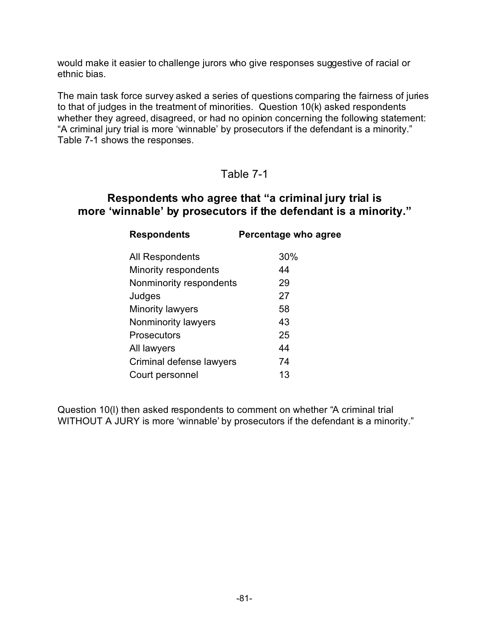would make it easier to challenge jurors who give responses suggestive of racial or ethnic bias.

The main task force survey asked a series of questions comparing the fairness of juries to that of judges in the treatment of minorities. Question 10(k) asked respondents whether they agreed, disagreed, or had no opinion concerning the following statement: "A criminal jury trial is more 'winnable' by prosecutors if the defendant is a minority." Table 7-1 shows the responses.

#### Table 7-1

#### **Respondents who agree that "a criminal jury trial is more 'winnable' by prosecutors if the defendant is a minority."**

| <b>Respondents</b>       | Percentage who agree |
|--------------------------|----------------------|
| All Respondents          | 30%                  |
| Minority respondents     | 44                   |
| Nonminority respondents  | 29                   |
| Judges                   | 27                   |
| Minority lawyers         | 58                   |
| Nonminority lawyers      | 43                   |
| <b>Prosecutors</b>       | 25                   |
| All lawyers              | 44                   |
| Criminal defense lawyers | 74                   |
| Court personnel          | 13                   |

Question 10(l) then asked respondents to comment on whether "A criminal trial WITHOUT A JURY is more 'winnable' by prosecutors if the defendant is a minority."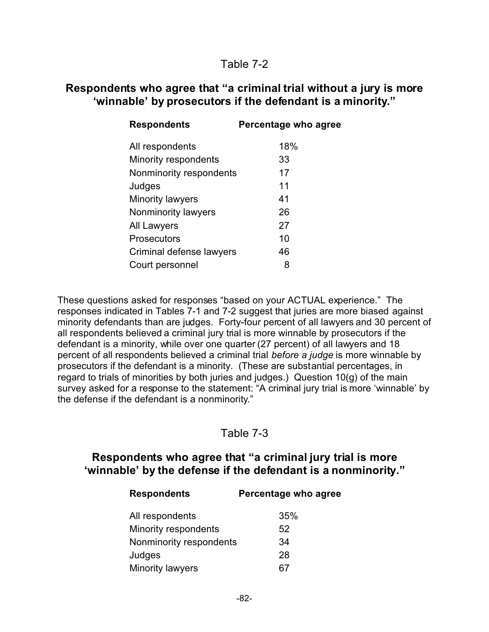#### Table 7-2

#### **Respondents who agree that "a criminal trial without a jury is more 'winnable' by prosecutors if the defendant is a minority."**

| <b>Respondents</b>       | Percentage who agree |
|--------------------------|----------------------|
| All respondents          | 18%                  |
| Minority respondents     | 33                   |
| Nonminority respondents  | 17                   |
| Judges                   | 11                   |
| <b>Minority lawyers</b>  | 41                   |
| Nonminority lawyers      | 26                   |
| <b>All Lawyers</b>       | 27                   |
| Prosecutors              | 10                   |
| Criminal defense lawyers | 46                   |
| Court personnel          | 8                    |

These questions asked for responses "based on your ACTUAL experience." The responses indicated in Tables 7-1 and 7-2 suggest that juries are more biased against minority defendants than are judges. Forty-four percent of all lawyers and 30 percent of all respondents believed a criminal jury trial is more winnable by prosecutors if the defendant is a minority, while over one quarter (27 percent) of all lawyers and 18 percent of all respondents believed a criminal trial *before a judge* is more winnable by prosecutors if the defendant is a minority. (These are substantial percentages, in regard to trials of minorities by both juries and judges.) Question 10(g) of the main survey asked for a response to the statement: "A criminal jury trial is more 'winnable' by the defense if the defendant is a nonminority."

#### Table 7-3

#### **Respondents who agree that "a criminal jury trial is more 'winnable' by the defense if the defendant is a nonminority."**

| <b>Respondents</b>      | Percentage who agree |
|-------------------------|----------------------|
| All respondents         | 35%                  |
| Minority respondents    | 52                   |
| Nonminority respondents | 34                   |
| Judges                  | 28                   |
| Minority lawyers        | 67                   |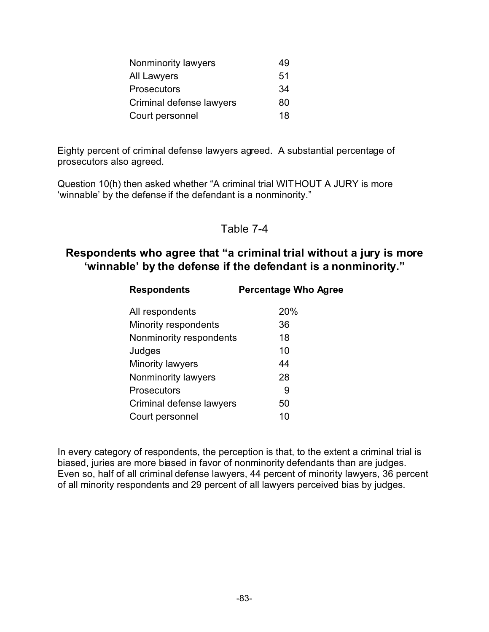| Nonminority lawyers      | 49 |
|--------------------------|----|
| All Lawyers              | 51 |
| <b>Prosecutors</b>       | 34 |
| Criminal defense lawyers | 80 |
| Court personnel          | 18 |

Eighty percent of criminal defense lawyers agreed. A substantial percentage of prosecutors also agreed.

Question 10(h) then asked whether "A criminal trial WITHOUT A JURY is more 'winnable' by the defense if the defendant is a nonminority."

#### Table 7-4

#### **Respondents who agree that "a criminal trial without a jury is more 'winnable' by the defense if the defendant is a nonminority."**

| <b>Respondents</b>       | <b>Percentage Who Agree</b> |
|--------------------------|-----------------------------|
| All respondents          | 20%                         |
| Minority respondents     | 36                          |
| Nonminority respondents  | 18                          |
| Judges                   | 10                          |
| Minority lawyers         | 44                          |
| Nonminority lawyers      | 28                          |
| Prosecutors              | 9                           |
| Criminal defense lawyers | 50                          |
| Court personnel          | 10                          |

In every category of respondents, the perception is that, to the extent a criminal trial is biased, juries are more biased in favor of nonminority defendants than are judges. Even so, half of all criminal defense lawyers, 44 percent of minority lawyers, 36 percent of all minority respondents and 29 percent of all lawyers perceived bias by judges.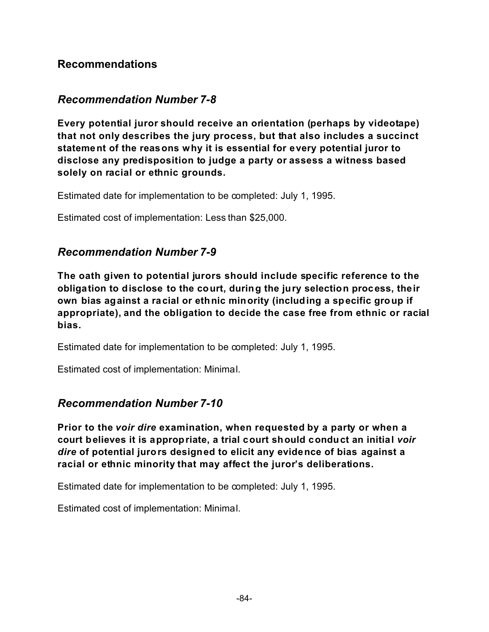#### **Recommendations**

#### *Recommendation Number 7-8*

**Every potential juror should receive an orientation (perhaps by videotape) that not only describes the jury process, but that also includes a succinct statement of the reasons why it is essential for every potential juror to disclose any predisposition to judge a party or assess a witness based solely on racial or ethnic grounds.**

Estimated date for implementation to be completed: July 1, 1995.

Estimated cost of implementation: Less than \$25,000.

#### *Recommendation Number 7-9*

**The oath given to potential jurors should include specific reference to the obligation to disclose to the court, during the jury selection process, their own bias against a racial or ethnic minority (including a specific group if appropriate), and the obligation to decide the case free from ethnic or racial bias.**

Estimated date for implementation to be completed: July 1, 1995.

Estimated cost of implementation: Minimal.

#### *Recommendation Number 7-10*

**Prior to the** *voir dire* **examination, when requested by a party or when a court believes it is appropriate, a trial court should conduct an initial** *voir dire* **of potential jurors designed to elicit any evidence of bias against a racial or ethnic minority that may affect the juror's deliberations.**

Estimated date for implementation to be completed: July 1, 1995.

Estimated cost of implementation: Minimal.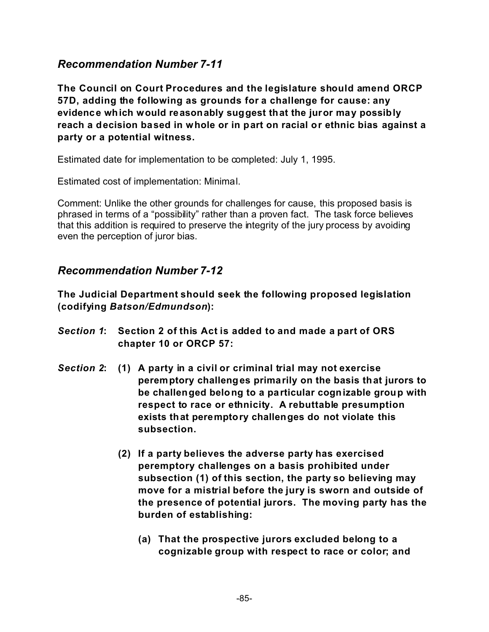#### *Recommendation Number 7-11*

**The Council on Court Procedures and the legislature should amend ORCP 57D, adding the following as grounds for a challenge for cause: any evidence which would reasonably suggest that the juror may possibly reach a decision based in whole or in part on racial or ethnic bias against a party or a potential witness.**

Estimated date for implementation to be completed: July 1, 1995.

Estimated cost of implementation: Minimal.

Comment: Unlike the other grounds for challenges for cause, this proposed basis is phrased in terms of a "possibility" rather than a proven fact. The task force believes that this addition is required to preserve the integrity of the jury process by avoiding even the perception of juror bias.

#### *Recommendation Number 7-12*

**The Judicial Department should seek the following proposed legislation (codifying** *Batson/Edmundson***):**

- *Section 1***: Section 2 of this Act is added to and made a part of ORS chapter 10 or ORCP 57:**
- *Section 2***: (1) A party in a civil or criminal trial may not exercise peremptory challenges primarily on the basis that jurors to be challenged belong to a particular cognizable group with respect to race or ethnicity. A rebuttable presumption exists that peremptory challenges do not violate this subsection.**
	- **(2) If a party believes the adverse party has exercised peremptory challenges on a basis prohibited under subsection (1) of this section, the party so believing may move for a mistrial before the jury is sworn and outside of the presence of potential jurors. The moving party has the burden of establishing:**
		- **(a) That the prospective jurors excluded belong to a cognizable group with respect to race or color; and**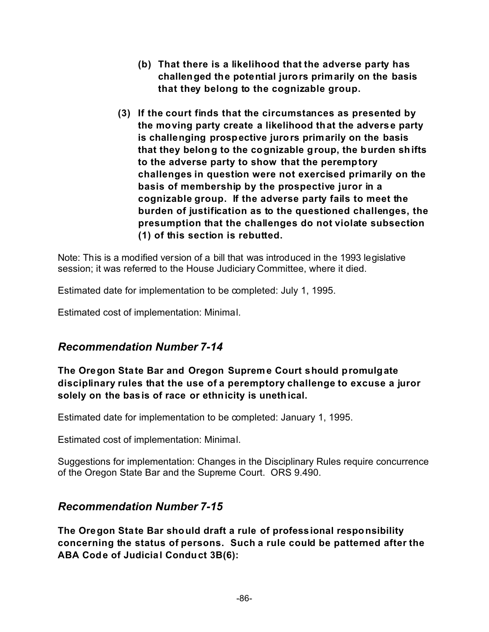- **(b) That there is a likelihood that the adverse party has challenged the potential jurors primarily on the basis that they belong to the cognizable group.**
- **(3) If the court finds that the circumstances as presented by the moving party create a likelihood that the adverse party is challenging prospective jurors primarily on the basis that they belong to the cognizable group, the burden shifts to the adverse party to show that the peremptory challenges in question were not exercised primarily on the basis of membership by the prospective juror in a cognizable group. If the adverse party fails to meet the burden of justification as to the questioned challenges, the presumption that the challenges do not violate subsection (1) of this section is rebutted.**

Note: This is a modified version of a bill that was introduced in the 1993 legislative session; it was referred to the House Judiciary Committee, where it died.

Estimated date for implementation to be completed: July 1, 1995.

Estimated cost of implementation: Minimal.

#### *Recommendation Number 7-14*

#### **The Oregon State Bar and Oregon Supreme Court should promulgate disciplinary rules that the use of a peremptory challenge to excuse a juror solely on the basis of race or ethnicity is unethical.**

Estimated date for implementation to be completed: January 1, 1995.

Estimated cost of implementation: Minimal.

Suggestions for implementation: Changes in the Disciplinary Rules require concurrence of the Oregon State Bar and the Supreme Court. ORS 9.490.

#### *Recommendation Number 7-15*

**The Oregon State Bar should draft a rule of professional responsibility concerning the status of persons. Such a rule could be patterned after the ABA Code of Judicial Conduct 3B(6):**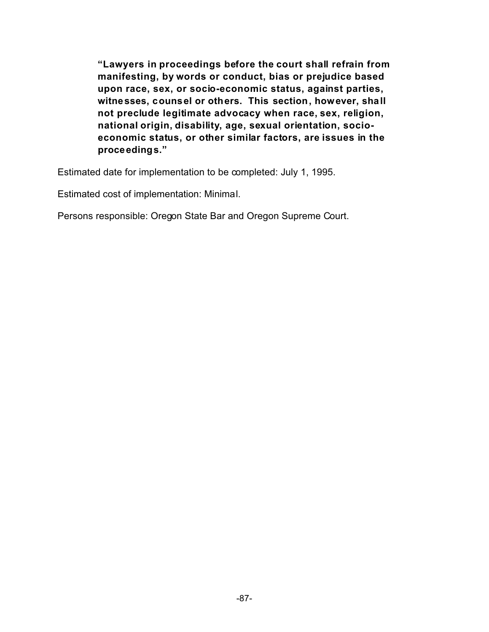**"Lawyers in proceedings before the court shall refrain from manifesting, by words or conduct, bias or prejudice based upon race, sex, or socio-economic status, against parties, witnesses, counsel or others. This section, however, shall not preclude legitimate advocacy when race, sex, religion, national origin, disability, age, sexual orientation, socioeconomic status, or other similar factors, are issues in the proceedings."**

Estimated date for implementation to be completed: July 1, 1995.

Estimated cost of implementation: Minimal.

Persons responsible: Oregon State Bar and Oregon Supreme Court.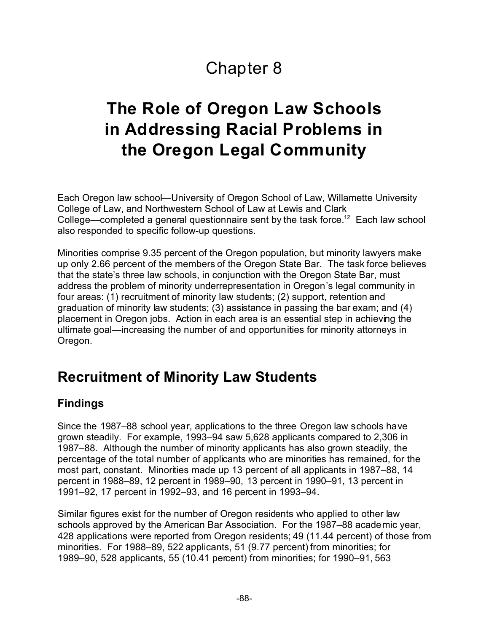# Chapter 8

# **The Role of Oregon Law Schools in Addressing Racial Problems in the Oregon Legal Community**

Each Oregon law school—University of Oregon School of Law, Willamette University College of Law, and Northwestern School of Law at Lewis and Clark College—completed a general questionnaire sent by the task force.<sup>12</sup> Each law school also responded to specific follow-up questions.

Minorities comprise 9.35 percent of the Oregon population, but minority lawyers make up only 2.66 percent of the members of the Oregon State Bar. The task force believes that the state's three law schools, in conjunction with the Oregon State Bar, must address the problem of minority underrepresentation in Oregon's legal community in four areas: (1) recruitment of minority law students; (2) support, retention and graduation of minority law students; (3) assistance in passing the bar exam; and (4) placement in Oregon jobs. Action in each area is an essential step in achieving the ultimate goal—increasing the number of and opportunities for minority attorneys in Oregon.

### **Recruitment of Minority Law Students**

#### **Findings**

Since the 1987–88 school year, applications to the three Oregon law schools have grown steadily. For example, 1993–94 saw 5,628 applicants compared to 2,306 in 1987–88. Although the number of minority applicants has also grown steadily, the percentage of the total number of applicants who are minorities has remained, for the most part, constant. Minorities made up 13 percent of all applicants in 1987–88, 14 percent in 1988–89, 12 percent in 1989–90, 13 percent in 1990–91, 13 percent in 1991–92, 17 percent in 1992–93, and 16 percent in 1993–94.

Similar figures exist for the number of Oregon residents who applied to other law schools approved by the American Bar Association. For the 1987–88 academic year, 428 applications were reported from Oregon residents; 49 (11.44 percent) of those from minorities. For 1988–89, 522 applicants, 51 (9.77 percent) from minorities; for 1989–90, 528 applicants, 55 (10.41 percent) from minorities; for 1990–91, 563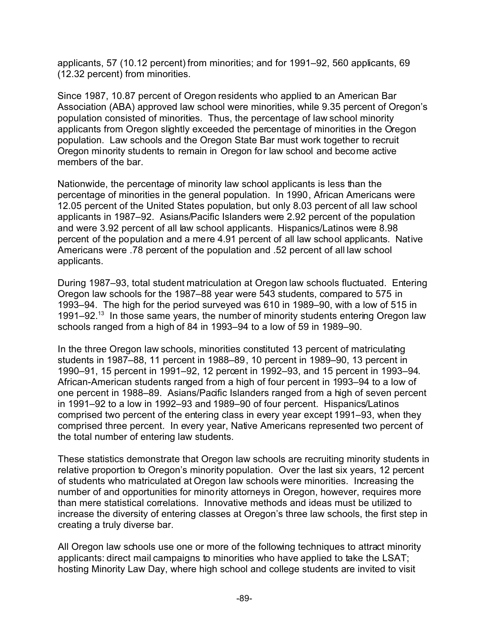applicants, 57 (10.12 percent) from minorities; and for 1991–92, 560 applicants, 69 (12.32 percent) from minorities.

Since 1987, 10.87 percent of Oregon residents who applied to an American Bar Association (ABA) approved law school were minorities, while 9.35 percent of Oregon's population consisted of minorities. Thus, the percentage of law school minority applicants from Oregon slightly exceeded the percentage of minorities in the Oregon population. Law schools and the Oregon State Bar must work together to recruit Oregon minority students to remain in Oregon for law school and become active members of the bar.

Nationwide, the percentage of minority law school applicants is less than the percentage of minorities in the general population. In 1990, African Americans were 12.05 percent of the United States population, but only 8.03 percent of all law school applicants in 1987–92. Asians/Pacific Islanders were 2.92 percent of the population and were 3.92 percent of all law school applicants. Hispanics/Latinos were 8.98 percent of the population and a mere 4.91 percent of all law school applicants. Native Americans were .78 percent of the population and .52 percent of all law school applicants.

During 1987–93, total student matriculation at Oregon law schools fluctuated. Entering Oregon law schools for the 1987–88 year were 543 students, compared to 575 in 1993–94. The high for the period surveyed was 610 in 1989–90, with a low of 515 in 1991–92.<sup>13</sup> In those same years, the number of minority students entering Oregon law schools ranged from a high of 84 in 1993–94 to a low of 59 in 1989–90.

In the three Oregon law schools, minorities constituted 13 percent of matriculating students in 1987–88, 11 percent in 1988–89, 10 percent in 1989–90, 13 percent in 1990–91, 15 percent in 1991–92, 12 percent in 1992–93, and 15 percent in 1993–94. African-American students ranged from a high of four percent in 1993–94 to a low of one percent in 1988–89. Asians/Pacific Islanders ranged from a high of seven percent in 1991–92 to a low in 1992–93 and 1989–90 of four percent. Hispanics/Latinos comprised two percent of the entering class in every year except 1991–93, when they comprised three percent. In every year, Native Americans represented two percent of the total number of entering law students.

These statistics demonstrate that Oregon law schools are recruiting minority students in relative proportion to Oregon's minority population. Over the last six years, 12 percent of students who matriculated at Oregon law schools were minorities. Increasing the number of and opportunities for minority attorneys in Oregon, however, requires more than mere statistical correlations. Innovative methods and ideas must be utilized to increase the diversity of entering classes at Oregon's three law schools, the first step in creating a truly diverse bar.

All Oregon law schools use one or more of the following techniques to attract minority applicants: direct mail campaigns to minorities who have applied to take the LSAT; hosting Minority Law Day, where high school and college students are invited to visit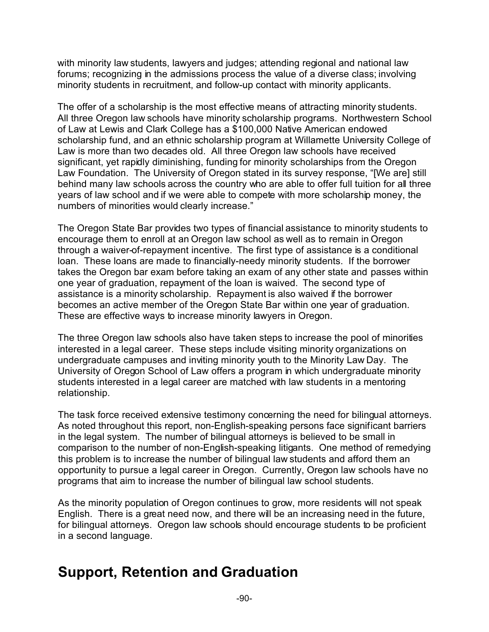with minority law students, lawyers and judges; attending regional and national law forums; recognizing in the admissions process the value of a diverse class; involving minority students in recruitment, and follow-up contact with minority applicants.

The offer of a scholarship is the most effective means of attracting minority students. All three Oregon law schools have minority scholarship programs. Northwestern School of Law at Lewis and Clark College has a \$100,000 Native American endowed scholarship fund, and an ethnic scholarship program at Willamette University College of Law is more than two decades old. All three Oregon law schools have received significant, yet rapidly diminishing, funding for minority scholarships from the Oregon Law Foundation. The University of Oregon stated in its survey response, "[We are] still behind many law schools across the country who are able to offer full tuition for all three years of law school and if we were able to compete with more scholarship money, the numbers of minorities would clearly increase."

The Oregon State Bar provides two types of financial assistance to minority students to encourage them to enroll at an Oregon law school as well as to remain in Oregon through a waiver-of-repayment incentive. The first type of assistance is a conditional loan. These loans are made to financially-needy minority students. If the borrower takes the Oregon bar exam before taking an exam of any other state and passes within one year of graduation, repayment of the loan is waived. The second type of assistance is a minority scholarship. Repayment is also waived if the borrower becomes an active member of the Oregon State Bar within one year of graduation. These are effective ways to increase minority lawyers in Oregon.

The three Oregon law schools also have taken steps to increase the pool of minorities interested in a legal career. These steps include visiting minority organizations on undergraduate campuses and inviting minority youth to the Minority Law Day. The University of Oregon School of Law offers a program in which undergraduate minority students interested in a legal career are matched with law students in a mentoring relationship.

The task force received extensive testimony concerning the need for bilingual attorneys. As noted throughout this report, non-English-speaking persons face significant barriers in the legal system. The number of bilingual attorneys is believed to be small in comparison to the number of non-English-speaking litigants. One method of remedying this problem is to increase the number of bilingual law students and afford them an opportunity to pursue a legal career in Oregon. Currently, Oregon law schools have no programs that aim to increase the number of bilingual law school students.

As the minority population of Oregon continues to grow, more residents will not speak English. There is a great need now, and there will be an increasing need in the future, for bilingual attorneys. Oregon law schools should encourage students to be proficient in a second language.

### **Support, Retention and Graduation**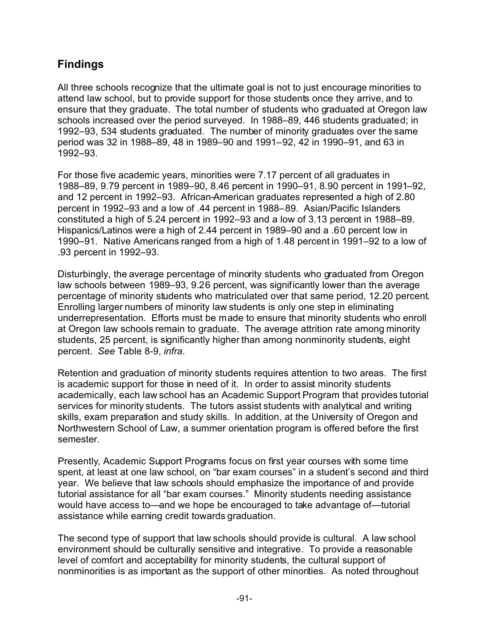#### **Findings**

All three schools recognize that the ultimate goal is not to just encourage minorities to attend law school, but to provide support for those students once they arrive, and to ensure that they graduate. The total number of students who graduated at Oregon law schools increased over the period surveyed. In 1988–89, 446 students graduated; in 1992–93, 534 students graduated. The number of minority graduates over the same period was 32 in 1988–89, 48 in 1989–90 and 1991–92, 42 in 1990–91, and 63 in 1992–93.

For those five academic years, minorities were 7.17 percent of all graduates in 1988–89, 9.79 percent in 1989–90, 8.46 percent in 1990–91, 8.90 percent in 1991–92, and 12 percent in 1992–93. African-American graduates represented a high of 2.80 percent in 1992–93 and a low of .44 percent in 1988–89. Asian/Pacific Islanders constituted a high of 5.24 percent in 1992–93 and a low of 3.13 percent in 1988–89. Hispanics/Latinos were a high of 2.44 percent in 1989–90 and a .60 percent low in 1990–91. Native Americans ranged from a high of 1.48 percent in 1991–92 to a low of .93 percent in 1992–93.

Disturbingly, the average percentage of minority students who graduated from Oregon law schools between 1989–93, 9.26 percent, was significantly lower than the average percentage of minority students who matriculated over that same period, 12.20 percent. Enrolling larger numbers of minority law students is only one step in eliminating underrepresentation. Efforts must be made to ensure that minority students who enroll at Oregon law schools remain to graduate. The average attrition rate among minority students, 25 percent, is significantly higher than among nonminority students, eight percent. *See* Table 8-9, *infra*.

Retention and graduation of minority students requires attention to two areas. The first is academic support for those in need of it. In order to assist minority students academically, each law school has an Academic Support Program that provides tutorial services for minority students. The tutors assist students with analytical and writing skills, exam preparation and study skills. In addition, at the University of Oregon and Northwestern School of Law, a summer orientation program is offered before the first semester.

Presently, Academic Support Programs focus on first year courses with some time spent, at least at one law school, on "bar exam courses" in a student's second and third year. We believe that law schools should emphasize the importance of and provide tutorial assistance for all "bar exam courses." Minority students needing assistance would have access to—and we hope be encouraged to take advantage of—tutorial assistance while earning credit towards graduation.

The second type of support that law schools should provide is cultural. A law school environment should be culturally sensitive and integrative. To provide a reasonable level of comfort and acceptability for minority students, the cultural support of nonminorities is as important as the support of other minorities. As noted throughout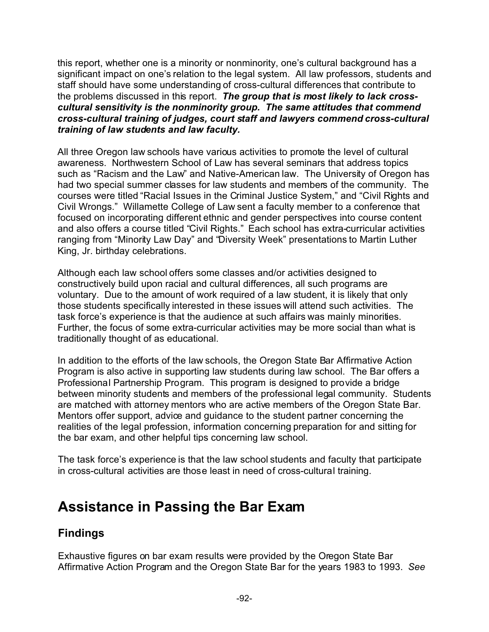this report, whether one is a minority or nonminority, one's cultural background has a significant impact on one's relation to the legal system. All law professors, students and staff should have some understanding of cross-cultural differences that contribute to the problems discussed in this report. *The group that is most likely to lack crosscultural sensitivity is the nonminority group. The same attitudes that commend cross-cultural training of judges, court staff and lawyers commend cross-cultural training of law students and law faculty.*

All three Oregon law schools have various activities to promote the level of cultural awareness. Northwestern School of Law has several seminars that address topics such as "Racism and the Law" and Native-American law. The University of Oregon has had two special summer classes for law students and members of the community. The courses were titled "Racial Issues in the Criminal Justice System," and "Civil Rights and Civil Wrongs." Willamette College of Law sent a faculty member to a conference that focused on incorporating different ethnic and gender perspectives into course content and also offers a course titled "Civil Rights." Each school has extra-curricular activities ranging from "Minority Law Day" and "Diversity Week" presentations to Martin Luther King, Jr. birthday celebrations.

Although each law school offers some classes and/or activities designed to constructively build upon racial and cultural differences, all such programs are voluntary. Due to the amount of work required of a law student, it is likely that only those students specifically interested in these issues will attend such activities. The task force's experience is that the audience at such affairs was mainly minorities. Further, the focus of some extra-curricular activities may be more social than what is traditionally thought of as educational.

In addition to the efforts of the law schools, the Oregon State Bar Affirmative Action Program is also active in supporting law students during law school. The Bar offers a Professional Partnership Program. This program is designed to provide a bridge between minority students and members of the professional legal community. Students are matched with attorney mentors who are active members of the Oregon State Bar. Mentors offer support, advice and guidance to the student partner concerning the realities of the legal profession, information concerning preparation for and sitting for the bar exam, and other helpful tips concerning law school.

The task force's experience is that the law school students and faculty that participate in cross-cultural activities are those least in need of cross-cultural training.

## **Assistance in Passing the Bar Exam**

#### **Findings**

Exhaustive figures on bar exam results were provided by the Oregon State Bar Affirmative Action Program and the Oregon State Bar for the years 1983 to 1993. *See*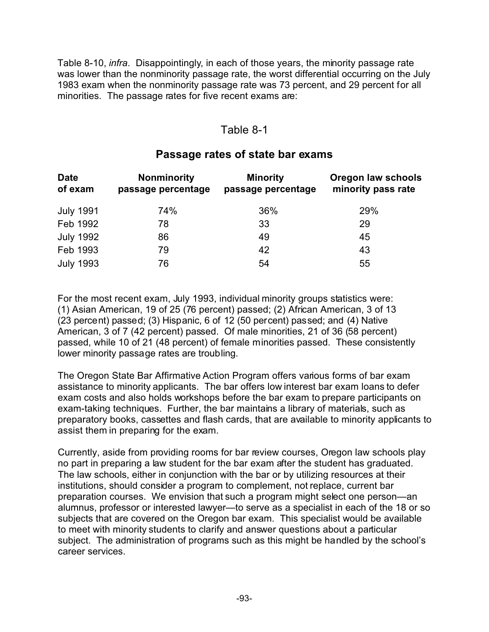Table 8-10, *infra*. Disappointingly, in each of those years, the minority passage rate was lower than the nonminority passage rate, the worst differential occurring on the July 1983 exam when the nonminority passage rate was 73 percent, and 29 percent for all minorities. The passage rates for five recent exams are:

#### Table 8-1

#### **Passage rates of state bar exams**

| <b>Date</b><br>of exam | <b>Nonminority</b><br>passage percentage | <b>Minority</b><br>passage percentage | Oregon law schools<br>minority pass rate |
|------------------------|------------------------------------------|---------------------------------------|------------------------------------------|
| <b>July 1991</b>       | 74%                                      | 36%                                   | 29%                                      |
| Feb 1992               | 78                                       | 33                                    | 29                                       |
| <b>July 1992</b>       | 86                                       | 49                                    | 45                                       |
| Feb 1993               | 79                                       | 42                                    | 43                                       |
| <b>July 1993</b>       | 76                                       | 54                                    | 55                                       |

For the most recent exam, July 1993, individual minority groups statistics were: (1) Asian American, 19 of 25 (76 percent) passed; (2) African American, 3 of 13 (23 percent) passed; (3) Hispanic, 6 of 12 (50 percent) passed; and (4) Native American, 3 of 7 (42 percent) passed. Of male minorities, 21 of 36 (58 percent) passed, while 10 of 21 (48 percent) of female minorities passed. These consistently lower minority passage rates are troubling.

The Oregon State Bar Affirmative Action Program offers various forms of bar exam assistance to minority applicants. The bar offers low interest bar exam loans to defer exam costs and also holds workshops before the bar exam to prepare participants on exam-taking techniques. Further, the bar maintains a library of materials, such as preparatory books, cassettes and flash cards, that are available to minority applicants to assist them in preparing for the exam.

Currently, aside from providing rooms for bar review courses, Oregon law schools play no part in preparing a law student for the bar exam after the student has graduated. The law schools, either in conjunction with the bar or by utilizing resources at their institutions, should consider a program to complement, not replace, current bar preparation courses. We envision that such a program might select one person—an alumnus, professor or interested lawyer—to serve as a specialist in each of the 18 or so subjects that are covered on the Oregon bar exam. This specialist would be available to meet with minority students to clarify and answer questions about a particular subject. The administration of programs such as this might be handled by the school's career services.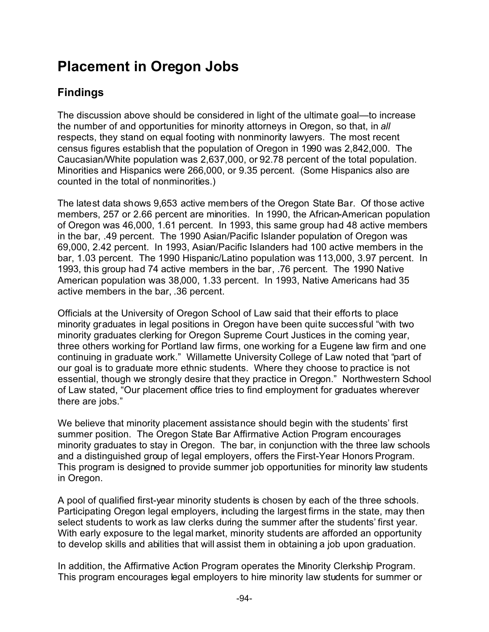## **Placement in Oregon Jobs**

#### **Findings**

The discussion above should be considered in light of the ultimate goal—to increase the number of and opportunities for minority attorneys in Oregon, so that, in *all* respects, they stand on equal footing with nonminority lawyers. The most recent census figures establish that the population of Oregon in 1990 was 2,842,000. The Caucasian/White population was 2,637,000, or 92.78 percent of the total population. Minorities and Hispanics were 266,000, or 9.35 percent. (Some Hispanics also are counted in the total of nonminorities.)

The latest data shows 9,653 active members of the Oregon State Bar. Of those active members, 257 or 2.66 percent are minorities. In 1990, the African-American population of Oregon was 46,000, 1.61 percent. In 1993, this same group had 48 active members in the bar, .49 percent. The 1990 Asian/Pacific Islander population of Oregon was 69,000, 2.42 percent. In 1993, Asian/Pacific Islanders had 100 active members in the bar, 1.03 percent. The 1990 Hispanic/Latino population was 113,000, 3.97 percent. In 1993, this group had 74 active members in the bar, .76 percent. The 1990 Native American population was 38,000, 1.33 percent. In 1993, Native Americans had 35 active members in the bar, .36 percent.

Officials at the University of Oregon School of Law said that their efforts to place minority graduates in legal positions in Oregon have been quite successful "with two minority graduates clerking for Oregon Supreme Court Justices in the coming year, three others working for Portland law firms, one working for a Eugene law firm and one continuing in graduate work." Willamette University College of Law noted that "part of our goal is to graduate more ethnic students. Where they choose to practice is not essential, though we strongly desire that they practice in Oregon." Northwestern School of Law stated, "Our placement office tries to find employment for graduates wherever there are jobs."

We believe that minority placement assistance should begin with the students' first summer position. The Oregon State Bar Affirmative Action Program encourages minority graduates to stay in Oregon. The bar, in conjunction with the three law schools and a distinguished group of legal employers, offers the First-Year Honors Program. This program is designed to provide summer job opportunities for minority law students in Oregon.

A pool of qualified first-year minority students is chosen by each of the three schools. Participating Oregon legal employers, including the largest firms in the state, may then select students to work as law clerks during the summer after the students' first year. With early exposure to the legal market, minority students are afforded an opportunity to develop skills and abilities that will assist them in obtaining a job upon graduation.

In addition, the Affirmative Action Program operates the Minority Clerkship Program. This program encourages legal employers to hire minority law students for summer or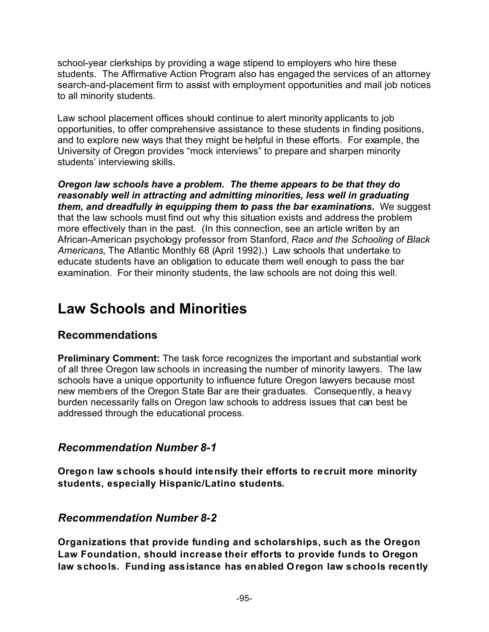school-year clerkships by providing a wage stipend to employers who hire these students. The Affirmative Action Program also has engaged the services of an attorney search-and-placement firm to assist with employment opportunities and mail job notices to all minority students.

Law school placement offices should continue to alert minority applicants to job opportunities, to offer comprehensive assistance to these students in finding positions, and to explore new ways that they might be helpful in these efforts. For example, the University of Oregon provides "mock interviews" to prepare and sharpen minority students' interviewing skills.

*Oregon law schools have a problem. The theme appears to be that they do reasonably well in attracting and admitting minorities, less well in graduating them, and dreadfully in equipping them to pass the bar examinations.* We suggest that the law schools must find out why this situation exists and address the problem more effectively than in the past. (In this connection, see an article written by an African-American psychology professor from Stanford, *Race and the Schooling of Black Americans*, The Atlantic Monthly 68 (April 1992).) Law schools that undertake to educate students have an obligation to educate them well enough to pass the bar examination. For their minority students, the law schools are not doing this well.

### **Law Schools and Minorities**

#### **Recommendations**

**Preliminary Comment:** The task force recognizes the important and substantial work of all three Oregon law schools in increasing the number of minority lawyers. The law schools have a unique opportunity to influence future Oregon lawyers because most new members of the Oregon State Bar are their graduates. Consequently, a heavy burden necessarily falls on Oregon law schools to address issues that can best be addressed through the educational process.

#### *Recommendation Number 8-1*

**Oregon law schools should intensify their efforts to recruit more minority students, especially Hispanic/Latino students.**

#### *Recommendation Number 8-2*

**Organizations that provide funding and scholarships, such as the Oregon Law Foundation, should increase their efforts to provide funds to Oregon law schools. Funding assistance has enabled Oregon law schools recently**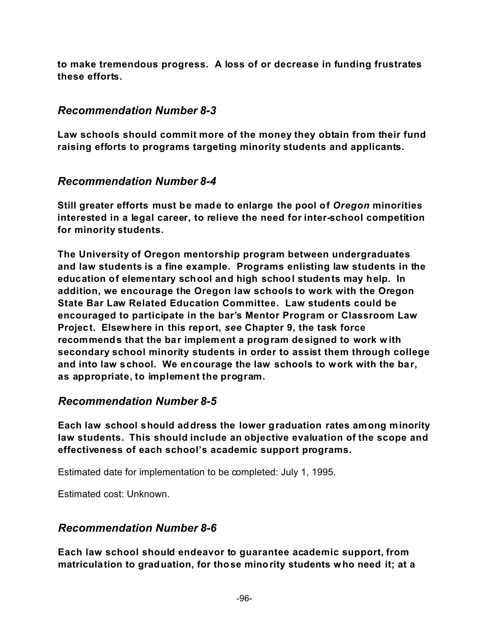**to make tremendous progress. A loss of or decrease in funding frustrates these efforts.**

#### *Recommendation Number 8-3*

**Law schools should commit more of the money they obtain from their fund raising efforts to programs targeting minority students and applicants.**

#### *Recommendation Number 8-4*

**Still greater efforts must be made to enlarge the pool of** *Oregon* **minorities interested in a legal career, to relieve the need for inter-school competition for minority students.**

**The University of Oregon mentorship program between undergraduates and law students is a fine example. Programs enlisting law students in the education of elementary school and high school students may help. In addition, we encourage the Oregon law schools to work with the Oregon State Bar Law Related Education Committee. Law students could be encouraged to participate in the bar's Mentor Program or Classroom Law Project. Elsewhere in this report,** *see* **Chapter 9, the task force recommends that the bar implement a program designed to work w ith secondary school minority students in order to assist them through college and into law school. We encourage the law schools to work with the bar, as appropriate, to implement the program.**

#### *Recommendation Number 8-5*

**Each law school should address the lower graduation rates among minority law students. This should include an objective evaluation of the scope and effectiveness of each school's academic support programs.**

Estimated date for implementation to be completed: July 1, 1995.

Estimated cost: Unknown.

#### *Recommendation Number 8-6*

**Each law school should endeavor to guarantee academic support, from matriculation to graduation, for those minority students who need it; at a**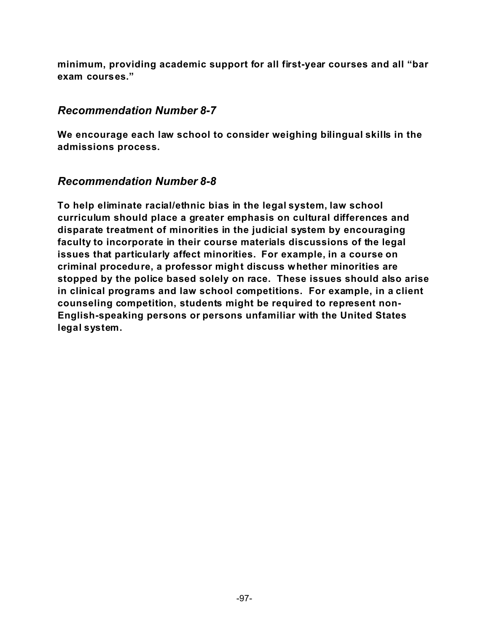**minimum, providing academic support for all first-year courses and all "bar exam courses."**

#### *Recommendation Number 8-7*

**We encourage each law school to consider weighing bilingual skills in the admissions process.**

#### *Recommendation Number 8-8*

**To help eliminate racial/ethnic bias in the legal system, law school curriculum should place a greater emphasis on cultural differences and disparate treatment of minorities in the judicial system by encouraging faculty to incorporate in their course materials discussions of the legal issues that particularly affect minorities. For example, in a course on criminal procedure, a professor might discuss whether minorities are stopped by the police based solely on race. These issues should also arise in clinical programs and law school competitions. For example, in a client counseling competition, students might be required to represent non-English-speaking persons or persons unfamiliar with the United States legal system.**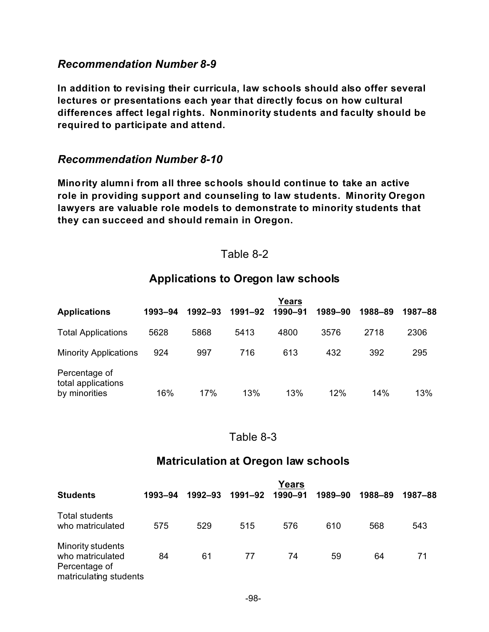#### *Recommendation Number 8-9*

**In addition to revising their curricula, law schools should also offer several lectures or presentations each year that directly focus on how cultural differences affect legal rights. Nonminority students and faculty should be required to participate and attend.**

#### *Recommendation Number 8-10*

**Minority alumni from all three schools should continue to take an active role in providing support and counseling to law students. Minority Oregon lawyers are valuable role models to demonstrate to minority students that they can succeed and should remain in Oregon.**

#### Table 8-2

#### **Applications to Oregon law schools**

| <b>Applications</b>                                  | 1993–94 | 1992-93 | 1991–92 | Years<br>1990-91 | 1989-90 | 1988-89 | 1987–88 |
|------------------------------------------------------|---------|---------|---------|------------------|---------|---------|---------|
| <b>Total Applications</b>                            | 5628    | 5868    | 5413    | 4800             | 3576    | 2718    | 2306    |
| <b>Minority Applications</b>                         | 924     | 997     | 716     | 613              | 432     | 392     | 295     |
| Percentage of<br>total applications<br>by minorities | 16%     | 17%     | 13%     | 13%              | 12%     | 14%     | 13%     |

#### Table 8-3

#### **Matriculation at Oregon law schools**

|                                                                                         |         |             |         | <b>Years</b> |         |         |         |
|-----------------------------------------------------------------------------------------|---------|-------------|---------|--------------|---------|---------|---------|
| <b>Students</b>                                                                         | 1993–94 | $1992 - 93$ | 1991–92 | 1990-91      | 1989-90 | 1988-89 | 1987–88 |
| Total students<br>who matriculated                                                      | 575     | 529         | 515     | 576          | 610     | 568     | 543     |
| <b>Minority students</b><br>who matriculated<br>Percentage of<br>matriculating students | 84      | 61          | 77      | 74           | 59      | 64      | 71      |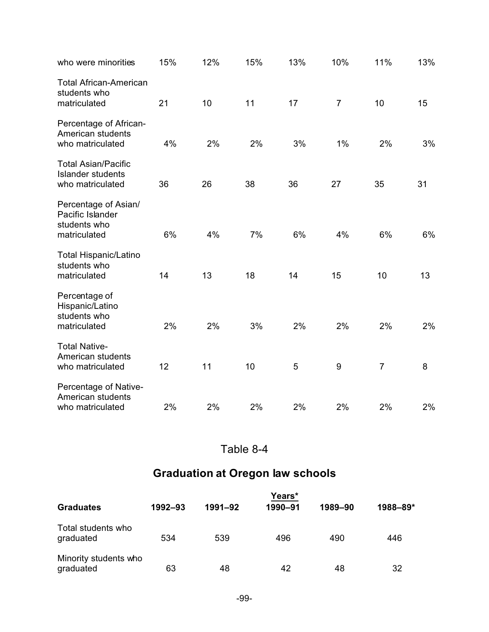| who were minorities                                                        | 15% | 12% | 15% | 13% | 10%            | 11%            | 13% |
|----------------------------------------------------------------------------|-----|-----|-----|-----|----------------|----------------|-----|
| <b>Total African-American</b><br>students who<br>matriculated              | 21  | 10  | 11  | 17  | $\overline{7}$ | 10             | 15  |
| Percentage of African-<br>American students<br>who matriculated            | 4%  | 2%  | 2%  | 3%  | 1%             | 2%             | 3%  |
| <b>Total Asian/Pacific</b><br><b>Islander students</b><br>who matriculated | 36  | 26  | 38  | 36  | 27             | 35             | 31  |
| Percentage of Asian/<br>Pacific Islander<br>students who<br>matriculated   | 6%  | 4%  | 7%  | 6%  | 4%             | 6%             | 6%  |
| <b>Total Hispanic/Latino</b><br>students who<br>matriculated               | 14  | 13  | 18  | 14  | 15             | 10             | 13  |
| Percentage of<br>Hispanic/Latino<br>students who<br>matriculated           | 2%  | 2%  | 3%  | 2%  | 2%             | 2%             | 2%  |
| <b>Total Native-</b><br>American students<br>who matriculated              | 12  | 11  | 10  | 5   | 9              | $\overline{7}$ | 8   |
| Percentage of Native-<br>American students<br>who matriculated             | 2%  | 2%  | 2%  | 2%  | 2%             | 2%             | 2%  |

#### Table 8-4

### **Graduation at Oregon law schools**

|                                    | Years*  |         |         |         |          |  |  |
|------------------------------------|---------|---------|---------|---------|----------|--|--|
| <b>Graduates</b>                   | 1992-93 | 1991-92 | 1990-91 | 1989-90 | 1988-89* |  |  |
| Total students who<br>graduated    | 534     | 539     | 496     | 490     | 446      |  |  |
| Minority students who<br>graduated | 63      | 48      | 42      | 48      | 32       |  |  |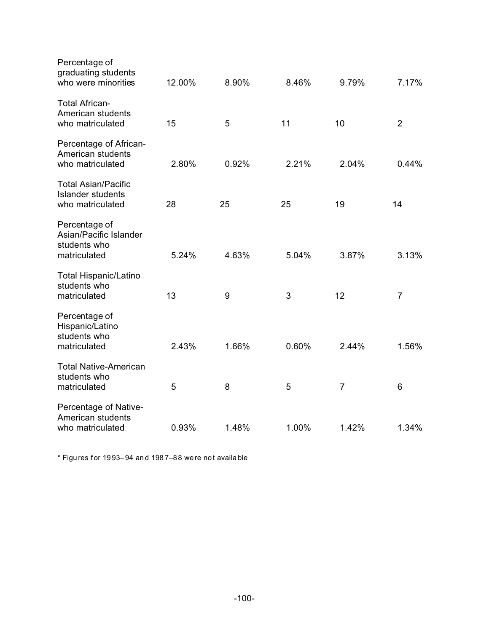| Percentage of<br>graduating students<br>who were minorities                | 12.00% | 8.90% | 8.46% | 9.79%          | 7.17%          |
|----------------------------------------------------------------------------|--------|-------|-------|----------------|----------------|
| <b>Total African-</b><br>American students<br>who matriculated             | 15     | 5     | 11    | 10             | $\overline{2}$ |
| Percentage of African-<br>American students<br>who matriculated            | 2.80%  | 0.92% | 2.21% | 2.04%          | 0.44%          |
| <b>Total Asian/Pacific</b><br><b>Islander students</b><br>who matriculated | 28     | 25    | 25    | 19             | 14             |
| Percentage of<br>Asian/Pacific Islander<br>students who<br>matriculated    | 5.24%  | 4.63% | 5.04% | 3.87%          | 3.13%          |
| <b>Total Hispanic/Latino</b><br>students who<br>matriculated               | 13     | 9     | 3     | 12             | $\overline{7}$ |
| Percentage of<br>Hispanic/Latino<br>students who<br>matriculated           | 2.43%  | 1.66% | 0.60% | 2.44%          | 1.56%          |
| <b>Total Native-American</b><br>students who<br>matriculated               | 5      | 8     | 5     | $\overline{7}$ | 6              |
| Percentage of Native-<br>American students<br>who matriculated             | 0.93%  | 1.48% | 1.00% | 1.42%          | 1.34%          |

\* Figu res for 19 93–94 an d 198 7–88 were no t availa ble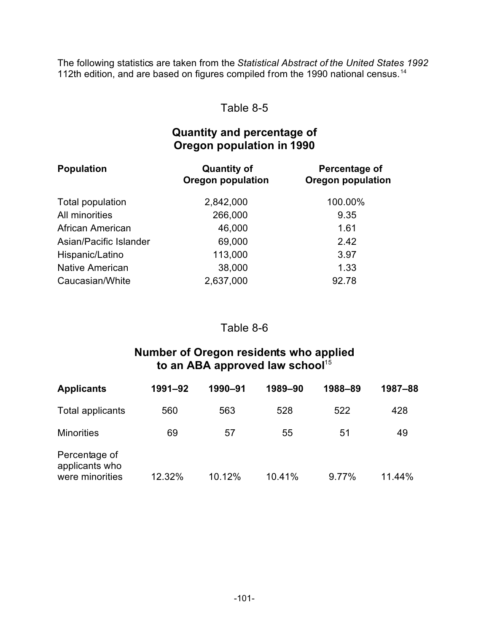The following statistics are taken from the *Statistical Abstract of the United States 1992* 112th edition, and are based on figures compiled from the 1990 national census.<sup>14</sup>

#### Table 8-5

#### **Quantity and percentage of Oregon population in 1990**

| <b>Population</b>      | <b>Quantity of</b><br><b>Oregon population</b> | Percentage of<br><b>Oregon population</b> |  |  |
|------------------------|------------------------------------------------|-------------------------------------------|--|--|
| Total population       | 2,842,000                                      | 100.00%                                   |  |  |
| All minorities         | 266,000                                        | 9.35                                      |  |  |
| African American       | 46,000                                         | 1.61                                      |  |  |
| Asian/Pacific Islander | 69,000                                         | 2.42                                      |  |  |
| Hispanic/Latino        | 113,000                                        | 3.97                                      |  |  |
| <b>Native American</b> | 38,000                                         | 1.33                                      |  |  |
| Caucasian/White        | 2,637,000                                      | 92.78                                     |  |  |

#### Table 8-6

#### **Number of Oregon residents who applied** to an ABA approved law school<sup>15</sup>

| <b>Applicants</b>                                  | 1991-92 | 1990-91 | 1989-90 | 1988-89 | 1987-88 |
|----------------------------------------------------|---------|---------|---------|---------|---------|
| Total applicants                                   | 560     | 563     | 528     | 522     | 428     |
| <b>Minorities</b>                                  | 69      | 57      | 55      | 51      | 49      |
| Percentage of<br>applicants who<br>were minorities | 12.32%  | 10.12%  | 10.41%  | 9.77%   | 11.44%  |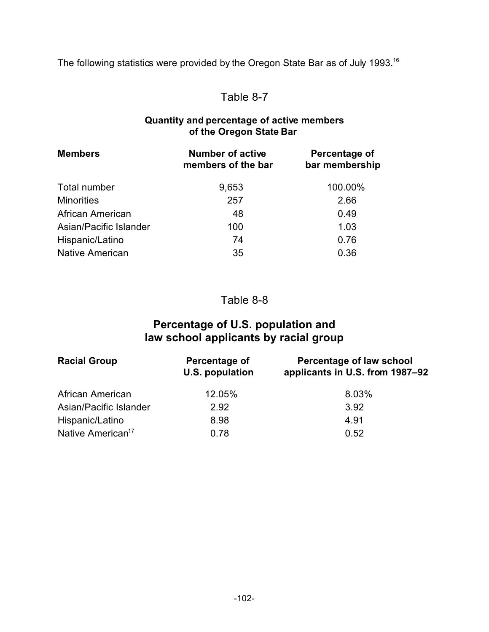The following statistics were provided by the Oregon State Bar as of July 1993.<sup>16</sup>

#### Table 8-7

#### **Quantity and percentage of active members of the Oregon State Bar**

| <b>Members</b>         | <b>Number of active</b><br>members of the bar | Percentage of<br>bar membership |
|------------------------|-----------------------------------------------|---------------------------------|
| Total number           | 9,653                                         | 100.00%                         |
| <b>Minorities</b>      | 257                                           | 2.66                            |
| African American       | 48                                            | 0.49                            |
| Asian/Pacific Islander | 100                                           | 1.03                            |
| Hispanic/Latino        | 74                                            | 0.76                            |
| <b>Native American</b> | 35                                            | 0.36                            |

Table 8-8

## **Percentage of U.S. population and law school applicants by racial group**

| <b>Racial Group</b>           | Percentage of<br>U.S. population | Percentage of law school<br>applicants in U.S. from 1987-92 |
|-------------------------------|----------------------------------|-------------------------------------------------------------|
| African American              | 12.05%                           | 8.03%                                                       |
| Asian/Pacific Islander        | 2.92                             | 3.92                                                        |
| Hispanic/Latino               | 8.98                             | 4.91                                                        |
| Native American <sup>17</sup> | 0.78                             | 0.52                                                        |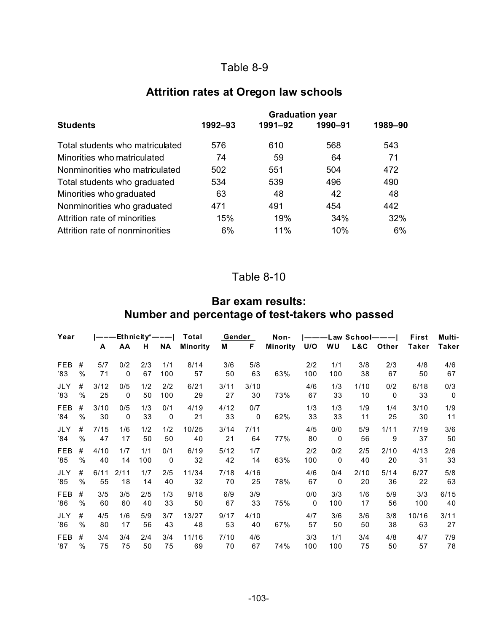# Table 8-9

# **Attrition rates at Oregon law schools**

|                                 | <b>Graduation year</b> |         |         |         |  |  |  |  |
|---------------------------------|------------------------|---------|---------|---------|--|--|--|--|
| <b>Students</b>                 | 1992-93                | 1991-92 | 1990-91 | 1989-90 |  |  |  |  |
| Total students who matriculated | 576                    | 610     | 568     | 543     |  |  |  |  |
| Minorities who matriculated     | 74                     | 59      | 64      | 71      |  |  |  |  |
| Nonminorities who matriculated  | 502                    | 551     | 504     | 472     |  |  |  |  |
| Total students who graduated    | 534                    | 539     | 496     | 490     |  |  |  |  |
| Minorities who graduated        | 63                     | 48      | 42      | 48      |  |  |  |  |
| Nonminorities who graduated     | 471                    | 491     | 454     | 442     |  |  |  |  |
| Attrition rate of minorities    | 15%                    | 19%     | 34%     | 32%     |  |  |  |  |
| Attrition rate of nonminorities | 6%                     | 11%     | 10%     | 6%      |  |  |  |  |

### Table 8-10

## **Bar exam results: Number and percentage of test-takers who passed**

| Year       |               |      | $ ---Ethnicity*--- $ |     |             | Total           |      | Gender | Non-     |              |              | $ ---Law$ School $--- $ |              | First | Multi- |
|------------|---------------|------|----------------------|-----|-------------|-----------------|------|--------|----------|--------------|--------------|-------------------------|--------------|-------|--------|
|            |               | A    | <b>AA</b>            | H   | <b>NA</b>   | <b>Minority</b> | M    | F.     | Minority |              | U/O WU       |                         | L&C Other    | Taker | Taker  |
| <b>FEB</b> | #             | 5/7  | 0/2                  | 2/3 | 1/1         | 8/14            | 3/6  | 5/8    | 63%      | 2/2          | 1/1          | 3/8                     | 2/3          | 4/8   | 4/6    |
| '83        | $\%$          | 71   | $\mathbf{0}$         | 67  | 100         | 57              | 50   | 63     |          | 100          | 100          | 38                      | 67           | 50    | 67     |
| JLY        | #             | 3/12 | 0/5                  | 1/2 | 2/2         | 6/21            | 3/11 | 3/10   | 73%      | 4/6          | 1/3          | 1/10                    | 0/2          | 6/18  | 0/3    |
| '83        | %             | 25   | 0                    | 50  | 100         | 29              | 27   | 30     |          | 67           | 33           | 10                      | $\mathbf{0}$ | 33    | 0      |
| FEB        | #             | 3/10 | 0/5                  | 1/3 | 0/1         | 4/19            | 4/12 | 0/7    | 62%      | 1/3          | 1/3          | 1/9                     | 1/4          | 3/10  | 1/9    |
| '84        | %             | 30   | $\mathbf{0}$         | 33  | $\mathbf 0$ | 21              | 33   | 0      |          | 33           | 33           | 11                      | 25           | 30    | 11     |
| JLY        | #             | 7/15 | 1/6                  | 1/2 | 1/2         | 10/25           | 3/14 | 7/11   | 77%      | 4/5          | 0/0          | 5/9                     | 1/11         | 7/19  | 3/6    |
| '84        | $\%$          | 47   | 17                   | 50  | 50          | 40              | 21   | 64     |          | 80           | 0            | 56                      | 9            | 37    | 50     |
| FEB        | #             | 4/10 | 1/7                  | 1/1 | 0/1         | 6/19            | 5/12 | 1/7    | 63%      | 2/2          | 0/2          | 2/5                     | 2/10         | 4/13  | 2/6    |
| '85        | $\%$          | 40   | 14                   | 100 | $\mathbf 0$ | 32              | 42   | 14     |          | 100          | $\mathbf{0}$ | 40                      | 20           | 31    | 33     |
| JLY        | #             | 6/11 | 2/11                 | 1/7 | 2/5         | 11/34           | 7/18 | 4/16   | 78%      | 4/6          | 0/4          | 2/10                    | 5/14         | 6/27  | 5/8    |
| 35'        | $\%$          | 55   | 18                   | 14  | 40          | 32              | 70   | 25     |          | 67           | 0            | 20                      | 36           | 22    | 63     |
| FEB        | #             | 3/5  | 3/5                  | 2/5 | 1/3         | 9/18            | 6/9  | 3/9    | 75%      | 0/0          | 3/3          | 1/6                     | 5/9          | 3/3   | 6/15   |
| '86        | $\%$          | 60   | 60                   | 40  | 33          | 50              | 67   | 33     |          | $\mathbf{0}$ | 100          | 17                      | 56           | 100   | 40     |
| <b>JLY</b> | #             | 4/5  | 1/6                  | 5/9 | 3/7         | 13/27           | 9/17 | 4/10   | 67%      | 4/7          | 3/6          | 3/6                     | 3/8          | 10/16 | 3/11   |
| '86        | $\%$          | 80   | 17                   | 56  | 43          | 48              | 53   | 40     |          | 57           | 50           | 50                      | 38           | 63    | 27     |
| <b>FEB</b> | #             | 3/4  | 3/4                  | 2/4 | 3/4         | 11/16           | 7/10 | 4/6    | 74%      | 3/3          | 1/1          | 3/4                     | 4/8          | 4/7   | 7/9    |
| '87        | $\frac{0}{0}$ | 75   | 75                   | 50  | 75          | 69              | 70   | 67     |          | 100          | 100          | 75                      | 50           | 57    | 78     |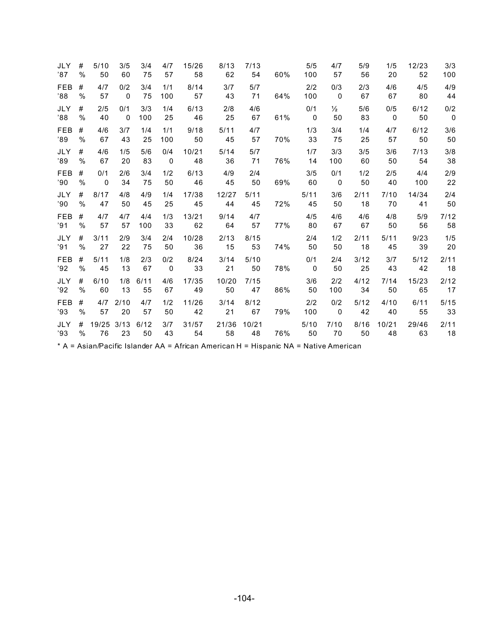| JLY        | #    | 5/10         | 3/5          | 3/4  | 4/7          | 15/26 | 8/13  | 7/13  | 60% | 5/5            | 4/7                      | 5/9  | 1/5                     | 12/23 | 3/3                     |
|------------|------|--------------|--------------|------|--------------|-------|-------|-------|-----|----------------|--------------------------|------|-------------------------|-------|-------------------------|
| '87        | $\%$ | 50           | 60           | 75   | 57           | 58    | 62    | 54    |     | 100            | 57                       | 56   | 20                      | 52    | 100                     |
| <b>FEB</b> | #    | 4/7          | 0/2          | 3/4  | 1/1          | 8/14  | 3/7   | 5/7   | 64% | 2/2            | 0/3                      | 2/3  | 4/6                     | 4/5   | 4/9                     |
| '88        | $\%$ | 57           | $\mathbf 0$  | 75   | 100          | 57    | 43    | 71    |     | 100            | $\overline{0}$           | 67   | 67                      | 80    | 44                      |
| <b>JLY</b> | #    | 2/5          | 0/1          | 3/3  | 1/4          | 6/13  | 2/8   | 4/6   | 61% | 0/1            | $\frac{1}{2}$            | 5/6  | 0/5                     | 6/12  | 0/2                     |
| '88        | $\%$ | 40           | $\mathbf{0}$ | 100  | 25           | 46    | 25    | 67    |     | $\overline{0}$ | 50                       | 83   | $\overline{\mathbf{0}}$ | 50    | $\overline{\mathbf{0}}$ |
| <b>FEB</b> | #    | 4/6          | 3/7          | 1/4  | 1/1          | 9/18  | 5/11  | 4/7   | 70% | 1/3            | 3/4                      | 1/4  | 4/7                     | 6/12  | 3/6                     |
| '89        | $\%$ | 67           | 43           | 25   | 100          | 50    | 45    | 57    |     | 33             | 75                       | 25   | 57                      | 50    | 50                      |
| <b>JLY</b> | #    | 4/6          | 1/5          | 5/6  | 0/4          | 10/21 | 5/14  | 5/7   | 76% | 1/7            | 3/3                      | 3/5  | 3/6                     | 7/13  | 3/8                     |
| '89        | $\%$ | 67           | 20           | 83   | $\mathbf 0$  | 48    | 36    | 71    |     | 14             | 100                      | 60   | 50                      | 54    | 38                      |
| <b>FEB</b> | #    | 0/1          | 2/6          | 3/4  | 1/2          | 6/13  | 4/9   | 2/4   | 69% | 3/5            | 0/1                      | 1/2  | 2/5                     | 4/4   | 2/9                     |
| '90        | $\%$ | $\mathbf{0}$ | 34           | 75   | 50           | 46    | 45    | 50    |     | 60             | $\overline{0}$           | 50   | 40                      | 100   | 22                      |
| <b>JLY</b> | #    | 8/17         | 4/8          | 4/9  | 1/4          | 17/38 | 12/27 | 5/11  | 72% | 5/11           | 3/6                      | 2/11 | 7/10                    | 14/34 | 2/4                     |
| '90        | $\%$ | 47           | 50           | 45   | 25           | 45    | 44    | 45    |     | 45             | 50                       | 18   | 70                      | 41    | 50                      |
| <b>FEB</b> | #    | 4/7          | 4/7          | 4/4  | 1/3          | 13/21 | 9/14  | 4/7   | 77% | 4/5            | 4/6                      | 4/6  | 4/8                     | 5/9   | 7/12                    |
| '91        | $\%$ | 57           | 57           | 100  | 33           | 62    | 64    | 57    |     | 80             | 67                       | 67   | 50                      | 56    | 58                      |
| <b>JLY</b> | #    | 3/11         | 2/9          | 3/4  | 2/4          | 10/28 | 2/13  | 8/15  | 74% | 2/4            | 1/2                      | 2/11 | 5/11                    | 9/23  | 1/5                     |
| '91        | $\%$ | 27           | 22           | 75   | 50           | 36    | 15    | 53    |     | 50             | 50                       | 18   | 45                      | 39    | 20                      |
| <b>FEB</b> | #    | 5/11         | 1/8          | 2/3  | 0/2          | 8/24  | 3/14  | 5/10  | 78% | 0/1            | 2/4                      | 3/12 | 3/7                     | 5/12  | 2/11                    |
| '92        | $\%$ | 45           | 13           | 67   | $\mathbf{0}$ | 33    | 21    | 50    |     | $\mathbf{0}$   | 50                       | 25   | 43                      | 42    | 18                      |
| <b>JLY</b> | #    | 6/10         | 1/8          | 6/11 | 4/6          | 17/35 | 10/20 | 7/15  | 86% | 3/6            | 2/2                      | 4/12 | 7/14                    | 15/23 | 2/12                    |
| '92        | %    | 60           | 13           | 55   | 67           | 49    | 50    | 47    |     | 50             | 100                      | 34   | 50                      | 65    | 17                      |
| <b>FEB</b> | #    | 4/7          | 2/10         | 4/7  | 1/2          | 11/26 | 3/14  | 8/12  | 79% | 2/2            | 0/2                      | 5/12 | 4/10                    | 6/11  | $5/15$                  |
| '93        | $\%$ | 57           | 20           | 57   | 50           | 42    | 21    | 67    |     | 100            | $\overline{\phantom{0}}$ | 42   | 40                      | 55    | 33                      |
| <b>JLY</b> | #    | 19/25        | 3/13         | 6/12 | 3/7          | 31/57 | 21/36 | 10/21 | 76% | 5/10           | 7/10                     | 8/16 | 10/21                   | 29/46 | 2/11                    |
| '93        | $\%$ | 76           | 23           | 50   | 43           | 54    | 58    | 48    |     | 50             | 70                       | 50   | 48                      | 63    | 18                      |

\* A = Asian/Pacific Islander AA = African American H = Hispanic NA = Native American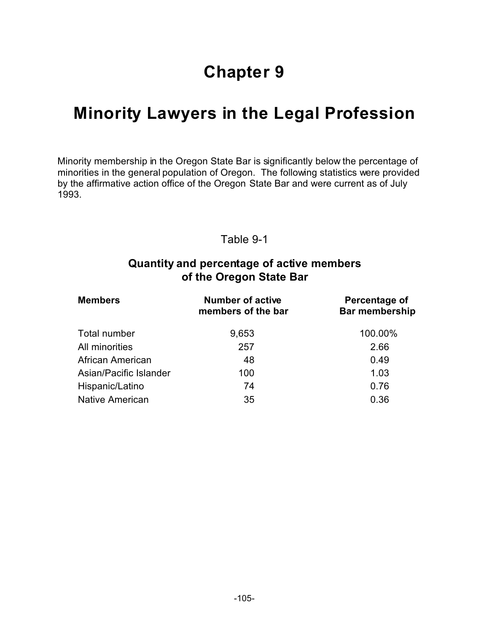# **Chapter 9**

# **Minority Lawyers in the Legal Profession**

Minority membership in the Oregon State Bar is significantly below the percentage of minorities in the general population of Oregon. The following statistics were provided by the affirmative action office of the Oregon State Bar and were current as of July 1993.

#### Table 9-1

#### **Quantity and percentage of active members of the Oregon State Bar**

| <b>Members</b>          | <b>Number of active</b><br>members of the bar | Percentage of<br><b>Bar membership</b> |  |  |
|-------------------------|-----------------------------------------------|----------------------------------------|--|--|
| Total number            | 9,653                                         | 100.00%                                |  |  |
| All minorities          | 257                                           | 2.66                                   |  |  |
| <b>African American</b> | 48                                            | 0.49                                   |  |  |
| Asian/Pacific Islander  | 100                                           | 1.03                                   |  |  |
| Hispanic/Latino         | 74                                            | 0.76                                   |  |  |
| <b>Native American</b>  | 35                                            | 0.36                                   |  |  |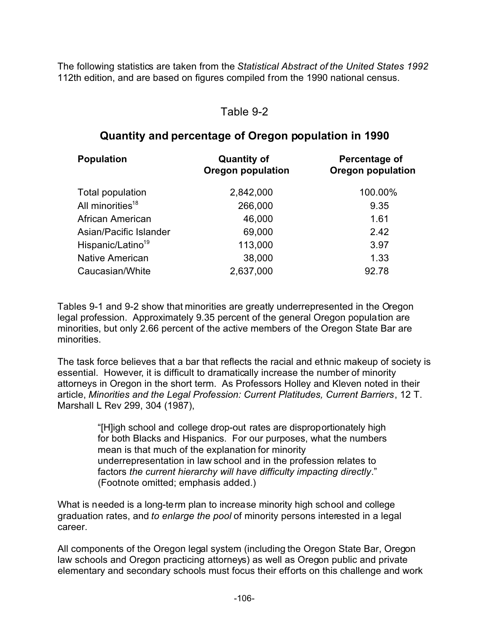The following statistics are taken from the *Statistical Abstract of the United States 1992* 112th edition, and are based on figures compiled from the 1990 national census.

#### Table 9-2

#### **Quantity and percentage of Oregon population in 1990**

| <b>Population</b>             | <b>Quantity of</b><br><b>Oregon population</b> | Percentage of<br><b>Oregon population</b> |  |  |
|-------------------------------|------------------------------------------------|-------------------------------------------|--|--|
| Total population              | 2,842,000                                      | 100.00%                                   |  |  |
| All minorities <sup>18</sup>  | 266,000                                        | 9.35                                      |  |  |
| African American              | 46,000                                         | 1.61                                      |  |  |
| Asian/Pacific Islander        | 69,000                                         | 2.42                                      |  |  |
| Hispanic/Latino <sup>19</sup> | 113,000                                        | 3.97                                      |  |  |
| Native American               | 38,000                                         | 1.33                                      |  |  |
| Caucasian/White               | 2,637,000                                      | 92.78                                     |  |  |

Tables 9-1 and 9-2 show that minorities are greatly underrepresented in the Oregon legal profession. Approximately 9.35 percent of the general Oregon population are minorities, but only 2.66 percent of the active members of the Oregon State Bar are minorities.

The task force believes that a bar that reflects the racial and ethnic makeup of society is essential. However, it is difficult to dramatically increase the number of minority attorneys in Oregon in the short term. As Professors Holley and Kleven noted in their article, *Minorities and the Legal Profession: Current Platitudes, Current Barriers*, 12 T. Marshall L Rev 299, 304 (1987),

> "[H]igh school and college drop-out rates are disproportionately high for both Blacks and Hispanics. For our purposes, what the numbers mean is that much of the explanation for minority underrepresentation in law school and in the profession relates to factors *the current hierarchy will have difficulty impacting directly*." (Footnote omitted; emphasis added.)

What is needed is a long-term plan to increase minority high school and college graduation rates, and *to enlarge the pool* of minority persons interested in a legal career.

All components of the Oregon legal system (including the Oregon State Bar, Oregon law schools and Oregon practicing attorneys) as well as Oregon public and private elementary and secondary schools must focus their efforts on this challenge and work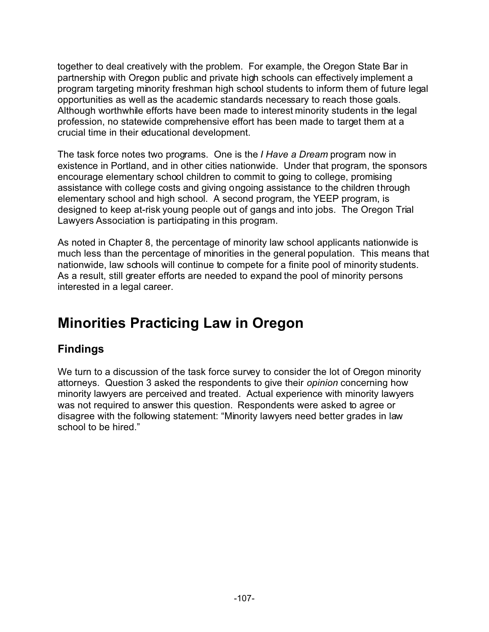together to deal creatively with the problem. For example, the Oregon State Bar in partnership with Oregon public and private high schools can effectively implement a program targeting minority freshman high school students to inform them of future legal opportunities as well as the academic standards necessary to reach those goals. Although worthwhile efforts have been made to interest minority students in the legal profession, no statewide comprehensive effort has been made to target them at a crucial time in their educational development.

The task force notes two programs. One is the *I Have a Dream* program now in existence in Portland, and in other cities nationwide. Under that program, the sponsors encourage elementary school children to commit to going to college, promising assistance with college costs and giving ongoing assistance to the children through elementary school and high school. A second program, the YEEP program, is designed to keep at-risk young people out of gangs and into jobs. The Oregon Trial Lawyers Association is participating in this program.

As noted in Chapter 8, the percentage of minority law school applicants nationwide is much less than the percentage of minorities in the general population. This means that nationwide, law schools will continue to compete for a finite pool of minority students. As a result, still greater efforts are needed to expand the pool of minority persons interested in a legal career.

# **Minorities Practicing Law in Oregon**

## **Findings**

We turn to a discussion of the task force survey to consider the lot of Oregon minority attorneys. Question 3 asked the respondents to give their *opinion* concerning how minority lawyers are perceived and treated. Actual experience with minority lawyers was not required to answer this question. Respondents were asked to agree or disagree with the following statement: "Minority lawyers need better grades in law school to be hired."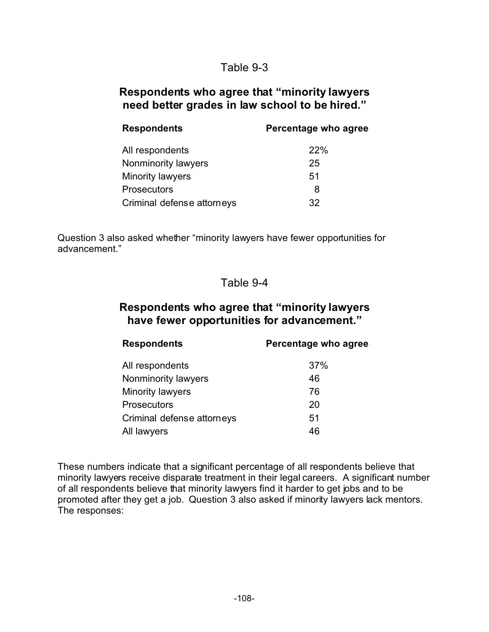#### Table 9-3

#### **Respondents who agree that "minority lawyers need better grades in law school to be hired."**

| <b>Respondents</b>         | Percentage who agree |  |  |
|----------------------------|----------------------|--|--|
| All respondents            | 22%                  |  |  |
| Nonminority lawyers        | 25                   |  |  |
| Minority lawyers           | 51                   |  |  |
| <b>Prosecutors</b>         | 8                    |  |  |
| Criminal defense attorneys | 32.                  |  |  |

Question 3 also asked whether "minority lawyers have fewer opportunities for advancement."

#### Table 9-4

#### **Respondents who agree that "minority lawyers have fewer opportunities for advancement."**

| <b>Respondents</b>         | Percentage who agree |
|----------------------------|----------------------|
| All respondents            | 37%                  |
| Nonminority lawyers        | 46                   |
| Minority lawyers           | 76                   |
| <b>Prosecutors</b>         | 20                   |
| Criminal defense attorneys | 51                   |
| All lawyers                | 46                   |

These numbers indicate that a significant percentage of all respondents believe that minority lawyers receive disparate treatment in their legal careers. A significant number of all respondents believe that minority lawyers find it harder to get jobs and to be promoted after they get a job. Question 3 also asked if minority lawyers lack mentors. The responses: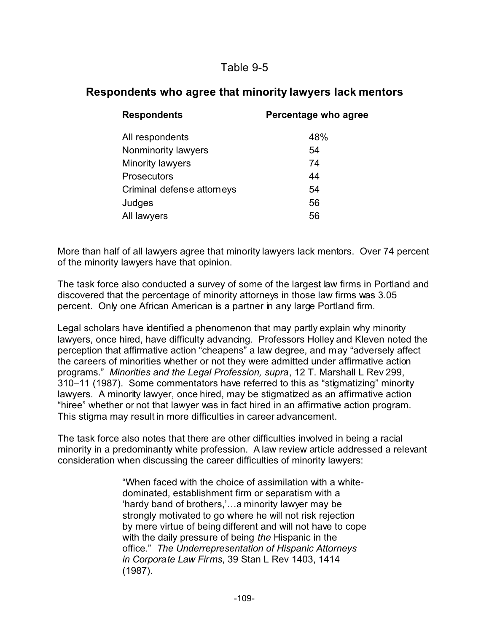### Table 9-5

### **Respondents who agree that minority lawyers lack mentors**

| <b>Respondents</b>         | Percentage who agree |
|----------------------------|----------------------|
| All respondents            | 48%                  |
| Nonminority lawyers        | 54                   |
| Minority lawyers           | 74                   |
| <b>Prosecutors</b>         | 44                   |
| Criminal defense attorneys | 54                   |
| Judges                     | 56                   |
| All lawyers                | 56                   |

More than half of all lawyers agree that minority lawyers lack mentors. Over 74 percent of the minority lawyers have that opinion.

The task force also conducted a survey of some of the largest law firms in Portland and discovered that the percentage of minority attorneys in those law firms was 3.05 percent. Only one African American is a partner in any large Portland firm.

Legal scholars have identified a phenomenon that may partly explain why minority lawyers, once hired, have difficulty advancing. Professors Holley and Kleven noted the perception that affirmative action "cheapens" a law degree, and may "adversely affect the careers of minorities whether or not they were admitted under affirmative action programs." *Minorities and the Legal Profession, supra*, 12 T. Marshall L Rev 299, 310–11 (1987). Some commentators have referred to this as "stigmatizing" minority lawyers. A minority lawyer, once hired, may be stigmatized as an affirmative action "hiree" whether or not that lawyer was in fact hired in an affirmative action program. This stigma may result in more difficulties in career advancement.

The task force also notes that there are other difficulties involved in being a racial minority in a predominantly white profession. A law review article addressed a relevant consideration when discussing the career difficulties of minority lawyers:

> "When faced with the choice of assimilation with a whitedominated, establishment firm or separatism with a 'hardy band of brothers,'…a minority lawyer may be strongly motivated to go where he will not risk rejection by mere virtue of being different and will not have to cope with the daily pressure of being *the* Hispanic in the office." *The Underrepresentation of Hispanic Attorneys in Corporate Law Firms*, 39 Stan L Rev 1403, 1414 (1987).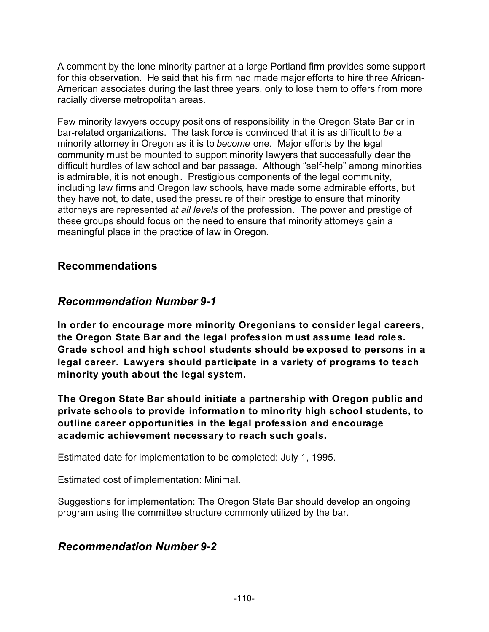A comment by the lone minority partner at a large Portland firm provides some support for this observation. He said that his firm had made major efforts to hire three African-American associates during the last three years, only to lose them to offers from more racially diverse metropolitan areas.

Few minority lawyers occupy positions of responsibility in the Oregon State Bar or in bar-related organizations. The task force is convinced that it is as difficult to *be* a minority attorney in Oregon as it is to *become* one. Major efforts by the legal community must be mounted to support minority lawyers that successfully clear the difficult hurdles of law school and bar passage. Although "self-help" among minorities is admirable, it is not enough. Prestigious components of the legal community, including law firms and Oregon law schools, have made some admirable efforts, but they have not, to date, used the pressure of their prestige to ensure that minority attorneys are represented *at all levels* of the profession. The power and prestige of these groups should focus on the need to ensure that minority attorneys gain a meaningful place in the practice of law in Oregon.

#### **Recommendations**

#### *Recommendation Number 9-1*

**In order to encourage more minority Oregonians to consider legal careers, the Oregon State Bar and the legal profession must assume lead roles. Grade school and high school students should be exposed to persons in a legal career. Lawyers should participate in a variety of programs to teach minority youth about the legal system.**

**The Oregon State Bar should initiate a partnership with Oregon public and private schools to provide information to minority high school students, to outline career opportunities in the legal profession and encourage academic achievement necessary to reach such goals.**

Estimated date for implementation to be completed: July 1, 1995.

Estimated cost of implementation: Minimal.

Suggestions for implementation: The Oregon State Bar should develop an ongoing program using the committee structure commonly utilized by the bar.

#### *Recommendation Number 9-2*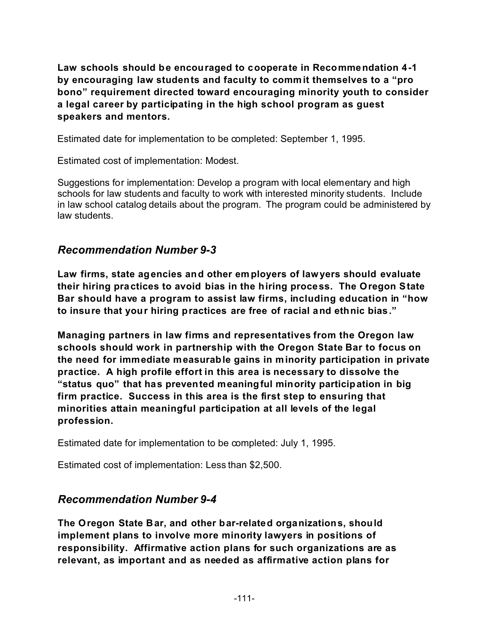**Law schools should be encouraged to cooperate in Recommendation 4-1 by encouraging law students and faculty to commit themselves to a "pro bono" requirement directed toward encouraging minority youth to consider a legal career by participating in the high school program as guest speakers and mentors.**

Estimated date for implementation to be completed: September 1, 1995.

Estimated cost of implementation: Modest.

Suggestions for implementation: Develop a program with local elementary and high schools for law students and faculty to work with interested minority students. Include in law school catalog details about the program. The program could be administered by law students.

#### *Recommendation Number 9-3*

**Law firms, state agencies and other employers of lawyers should evaluate their hiring practices to avoid bias in the hiring process. The Oregon State Bar should have a program to assist law firms, including education in "how to insure that your hiring practices are free of racial and ethnic bias."**

**Managing partners in law firms and representatives from the Oregon law schools should work in partnership with the Oregon State Bar to focus on the need for immediate measurable gains in minority participation in private practice. A high profile effort in this area is necessary to dissolve the "status quo" that has prevented meaningful minority participation in big firm practice. Success in this area is the first step to ensuring that minorities attain meaningful participation at all levels of the legal profession.**

Estimated date for implementation to be completed: July 1, 1995.

Estimated cost of implementation: Less than \$2,500.

#### *Recommendation Number 9-4*

**The Oregon State Bar, and other bar-related organizations, should implement plans to involve more minority lawyers in positions of responsibility. Affirmative action plans for such organizations are as relevant, as important and as needed as affirmative action plans for**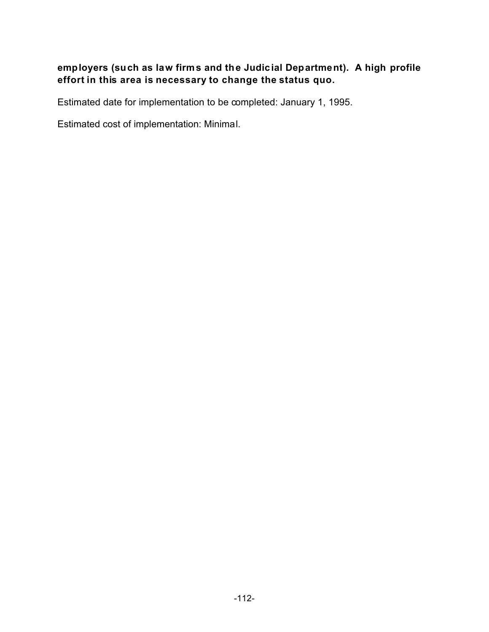#### **employers (such as law firms and the Judicial Department). A high profile effort in this area is necessary to change the status quo.**

Estimated date for implementation to be completed: January 1, 1995.

Estimated cost of implementation: Minimal.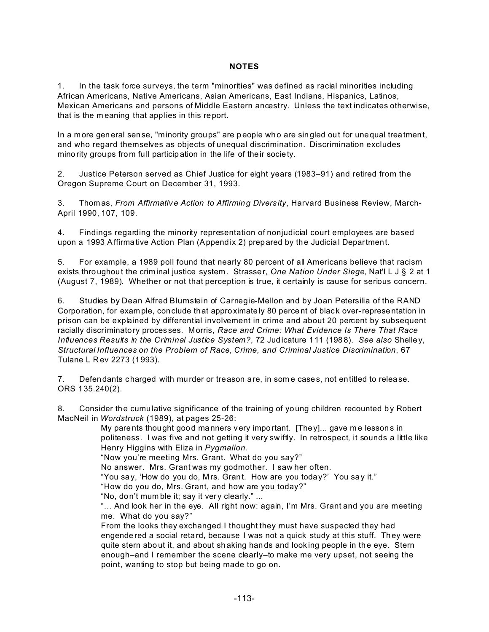#### **NOTES**

1. In the task force surveys, the term "minorities" was defined as racial minorities including African Americans, Native Americans, Asian Americans, East Indians, Hispanics, Latinos, Mexican Americans and persons of Middle Eastern ancestry. Unless the text indicates otherwise, that is the m eaning that applies in this report.

In a more gen eral sense, "minority groups" are p eople wh o are singled out for unequal treatment, and who regard themselves as objects of unequal discrimination. Discrimination excludes mino rity groups from full particip ation in the life of their society.

2. Justice Peterson served as Chief Justice for eight years (1983–91) and retired from the Oregon Supreme Court on December 31, 1993.

3. Thom as, *From Affirmative Action to Affirming Divers ity*, Harvard Business Review, March-April 1990, 107, 109.

4. Findings regarding the minority representation of nonjudicial court employees are based upon a 1993 Affirmative Action Plan (Appendix 2) prepared by the Judicial Department.

5. For example, a 1989 poll found that nearly 80 percent of all Americans believe that racism exists thro ughout the crim inal justice system. Strasser, *One Nation Under Siege*, Nat'l L J § 2 at 1 (August 7, 1989). Whether or not that perception is true, it certainly is cause for serious concern.

6. Studies by Dean Alfred Blumstein of Carnegie-Mellon and by Joan Petersilia of the RAND Corporation, for example, conclude that approximately 80 percent of black over-representation in prison can be explained by differential involvement in crime and about 20 percent by subsequent racially discriminatory proces ses. Morris, *Race and Crime: What Evidence Is There That Race Influences Results in the Criminal Justice System?*, 72 Judicature 111 (198 8). *See also* Shelle y, *Structural Influences on the Problem of Race, Crime, and Criminal Justice Discrimination*, 67 Tulane L R ev 2273 (1993).

7. Defen dants charged with murder or treason are, in som e cases, not entitled to relea se. ORS 135.240(2).

8. Consider the cumulative significance of the training of young children recounted by Robert MacNeil in *Wordstruck* (1989), at pages 25-26:

My parents thought good manners very important. [The  $y$ ]... gave me lessons in politeness. I was five and not getting it very swiftly. In retrospect, it sounds a little like Henry Higgins with Eliza in *Pygmalion*.

"Now you're meeting Mrs. Grant. What do you say?"

No answer. Mrs. Grant was my godmother. I saw her often.

"You say, 'How do you do, M rs. Grant. How are you today?' You say it."

"How do you do, Mrs. Grant, and how are you today?"

"No, don't mum ble it; say it very clearly." ...

"... And look her in the eye. All right now: again, I'm Mrs. Grant and you are meeting me. What do you say?"

From the looks they exchanged I thought they must have suspected they had engende red a social retard, because I was not a quick study at this stuff. They were quite stern about it, and about shaking hands and looking people in the eye. Stern enough–and I remember the scene clearly–to make me very upset, not seeing the point, wanting to stop but being made to go on.